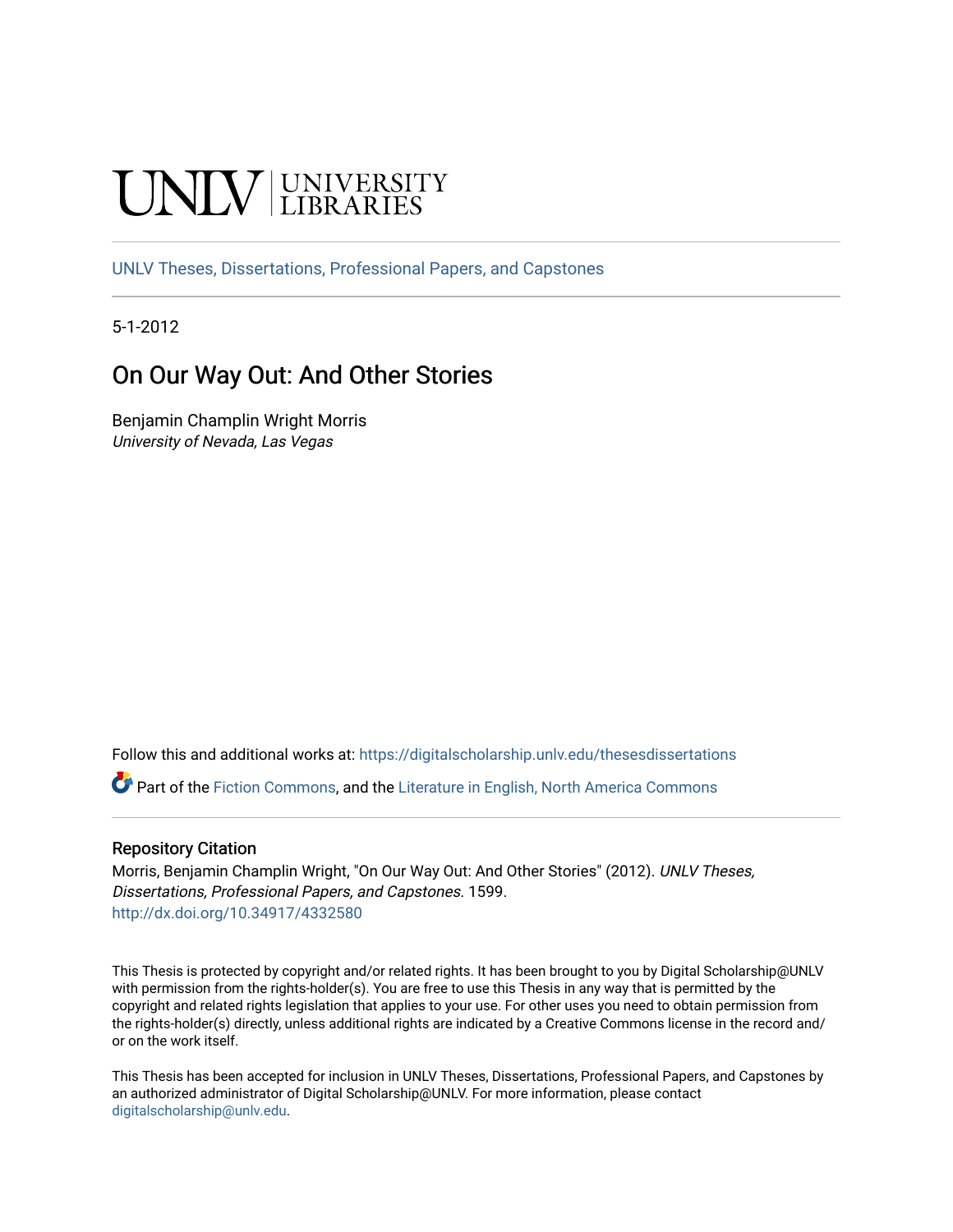# **INIVERSITY**

[UNLV Theses, Dissertations, Professional Papers, and Capstones](https://digitalscholarship.unlv.edu/thesesdissertations)

5-1-2012

# On Our Way Out: And Other Stories

Benjamin Champlin Wright Morris University of Nevada, Las Vegas

Follow this and additional works at: [https://digitalscholarship.unlv.edu/thesesdissertations](https://digitalscholarship.unlv.edu/thesesdissertations?utm_source=digitalscholarship.unlv.edu%2Fthesesdissertations%2F1599&utm_medium=PDF&utm_campaign=PDFCoverPages)

Part of the [Fiction Commons,](http://network.bepress.com/hgg/discipline/1151?utm_source=digitalscholarship.unlv.edu%2Fthesesdissertations%2F1599&utm_medium=PDF&utm_campaign=PDFCoverPages) and the [Literature in English, North America Commons](http://network.bepress.com/hgg/discipline/458?utm_source=digitalscholarship.unlv.edu%2Fthesesdissertations%2F1599&utm_medium=PDF&utm_campaign=PDFCoverPages)

#### Repository Citation

Morris, Benjamin Champlin Wright, "On Our Way Out: And Other Stories" (2012). UNLV Theses, Dissertations, Professional Papers, and Capstones. 1599. <http://dx.doi.org/10.34917/4332580>

This Thesis is protected by copyright and/or related rights. It has been brought to you by Digital Scholarship@UNLV with permission from the rights-holder(s). You are free to use this Thesis in any way that is permitted by the copyright and related rights legislation that applies to your use. For other uses you need to obtain permission from the rights-holder(s) directly, unless additional rights are indicated by a Creative Commons license in the record and/ or on the work itself.

This Thesis has been accepted for inclusion in UNLV Theses, Dissertations, Professional Papers, and Capstones by an authorized administrator of Digital Scholarship@UNLV. For more information, please contact [digitalscholarship@unlv.edu](mailto:digitalscholarship@unlv.edu).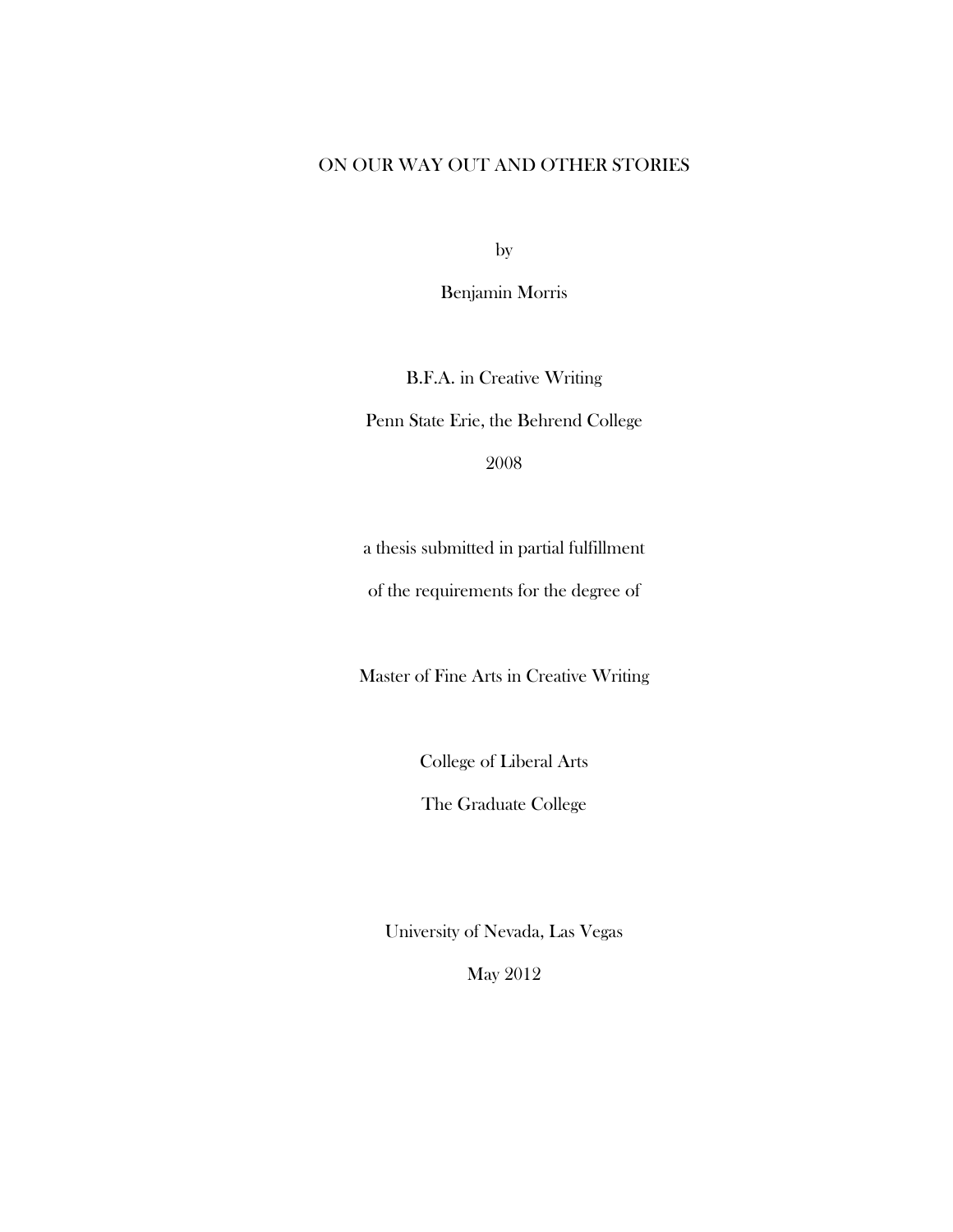# ON OUR WAY OUT AND OTHER STORIES

by

Benjamin Morris

B.F.A. in Creative Writing

Penn State Erie, the Behrend College

2008

a thesis submitted in partial fulfillment of the requirements for the degree of

Master of Fine Arts in Creative Writing

College of Liberal Arts

The Graduate College

University of Nevada, Las Vegas May 2012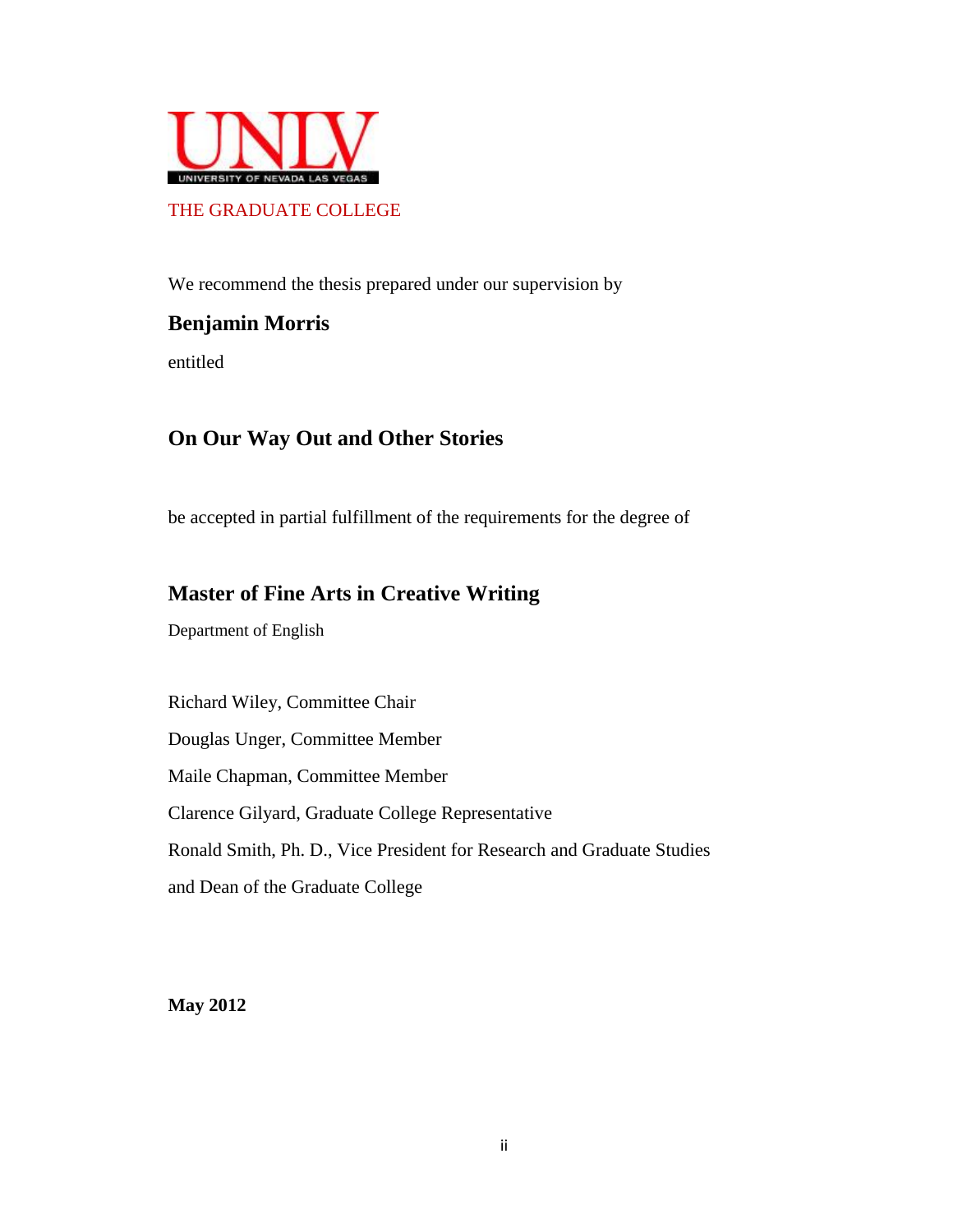

We recommend the thesis prepared under our supervision by

# **Benjamin Morris**

entitled

# **On Our Way Out and Other Stories**

be accepted in partial fulfillment of the requirements for the degree of

# **Master of Fine Arts in Creative Writing**

Department of English

Richard Wiley, Committee Chair Douglas Unger, Committee Member Maile Chapman, Committee Member Clarence Gilyard, Graduate College Representative Ronald Smith, Ph. D., Vice President for Research and Graduate Studies and Dean of the Graduate College

**May 2012**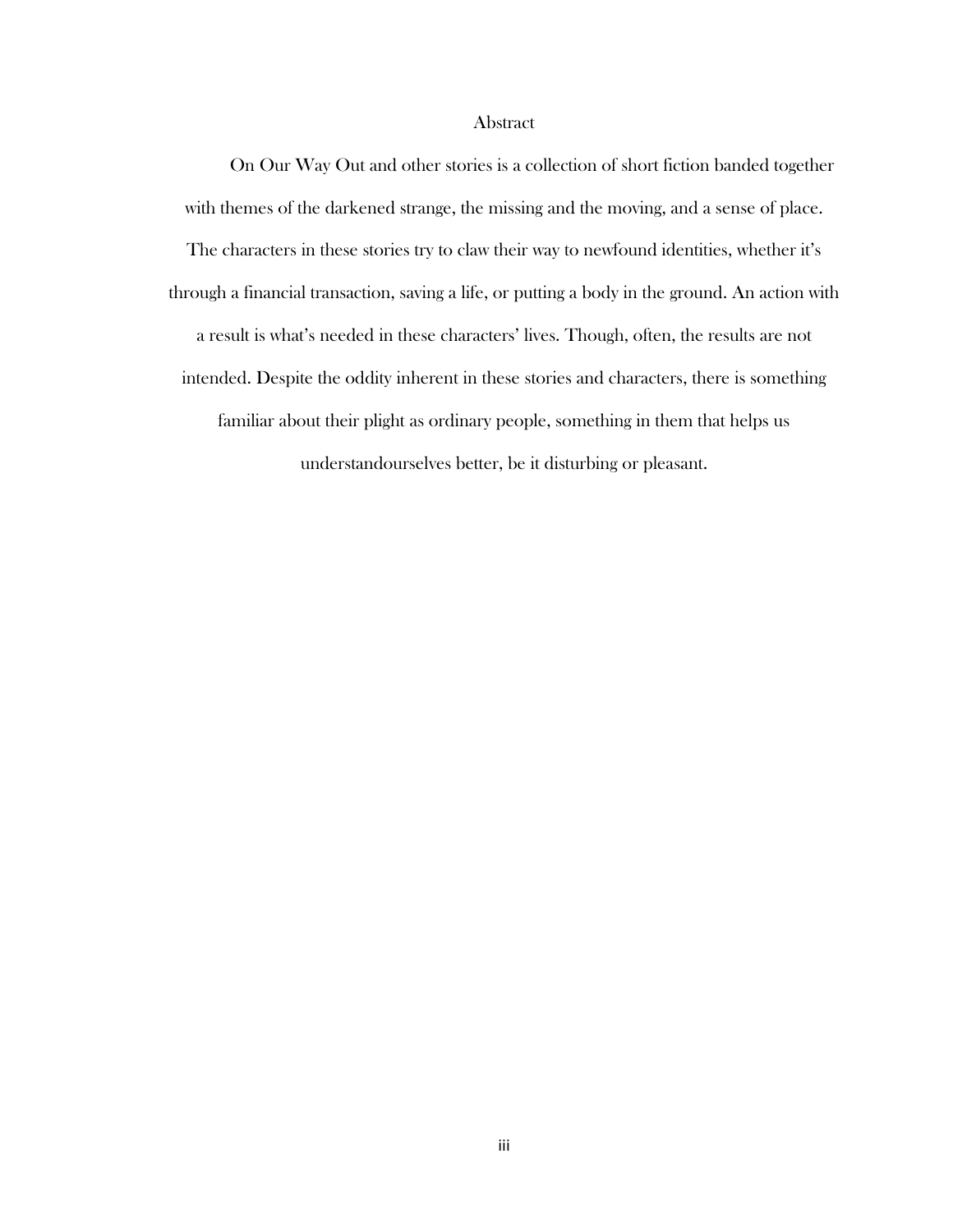#### Abstract

On Our Way Out and other stories is a collection of short fiction banded together with themes of the darkened strange, the missing and the moving, and a sense of place. The characters in these stories try to claw their way to newfound identities, whether it's through a financial transaction, saving a life, or putting a body in the ground. An action with a result is what's needed in these characters' lives. Though, often, the results are not intended. Despite the oddity inherent in these stories and characters, there is something familiar about their plight as ordinary people, something in them that helps us understandourselves better, be it disturbing or pleasant.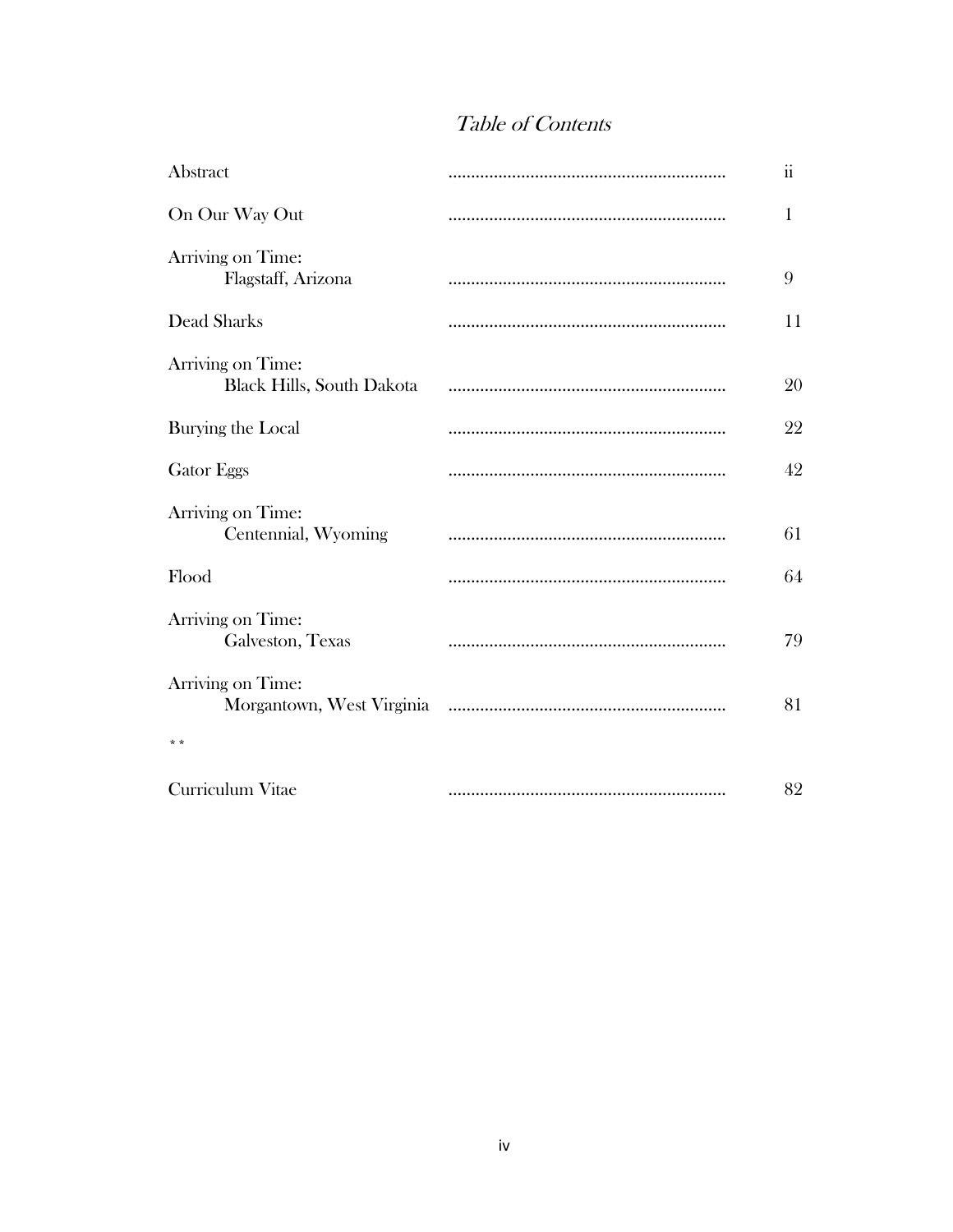# Table of Contents

| Abstract                                       | 11 |
|------------------------------------------------|----|
| On Our Way Out                                 | 1  |
| Arriving on Time:<br>Flagstaff, Arizona        | 9  |
| Dead Sharks                                    | 11 |
| Arriving on Time:<br>Black Hills, South Dakota | 20 |
| Burying the Local                              | 22 |
| Gator Eggs                                     | 42 |
| Arriving on Time:<br>Centennial, Wyoming       | 61 |
| Flood                                          | 64 |
| Arriving on Time:<br>Galveston, Texas          | 79 |
| Arriving on Time:                              | 81 |
| * *                                            |    |
| Curriculum Vitae                               | 82 |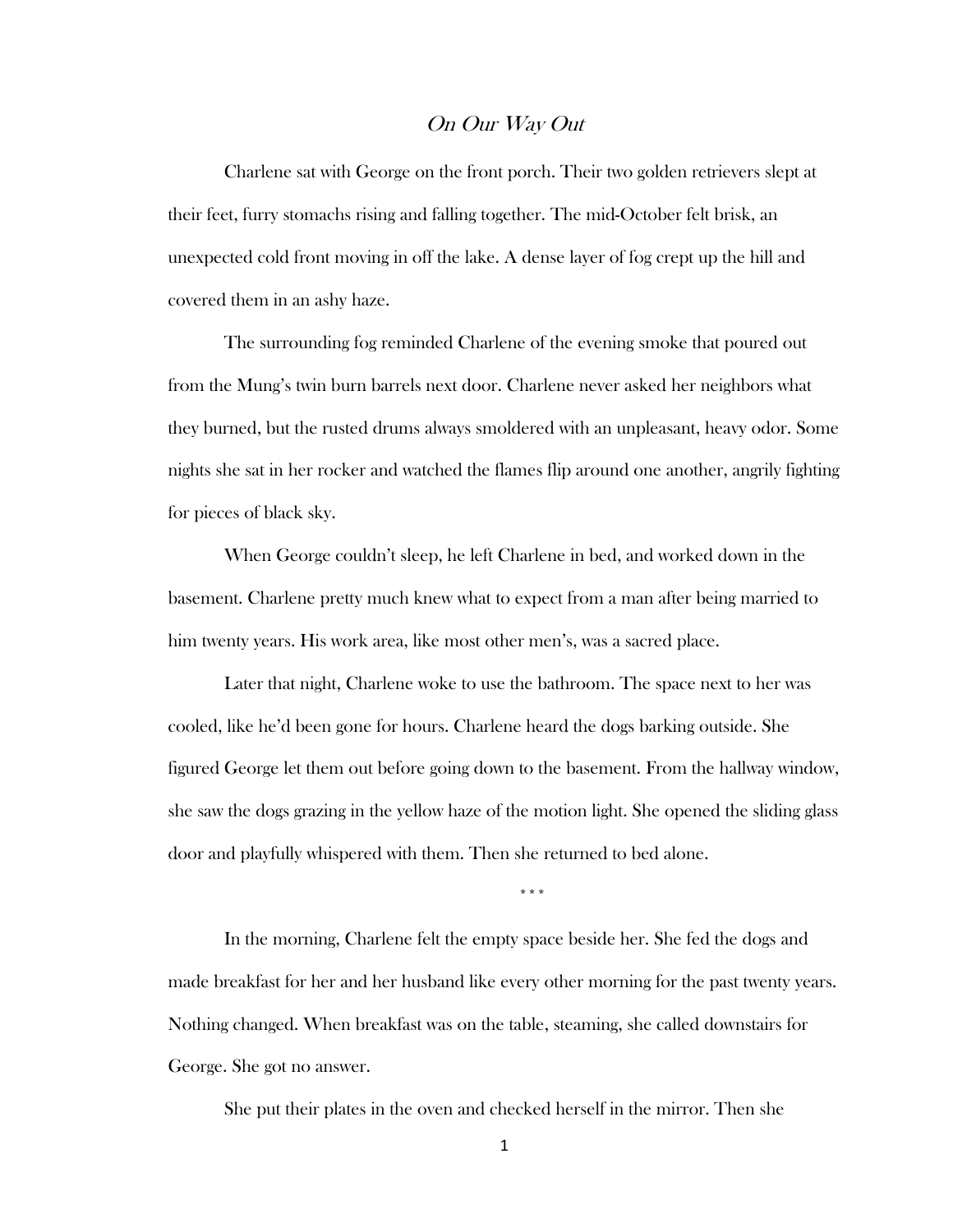## On Our Way Out

Charlene sat with George on the front porch. Their two golden retrievers slept at their feet, furry stomachs rising and falling together. The mid-October felt brisk, an unexpected cold front moving in off the lake. A dense layer of fog crept up the hill and covered them in an ashy haze.

The surrounding fog reminded Charlene of the evening smoke that poured out from the Mung's twin burn barrels next door. Charlene never asked her neighbors what they burned, but the rusted drums always smoldered with an unpleasant, heavy odor. Some nights she sat in her rocker and watched the flames flip around one another, angrily fighting for pieces of black sky.

When George couldn't sleep, he left Charlene in bed, and worked down in the basement. Charlene pretty much knew what to expect from a man after being married to him twenty years. His work area, like most other men's, was a sacred place.

Later that night, Charlene woke to use the bathroom. The space next to her was cooled, like he'd been gone for hours. Charlene heard the dogs barking outside. She figured George let them out before going down to the basement. From the hallway window, she saw the dogs grazing in the yellow haze of the motion light. She opened the sliding glass door and playfully whispered with them. Then she returned to bed alone.

\*\*\*

In the morning, Charlene felt the empty space beside her. She fed the dogs and made breakfast for her and her husband like every other morning for the past twenty years. Nothing changed. When breakfast was on the table, steaming, she called downstairs for George. She got no answer.

She put their plates in the oven and checked herself in the mirror. Then she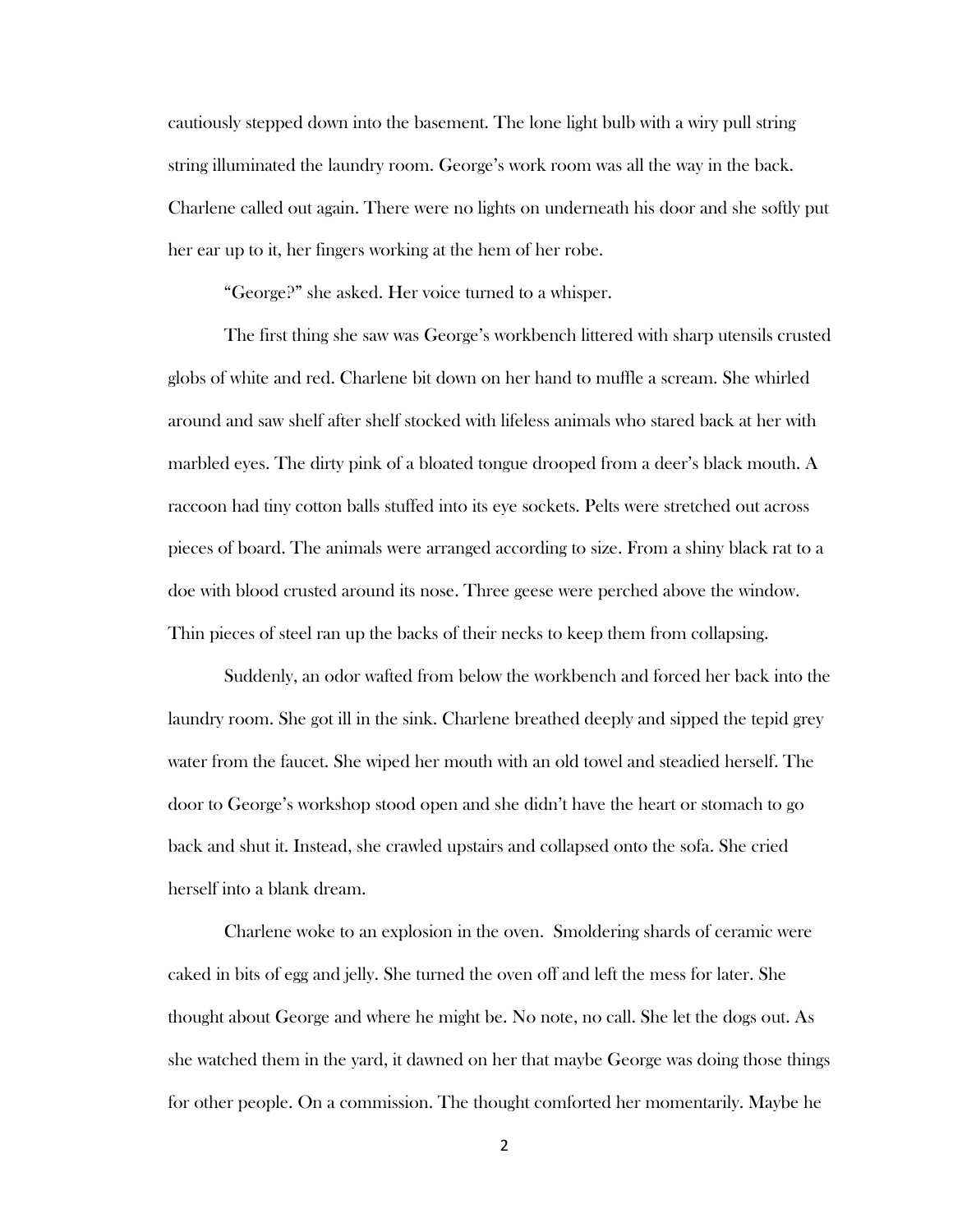cautiously stepped down into the basement. The lone light bulb with a wiry pull string string illuminated the laundry room. George's work room was all the way in the back. Charlene called out again. There were no lights on underneath his door and she softly put her ear up to it, her fingers working at the hem of her robe.

"George?" she asked. Her voice turned to a whisper.

The first thing she saw was George's workbench littered with sharp utensils crusted globs of white and red. Charlene bit down on her hand to muffle a scream. She whirled around and saw shelf after shelf stocked with lifeless animals who stared back at her with marbled eyes. The dirty pink of a bloated tongue drooped from a deer's black mouth. A raccoon had tiny cotton balls stuffed into its eye sockets. Pelts were stretched out across pieces of board. The animals were arranged according to size. From a shiny black rat to a doe with blood crusted around its nose. Three geese were perched above the window. Thin pieces of steel ran up the backs of their necks to keep them from collapsing.

Suddenly, an odor wafted from below the workbench and forced her back into the laundry room. She got ill in the sink. Charlene breathed deeply and sipped the tepid grey water from the faucet. She wiped her mouth with an old towel and steadied herself. The door to George's workshop stood open and she didn't have the heart or stomach to go back and shut it. Instead, she crawled upstairs and collapsed onto the sofa. She cried herself into a blank dream.

Charlene woke to an explosion in the oven. Smoldering shards of ceramic were caked in bits of egg and jelly. She turned the oven off and left the mess for later. She thought about George and where he might be. No note, no call. She let the dogs out. As she watched them in the yard, it dawned on her that maybe George was doing those things for other people. On a commission. The thought comforted her momentarily. Maybe he

2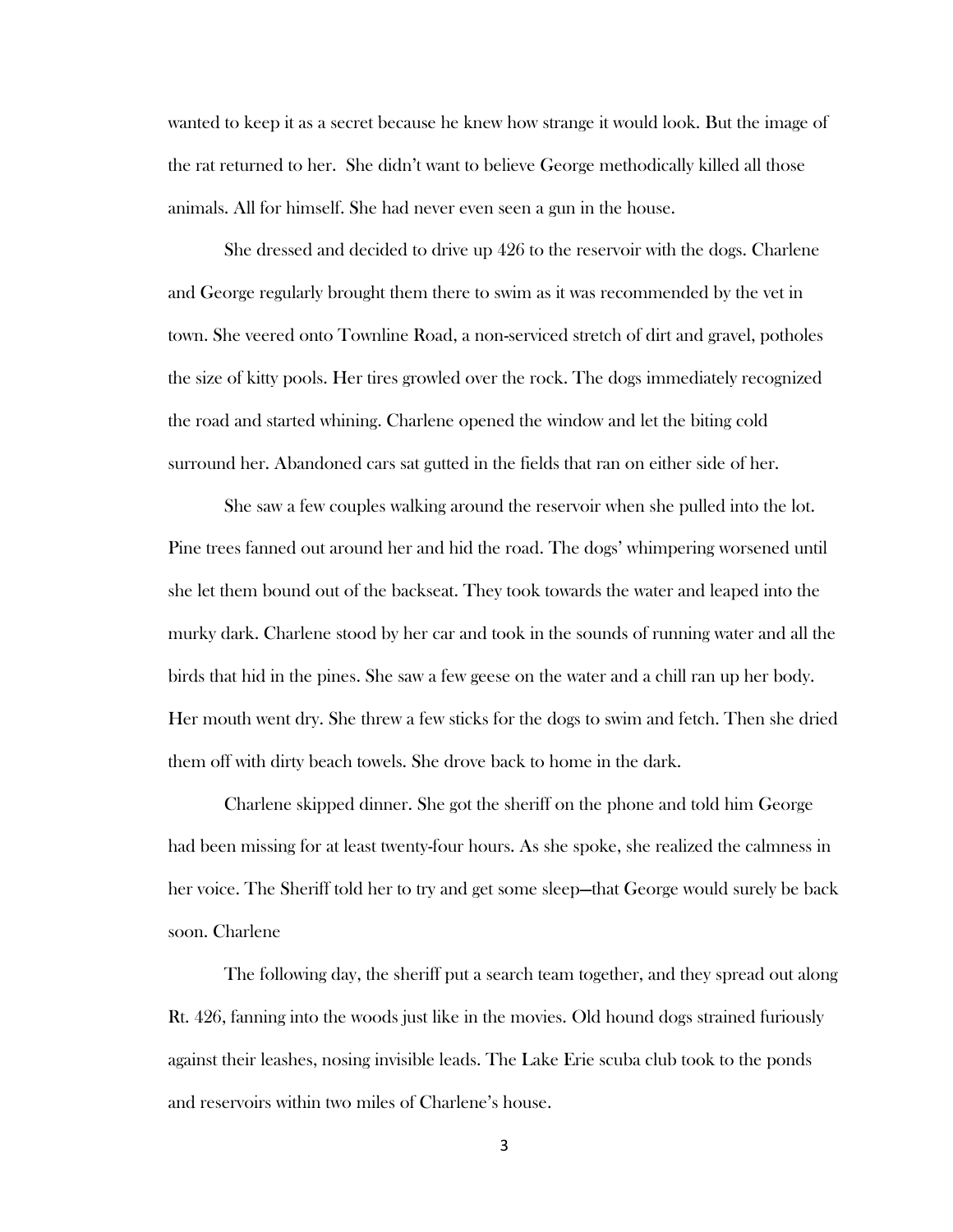wanted to keep it as a secret because he knew how strange it would look. But the image of the rat returned to her. She didn't want to believe George methodically killed all those animals. All for himself. She had never even seen a gun in the house.

She dressed and decided to drive up 426 to the reservoir with the dogs. Charlene and George regularly brought them there to swim as it was recommended by the vet in town. She veered onto Townline Road, a non-serviced stretch of dirt and gravel, potholes the size of kitty pools. Her tires growled over the rock. The dogs immediately recognized the road and started whining. Charlene opened the window and let the biting cold surround her. Abandoned cars sat gutted in the fields that ran on either side of her.

She saw a few couples walking around the reservoir when she pulled into the lot. Pine trees fanned out around her and hid the road. The dogs' whimpering worsened until she let them bound out of the backseat. They took towards the water and leaped into the murky dark. Charlene stood by her car and took in the sounds of running water and all the birds that hid in the pines. She saw a few geese on the water and a chill ran up her body. Her mouth went dry. She threw a few sticks for the dogs to swim and fetch. Then she dried them off with dirty beach towels. She drove back to home in the dark.

Charlene skipped dinner. She got the sheriff on the phone and told him George had been missing for at least twenty-four hours. As she spoke, she realized the calmness in her voice. The Sheriff told her to try and get some sleep—that George would surely be back soon. Charlene

The following day, the sheriff put a search team together, and they spread out along Rt. 426, fanning into the woods just like in the movies. Old hound dogs strained furiously against their leashes, nosing invisible leads. The Lake Erie scuba club took to the ponds and reservoirs within two miles of Charlene's house.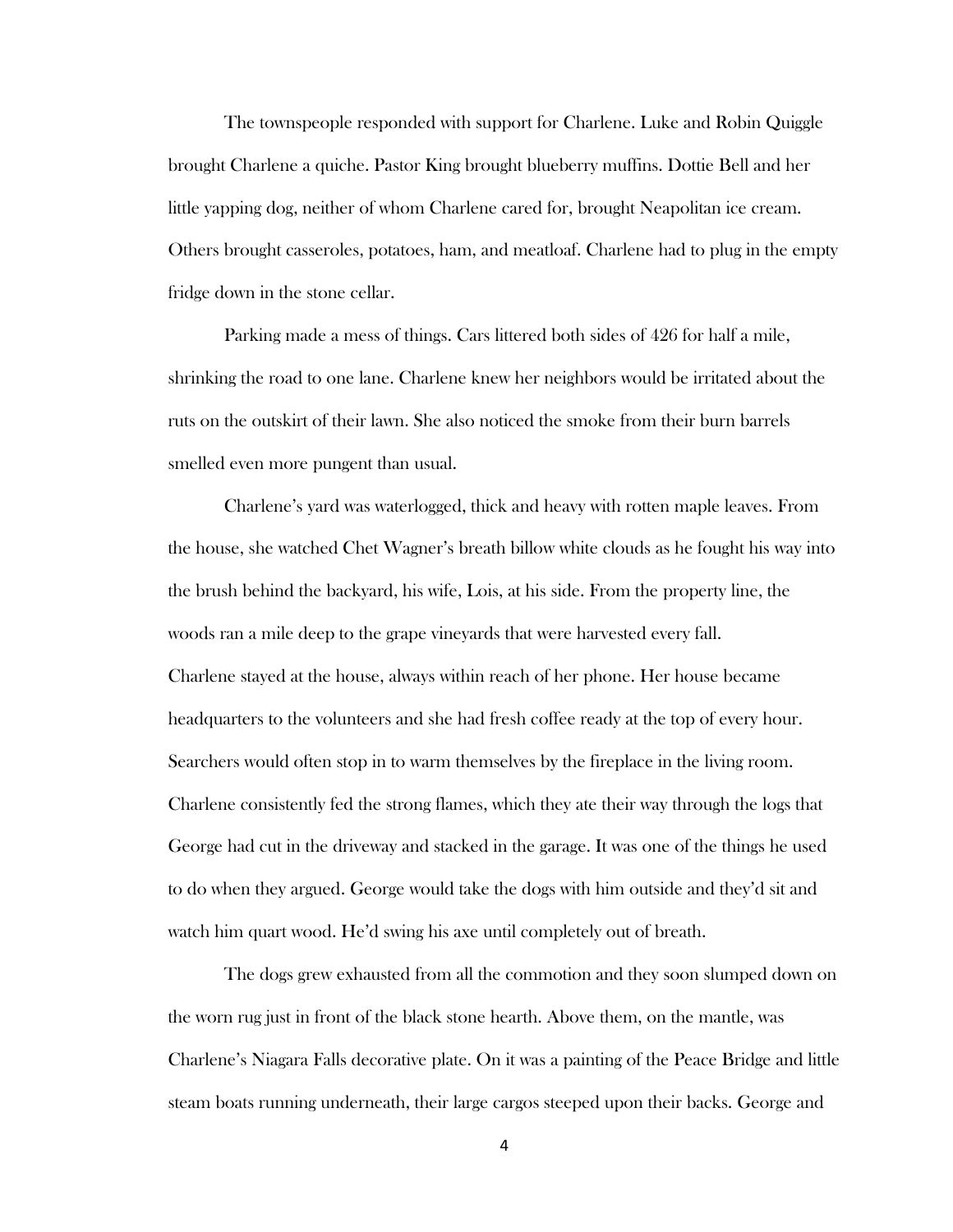The townspeople responded with support for Charlene. Luke and Robin Quiggle brought Charlene a quiche. Pastor King brought blueberry muffins. Dottie Bell and her little yapping dog, neither of whom Charlene cared for, brought Neapolitan ice cream. Others brought casseroles, potatoes, ham, and meatloaf. Charlene had to plug in the empty fridge down in the stone cellar.

Parking made a mess of things. Cars littered both sides of 426 for half a mile, shrinking the road to one lane. Charlene knew her neighbors would be irritated about the ruts on the outskirt of their lawn. She also noticed the smoke from their burn barrels smelled even more pungent than usual.

Charlene's yard was waterlogged, thick and heavy with rotten maple leaves. From the house, she watched Chet Wagner's breath billow white clouds as he fought his way into the brush behind the backyard, his wife, Lois, at his side. From the property line, the woods ran a mile deep to the grape vineyards that were harvested every fall. Charlene stayed at the house, always within reach of her phone. Her house became headquarters to the volunteers and she had fresh coffee ready at the top of every hour. Searchers would often stop in to warm themselves by the fireplace in the living room. Charlene consistently fed the strong flames, which they ate their way through the logs that George had cut in the driveway and stacked in the garage. It was one of the things he used to do when they argued. George would take the dogs with him outside and they'd sit and watch him quart wood. He'd swing his axe until completely out of breath.

The dogs grew exhausted from all the commotion and they soon slumped down on the worn rug just in front of the black stone hearth. Above them, on the mantle, was Charlene's Niagara Falls decorative plate. On it was a painting of the Peace Bridge and little steam boats running underneath, their large cargos steeped upon their backs. George and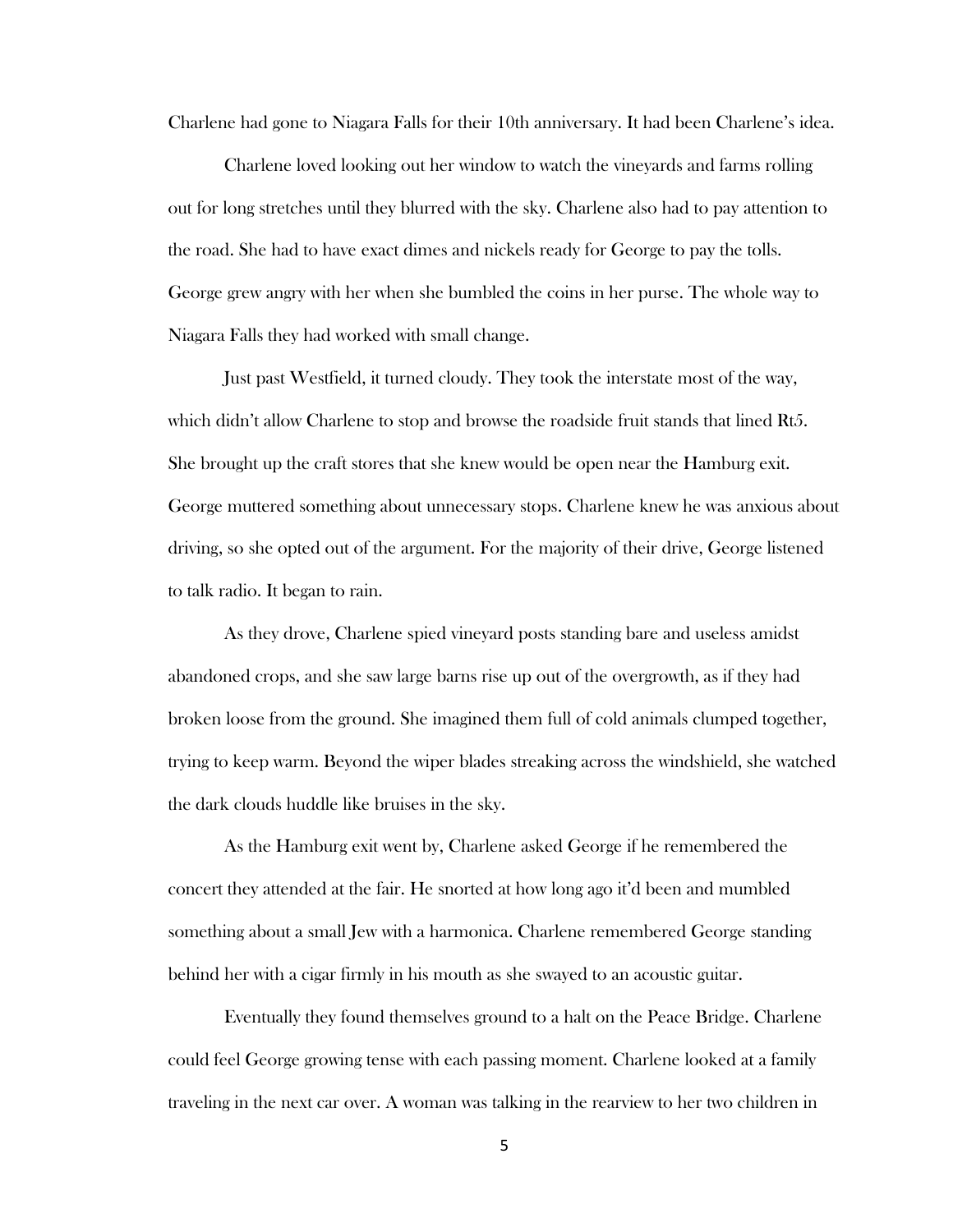Charlene had gone to Niagara Falls for their 10th anniversary. It had been Charlene's idea.

Charlene loved looking out her window to watch the vineyards and farms rolling out for long stretches until they blurred with the sky. Charlene also had to pay attention to the road. She had to have exact dimes and nickels ready for George to pay the tolls. George grew angry with her when she bumbled the coins in her purse. The whole way to Niagara Falls they had worked with small change.

Just past Westfield, it turned cloudy. They took the interstate most of the way, which didn't allow Charlene to stop and browse the roadside fruit stands that lined Rt5. She brought up the craft stores that she knew would be open near the Hamburg exit. George muttered something about unnecessary stops. Charlene knew he was anxious about driving, so she opted out of the argument. For the majority of their drive, George listened to talk radio. It began to rain.

As they drove, Charlene spied vineyard posts standing bare and useless amidst abandoned crops, and she saw large barns rise up out of the overgrowth, as if they had broken loose from the ground. She imagined them full of cold animals clumped together, trying to keep warm. Beyond the wiper blades streaking across the windshield, she watched the dark clouds huddle like bruises in the sky.

As the Hamburg exit went by, Charlene asked George if he remembered the concert they attended at the fair. He snorted at how long ago it'd been and mumbled something about a small Jew with a harmonica. Charlene remembered George standing behind her with a cigar firmly in his mouth as she swayed to an acoustic guitar.

Eventually they found themselves ground to a halt on the Peace Bridge. Charlene could feel George growing tense with each passing moment. Charlene looked at a family traveling in the next car over. A woman was talking in the rearview to her two children in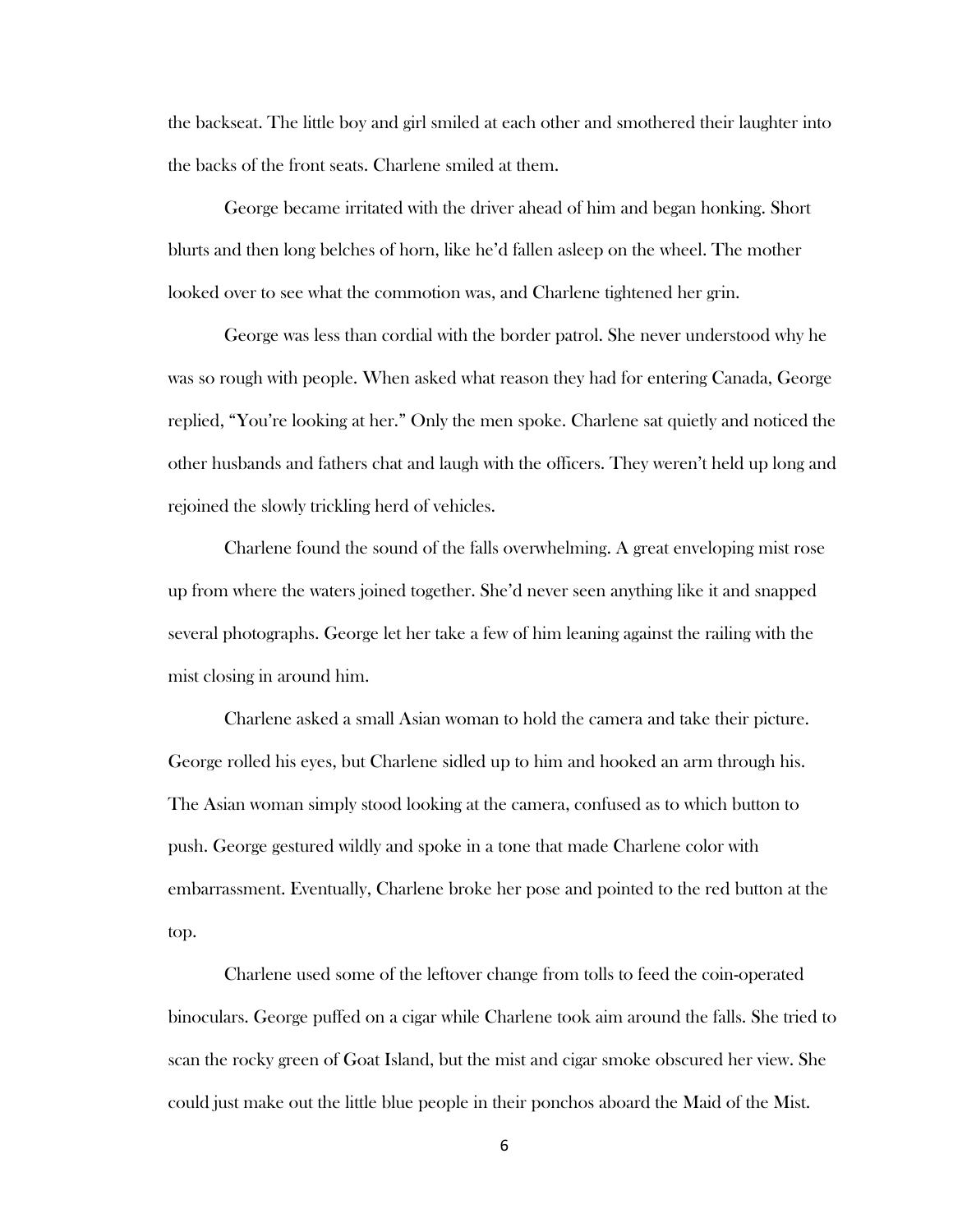the backseat. The little boy and girl smiled at each other and smothered their laughter into the backs of the front seats. Charlene smiled at them.

George became irritated with the driver ahead of him and began honking. Short blurts and then long belches of horn, like he'd fallen asleep on the wheel. The mother looked over to see what the commotion was, and Charlene tightened her grin.

George was less than cordial with the border patrol. She never understood why he was so rough with people. When asked what reason they had for entering Canada, George replied, "You're looking at her." Only the men spoke. Charlene sat quietly and noticed the other husbands and fathers chat and laugh with the officers. They weren't held up long and rejoined the slowly trickling herd of vehicles.

Charlene found the sound of the falls overwhelming. A great enveloping mist rose up from where the waters joined together. She'd never seen anything like it and snapped several photographs. George let her take a few of him leaning against the railing with the mist closing in around him.

Charlene asked a small Asian woman to hold the camera and take their picture. George rolled his eyes, but Charlene sidled up to him and hooked an arm through his. The Asian woman simply stood looking at the camera, confused as to which button to push. George gestured wildly and spoke in a tone that made Charlene color with embarrassment. Eventually, Charlene broke her pose and pointed to the red button at the top.

Charlene used some of the leftover change from tolls to feed the coin-operated binoculars. George puffed on a cigar while Charlene took aim around the falls. She tried to scan the rocky green of Goat Island, but the mist and cigar smoke obscured her view. She could just make out the little blue people in their ponchos aboard the Maid of the Mist.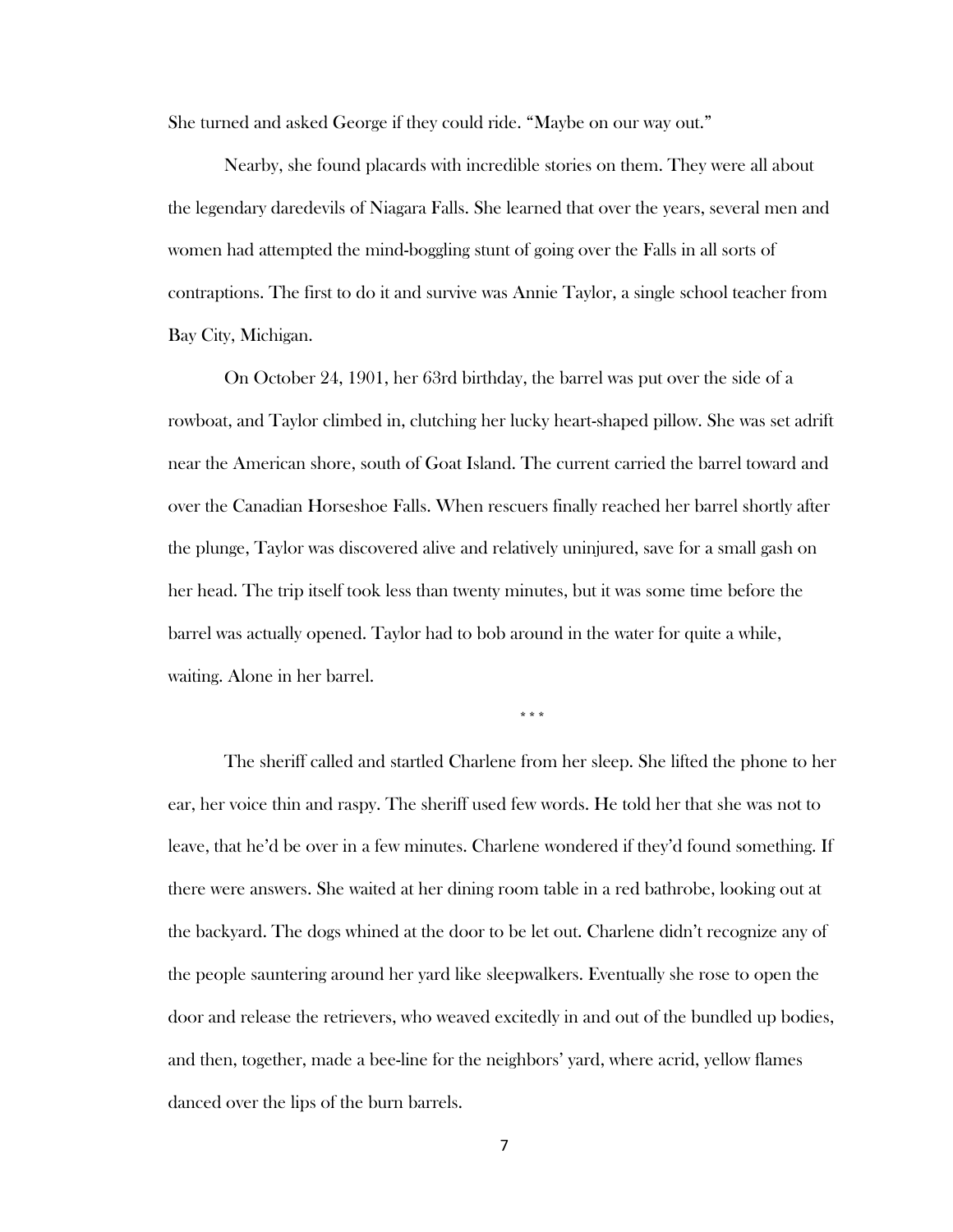She turned and asked George if they could ride. "Maybe on our way out."

Nearby, she found placards with incredible stories on them. They were all about the legendary daredevils of Niagara Falls. She learned that over the years, several men and women had attempted the mind-boggling stunt of going over the Falls in all sorts of contraptions. The first to do it and survive was Annie Taylor, a single school teacher from Bay City, Michigan.

On October 24, 1901, her 63rd birthday, the barrel was put over the side of a rowboat, and Taylor climbed in, clutching her lucky heart-shaped pillow. She was set adrift near the American shore, south of Goat Island. The current carried the barrel toward and over the Canadian Horseshoe Falls. When rescuers finally reached her barrel shortly after the plunge, Taylor was discovered alive and relatively uninjured, save for a small gash on her head. The trip itself took less than twenty minutes, but it was some time before the barrel was actually opened. Taylor had to bob around in the water for quite a while, waiting. Alone in her barrel.

\*\*\*

The sheriff called and startled Charlene from her sleep. She lifted the phone to her ear, her voice thin and raspy. The sheriff used few words. He told her that she was not to leave, that he'd be over in a few minutes. Charlene wondered if they'd found something. If there were answers. She waited at her dining room table in a red bathrobe, looking out at the backyard. The dogs whined at the door to be let out. Charlene didn't recognize any of the people sauntering around her yard like sleepwalkers. Eventually she rose to open the door and release the retrievers, who weaved excitedly in and out of the bundled up bodies, and then, together, made a bee-line for the neighbors' yard, where acrid, yellow flames danced over the lips of the burn barrels.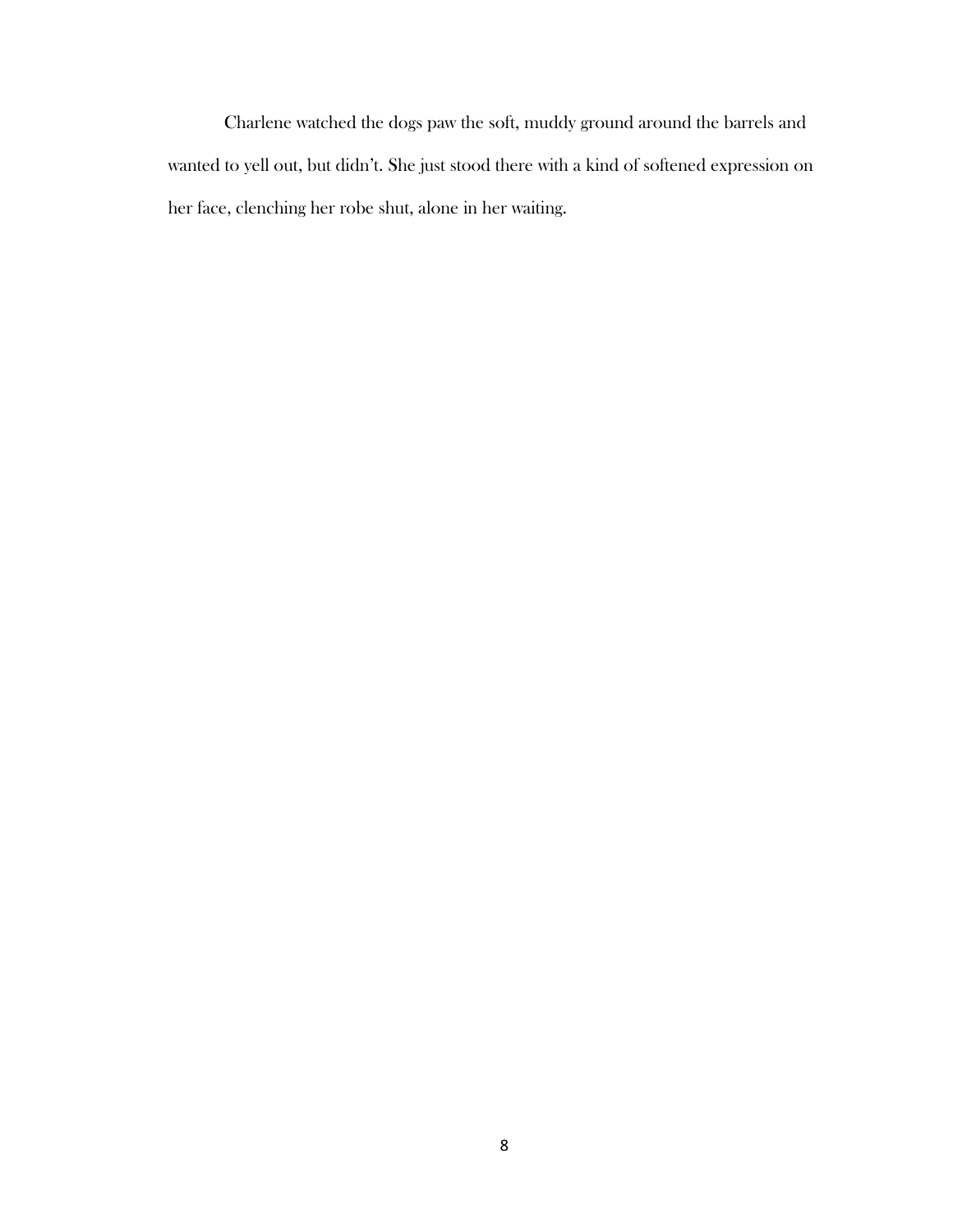Charlene watched the dogs paw the soft, muddy ground around the barrels and wanted to yell out, but didn't. She just stood there with a kind of softened expression on her face, clenching her robe shut, alone in her waiting.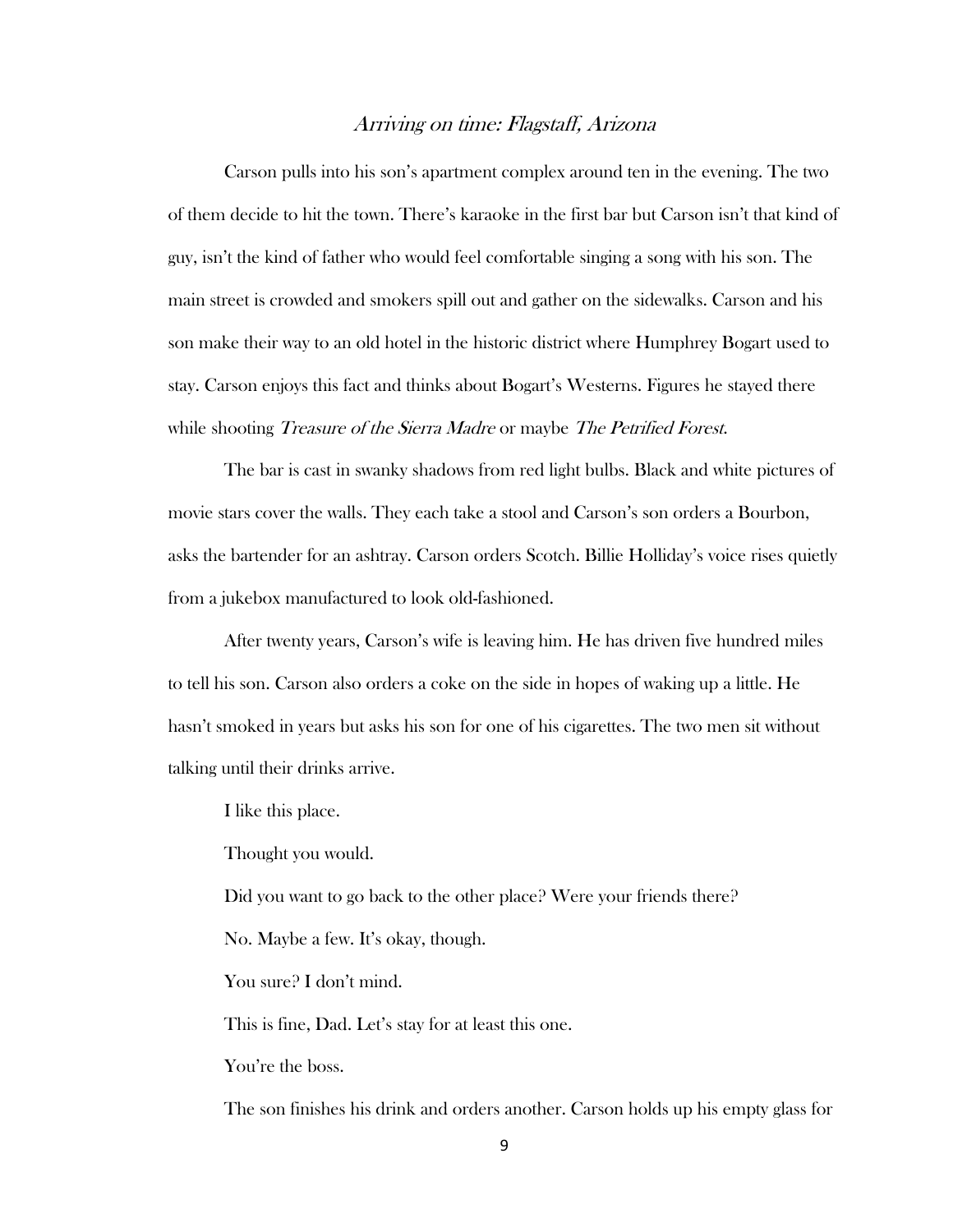## Arriving on time: Flagstaff, Arizona

Carson pulls into his son's apartment complex around ten in the evening. The two of them decide to hit the town. There's karaoke in the first bar but Carson isn't that kind of guy, isn't the kind of father who would feel comfortable singing a song with his son. The main street is crowded and smokers spill out and gather on the sidewalks. Carson and his son make their way to an old hotel in the historic district where Humphrey Bogart used to stay. Carson enjoys this fact and thinks about Bogart's Westerns. Figures he stayed there while shooting Treasure of the Sierra Madre or maybe The Petrified Forest.

The bar is cast in swanky shadows from red light bulbs. Black and white pictures of movie stars cover the walls. They each take a stool and Carson's son orders a Bourbon, asks the bartender for an ashtray. Carson orders Scotch. Billie Holliday's voice rises quietly from a jukebox manufactured to look old-fashioned.

After twenty years, Carson's wife is leaving him. He has driven five hundred miles to tell his son. Carson also orders a coke on the side in hopes of waking up a little. He hasn't smoked in years but asks his son for one of his cigarettes. The two men sit without talking until their drinks arrive.

I like this place.

Thought you would.

Did you want to go back to the other place? Were your friends there?

No. Maybe a few. It's okay, though.

You sure? I don't mind.

This is fine, Dad. Let's stay for at least this one.

You're the boss.

The son finishes his drink and orders another. Carson holds up his empty glass for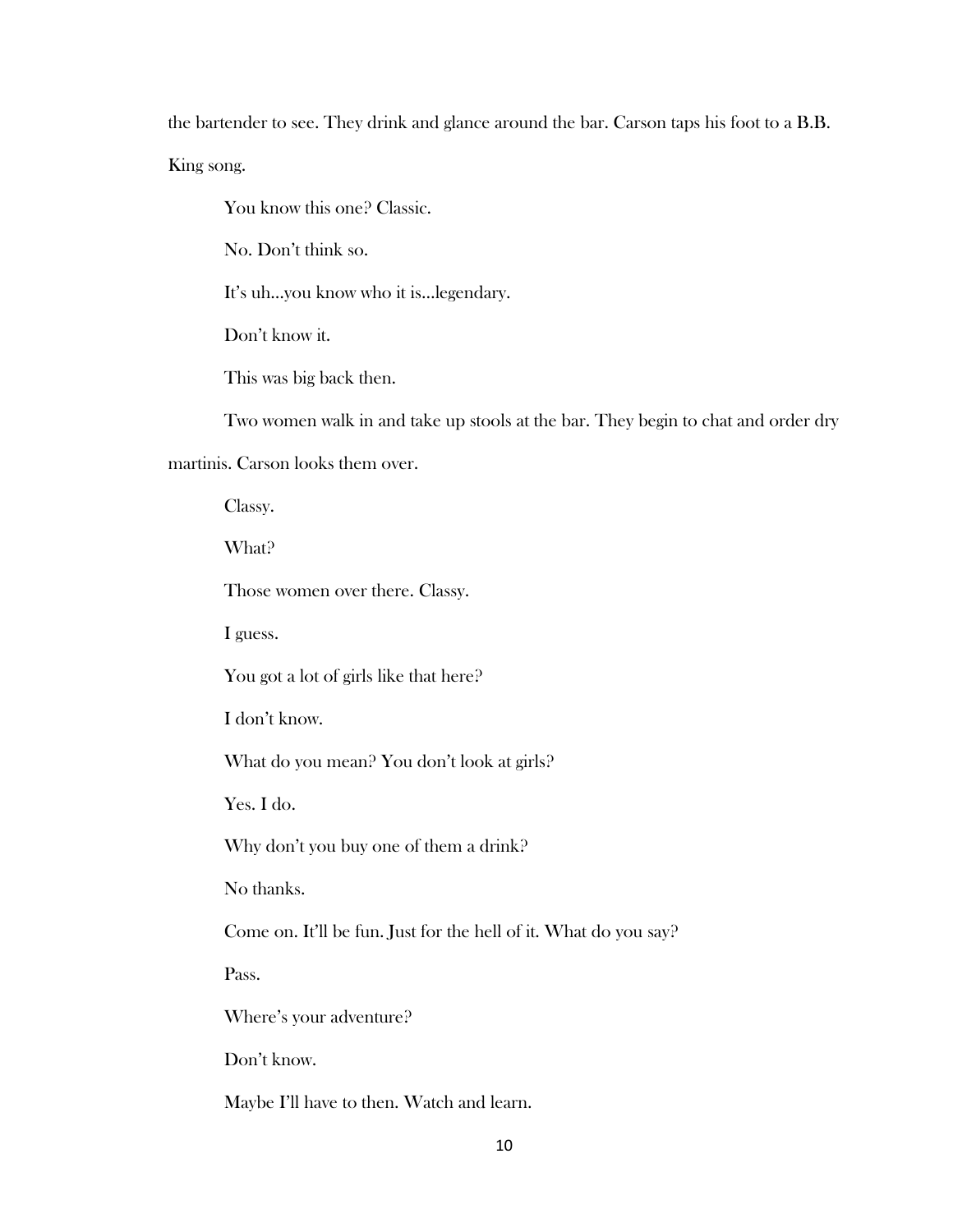the bartender to see. They drink and glance around the bar. Carson taps his foot to a B.B.

King song.

You know this one? Classic.

No. Don't think so.

It's uh…you know who it is…legendary.

Don't know it.

This was big back then.

Two women walk in and take up stools at the bar. They begin to chat and order dry

martinis. Carson looks them over.

Classy.

What?

Those women over there. Classy.

I guess.

You got a lot of girls like that here?

I don't know.

What do you mean? You don't look at girls?

Yes. I do.

Why don't you buy one of them a drink?

No thanks.

Come on. It'll be fun. Just for the hell of it. What do you say?

Pass.

Where's your adventure?

Don't know.

Maybe I'll have to then. Watch and learn.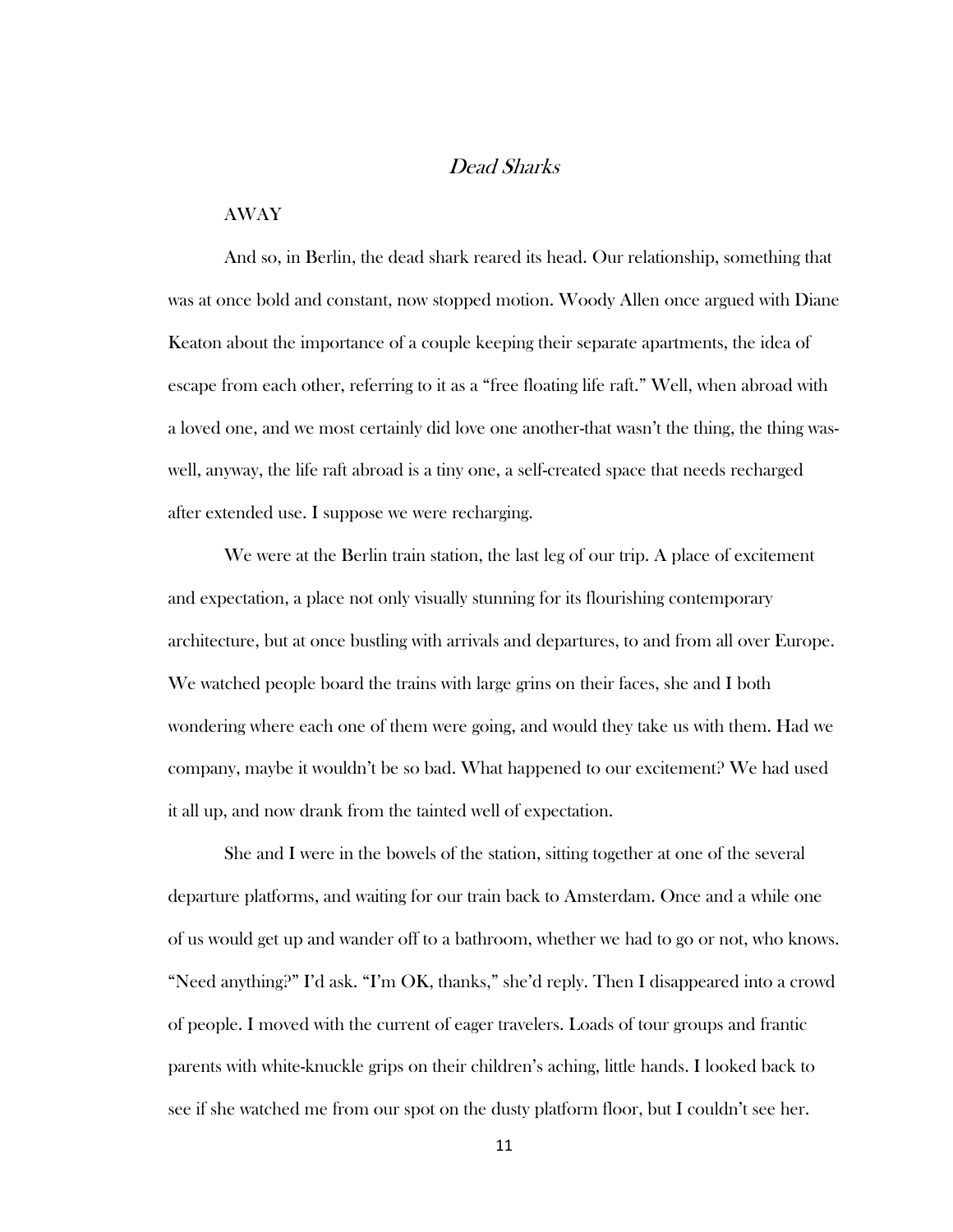## Dead Sharks

#### AWAY

And so, in Berlin, the dead shark reared its head. Our relationship, something that was at once bold and constant, now stopped motion. Woody Allen once argued with Diane Keaton about the importance of a couple keeping their separate apartments, the idea of escape from each other, referring to it as a "free floating life raft." Well, when abroad with a loved one, and we most certainly did love one another-that wasn't the thing, the thing waswell, anyway, the life raft abroad is a tiny one, a self-created space that needs recharged after extended use. I suppose we were recharging.

We were at the Berlin train station, the last leg of our trip. A place of excitement and expectation, a place not only visually stunning for its flourishing contemporary architecture, but at once bustling with arrivals and departures, to and from all over Europe. We watched people board the trains with large grins on their faces, she and I both wondering where each one of them were going, and would they take us with them. Had we company, maybe it wouldn't be so bad. What happened to our excitement? We had used it all up, and now drank from the tainted well of expectation.

She and I were in the bowels of the station, sitting together at one of the several departure platforms, and waiting for our train back to Amsterdam. Once and a while one of us would get up and wander off to a bathroom, whether we had to go or not, who knows. "Need anything?" I'd ask. "I'm OK, thanks," she'd reply. Then I disappeared into a crowd of people. I moved with the current of eager travelers. Loads of tour groups and frantic parents with white-knuckle grips on their children's aching, little hands. I looked back to see if she watched me from our spot on the dusty platform floor, but I couldn't see her.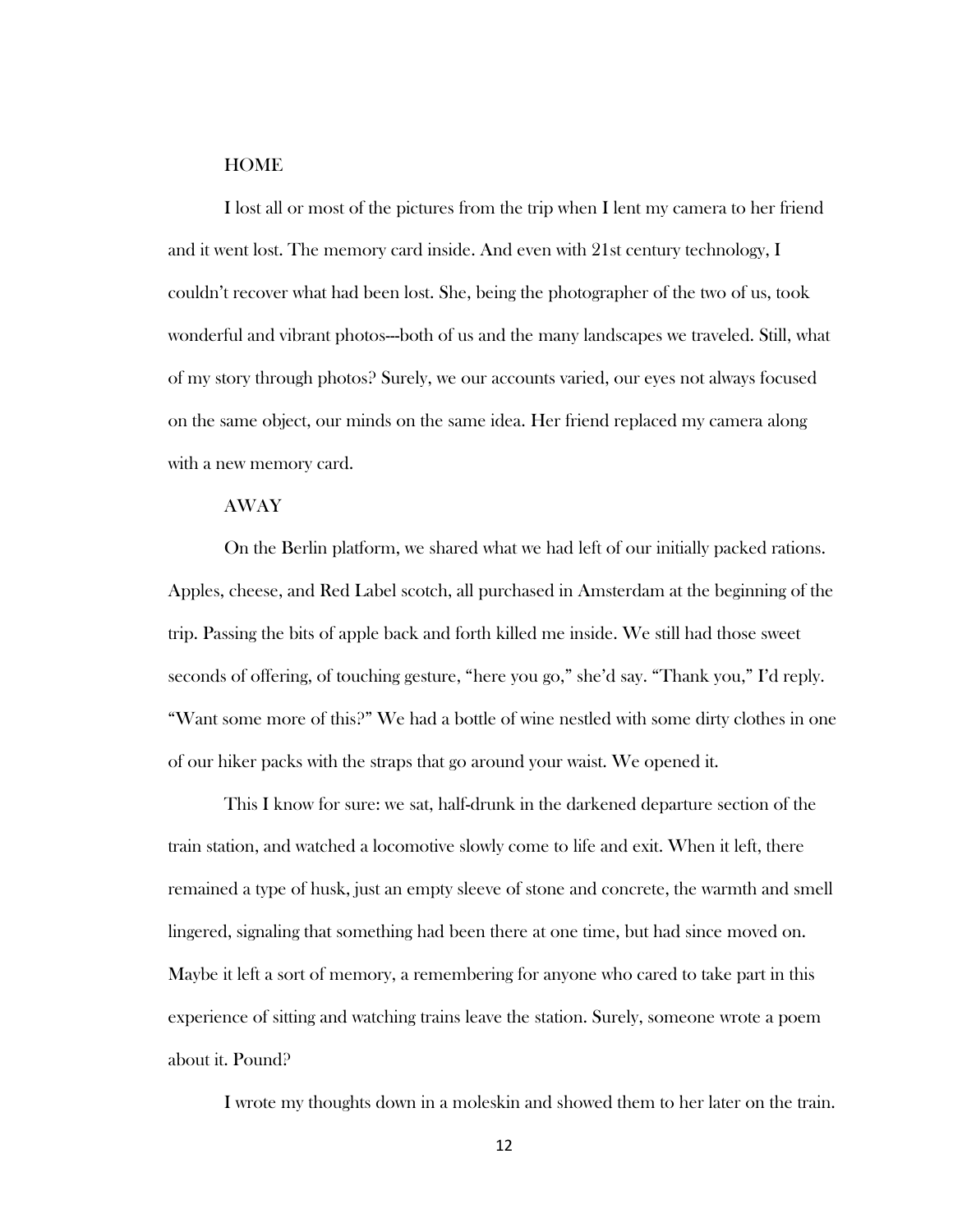#### **HOME**

I lost all or most of the pictures from the trip when I lent my camera to her friend and it went lost. The memory card inside. And even with 21st century technology, I couldn't recover what had been lost. She, being the photographer of the two of us, took wonderful and vibrant photos---both of us and the many landscapes we traveled. Still, what of my story through photos? Surely, we our accounts varied, our eyes not always focused on the same object, our minds on the same idea. Her friend replaced my camera along with a new memory card.

#### AWAY

On the Berlin platform, we shared what we had left of our initially packed rations. Apples, cheese, and Red Label scotch, all purchased in Amsterdam at the beginning of the trip. Passing the bits of apple back and forth killed me inside. We still had those sweet seconds of offering, of touching gesture, "here you go," she'd say. "Thank you," I'd reply. "Want some more of this?" We had a bottle of wine nestled with some dirty clothes in one of our hiker packs with the straps that go around your waist. We opened it.

This I know for sure: we sat, half-drunk in the darkened departure section of the train station, and watched a locomotive slowly come to life and exit. When it left, there remained a type of husk, just an empty sleeve of stone and concrete, the warmth and smell lingered, signaling that something had been there at one time, but had since moved on. Maybe it left a sort of memory, a remembering for anyone who cared to take part in this experience of sitting and watching trains leave the station. Surely, someone wrote a poem about it. Pound?

I wrote my thoughts down in a moleskin and showed them to her later on the train.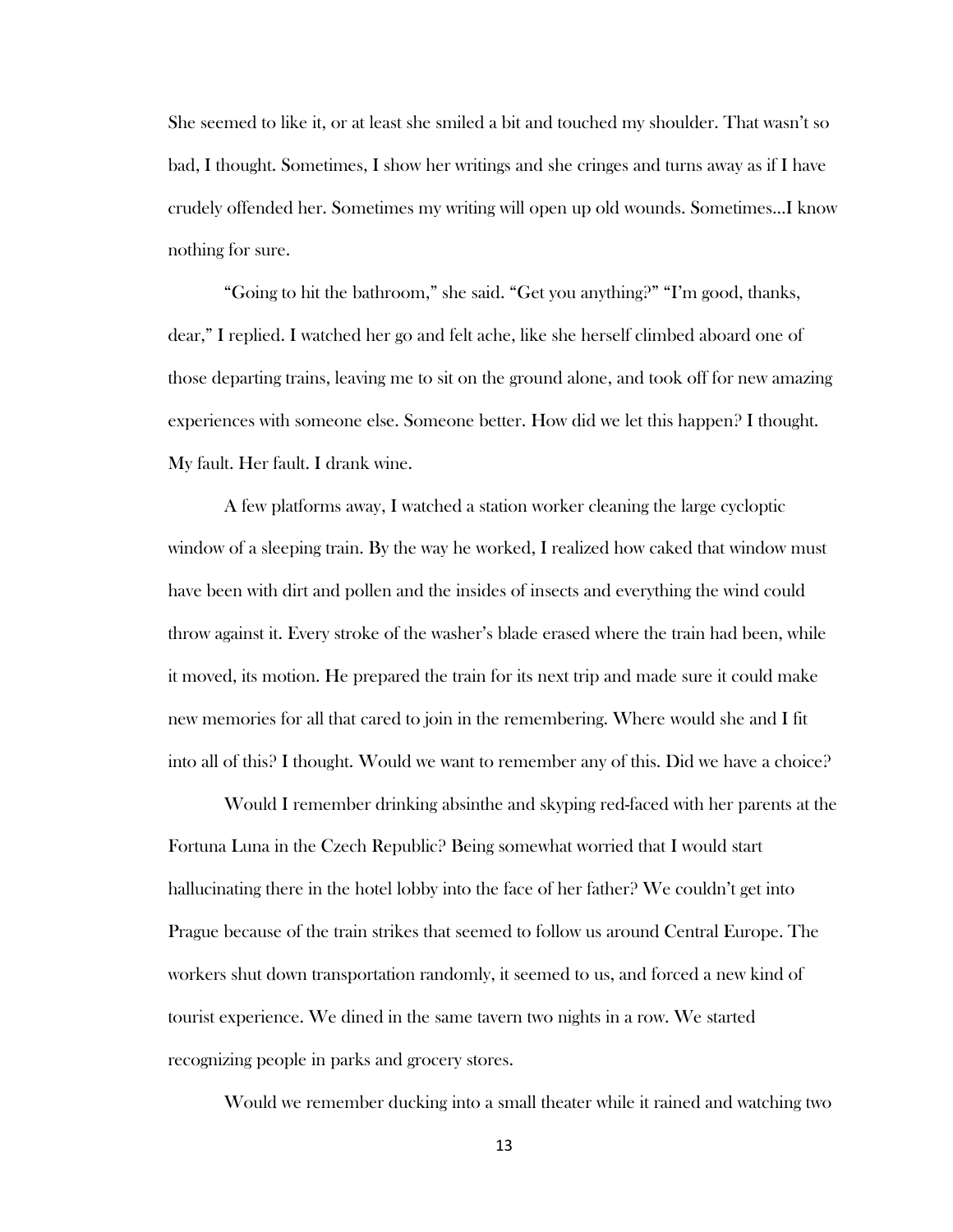She seemed to like it, or at least she smiled a bit and touched my shoulder. That wasn't so bad, I thought. Sometimes, I show her writings and she cringes and turns away as if I have crudely offended her. Sometimes my writing will open up old wounds. Sometimes…I know nothing for sure.

"Going to hit the bathroom," she said. "Get you anything?" "I'm good, thanks, dear," I replied. I watched her go and felt ache, like she herself climbed aboard one of those departing trains, leaving me to sit on the ground alone, and took off for new amazing experiences with someone else. Someone better. How did we let this happen? I thought. My fault. Her fault. I drank wine.

A few platforms away, I watched a station worker cleaning the large cycloptic window of a sleeping train. By the way he worked, I realized how caked that window must have been with dirt and pollen and the insides of insects and everything the wind could throw against it. Every stroke of the washer's blade erased where the train had been, while it moved, its motion. He prepared the train for its next trip and made sure it could make new memories for all that cared to join in the remembering. Where would she and I fit into all of this? I thought. Would we want to remember any of this. Did we have a choice?

Would I remember drinking absinthe and skyping red-faced with her parents at the Fortuna Luna in the Czech Republic? Being somewhat worried that I would start hallucinating there in the hotel lobby into the face of her father? We couldn't get into Prague because of the train strikes that seemed to follow us around Central Europe. The workers shut down transportation randomly, it seemed to us, and forced a new kind of tourist experience. We dined in the same tavern two nights in a row. We started recognizing people in parks and grocery stores.

Would we remember ducking into a small theater while it rained and watching two

13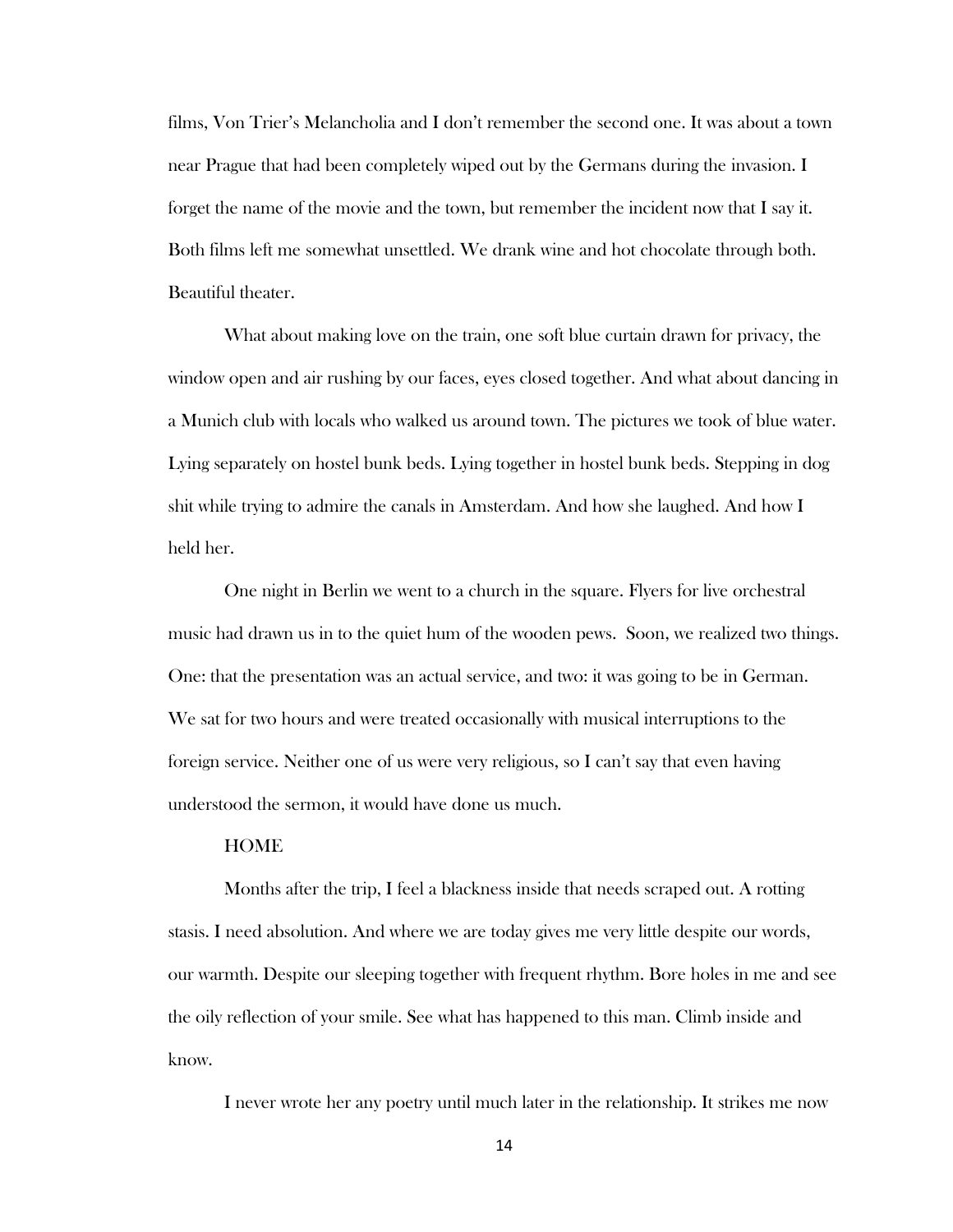films, Von Trier's Melancholia and I don't remember the second one. It was about a town near Prague that had been completely wiped out by the Germans during the invasion. I forget the name of the movie and the town, but remember the incident now that I say it. Both films left me somewhat unsettled. We drank wine and hot chocolate through both. Beautiful theater.

What about making love on the train, one soft blue curtain drawn for privacy, the window open and air rushing by our faces, eyes closed together. And what about dancing in a Munich club with locals who walked us around town. The pictures we took of blue water. Lying separately on hostel bunk beds. Lying together in hostel bunk beds. Stepping in dog shit while trying to admire the canals in Amsterdam. And how she laughed. And how I held her.

One night in Berlin we went to a church in the square. Flyers for live orchestral music had drawn us in to the quiet hum of the wooden pews. Soon, we realized two things. One: that the presentation was an actual service, and two: it was going to be in German. We sat for two hours and were treated occasionally with musical interruptions to the foreign service. Neither one of us were very religious, so I can't say that even having understood the sermon, it would have done us much.

#### **HOME**

Months after the trip, I feel a blackness inside that needs scraped out. A rotting stasis. I need absolution. And where we are today gives me very little despite our words, our warmth. Despite our sleeping together with frequent rhythm. Bore holes in me and see the oily reflection of your smile. See what has happened to this man. Climb inside and know.

I never wrote her any poetry until much later in the relationship. It strikes me now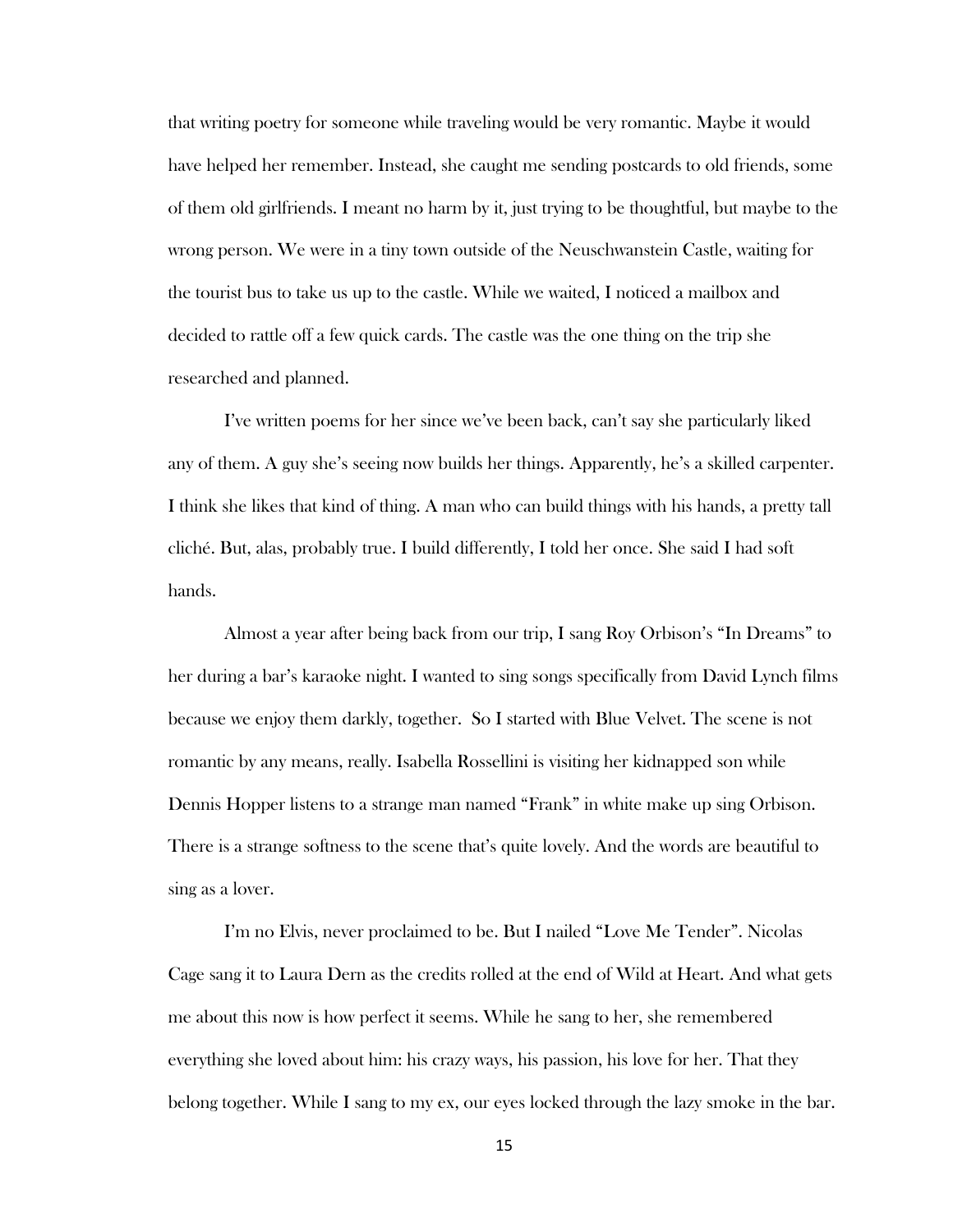that writing poetry for someone while traveling would be very romantic. Maybe it would have helped her remember. Instead, she caught me sending postcards to old friends, some of them old girlfriends. I meant no harm by it, just trying to be thoughtful, but maybe to the wrong person. We were in a tiny town outside of the Neuschwanstein Castle, waiting for the tourist bus to take us up to the castle. While we waited, I noticed a mailbox and decided to rattle off a few quick cards. The castle was the one thing on the trip she researched and planned.

I've written poems for her since we've been back, can't say she particularly liked any of them. A guy she's seeing now builds her things. Apparently, he's a skilled carpenter. I think she likes that kind of thing. A man who can build things with his hands, a pretty tall cliché. But, alas, probably true. I build differently, I told her once. She said I had soft hands.

Almost a year after being back from our trip, I sang Roy Orbison's "In Dreams" to her during a bar's karaoke night. I wanted to sing songs specifically from David Lynch films because we enjoy them darkly, together. So I started with Blue Velvet. The scene is not romantic by any means, really. Isabella Rossellini is visiting her kidnapped son while Dennis Hopper listens to a strange man named "Frank" in white make up sing Orbison. There is a strange softness to the scene that's quite lovely. And the words are beautiful to sing as a lover.

I'm no Elvis, never proclaimed to be. But I nailed "Love Me Tender". Nicolas Cage sang it to Laura Dern as the credits rolled at the end of Wild at Heart. And what gets me about this now is how perfect it seems. While he sang to her, she remembered everything she loved about him: his crazy ways, his passion, his love for her. That they belong together. While I sang to my ex, our eyes locked through the lazy smoke in the bar.

15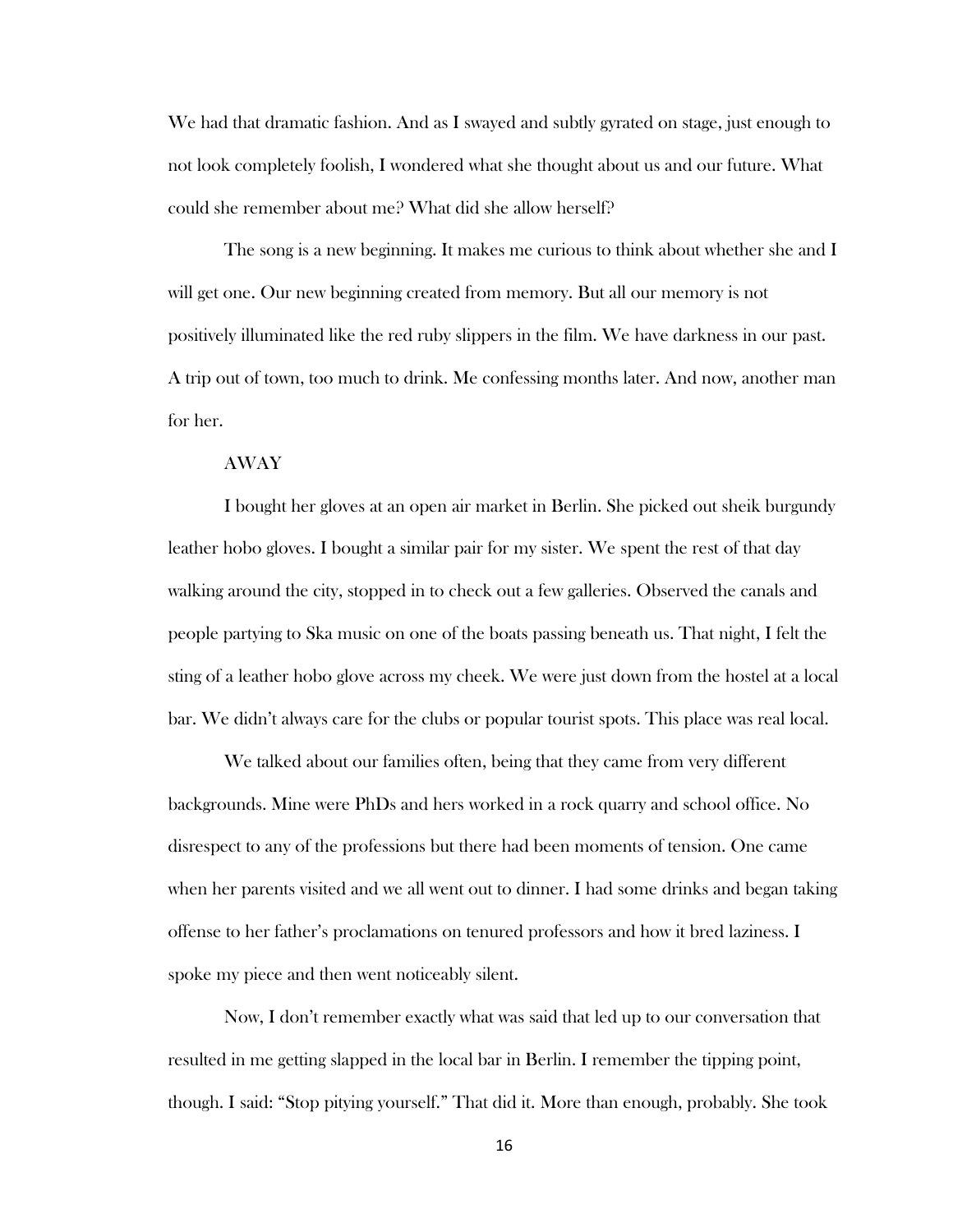We had that dramatic fashion. And as I swayed and subtly gyrated on stage, just enough to not look completely foolish, I wondered what she thought about us and our future. What could she remember about me? What did she allow herself?

The song is a new beginning. It makes me curious to think about whether she and I will get one. Our new beginning created from memory. But all our memory is not positively illuminated like the red ruby slippers in the film. We have darkness in our past. A trip out of town, too much to drink. Me confessing months later. And now, another man for her.

#### AWAY

I bought her gloves at an open air market in Berlin. She picked out sheik burgundy leather hobo gloves. I bought a similar pair for my sister. We spent the rest of that day walking around the city, stopped in to check out a few galleries. Observed the canals and people partying to Ska music on one of the boats passing beneath us. That night, I felt the sting of a leather hobo glove across my cheek. We were just down from the hostel at a local bar. We didn't always care for the clubs or popular tourist spots. This place was real local.

We talked about our families often, being that they came from very different backgrounds. Mine were PhDs and hers worked in a rock quarry and school office. No disrespect to any of the professions but there had been moments of tension. One came when her parents visited and we all went out to dinner. I had some drinks and began taking offense to her father's proclamations on tenured professors and how it bred laziness. I spoke my piece and then went noticeably silent.

Now, I don't remember exactly what was said that led up to our conversation that resulted in me getting slapped in the local bar in Berlin. I remember the tipping point, though. I said: "Stop pitying yourself." That did it. More than enough, probably. She took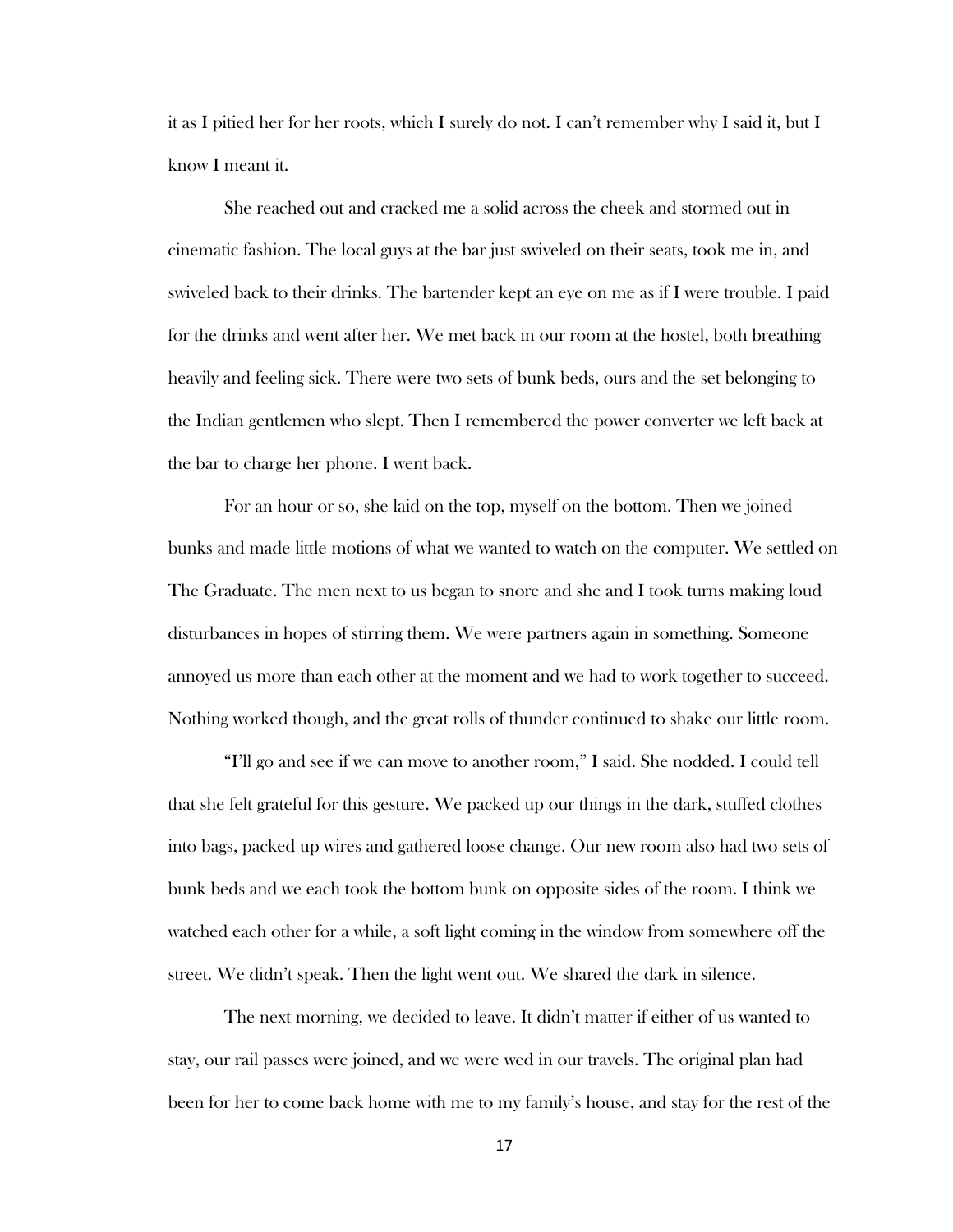it as I pitied her for her roots, which I surely do not. I can't remember why I said it, but I know I meant it.

She reached out and cracked me a solid across the cheek and stormed out in cinematic fashion. The local guys at the bar just swiveled on their seats, took me in, and swiveled back to their drinks. The bartender kept an eye on me as if I were trouble. I paid for the drinks and went after her. We met back in our room at the hostel, both breathing heavily and feeling sick. There were two sets of bunk beds, ours and the set belonging to the Indian gentlemen who slept. Then I remembered the power converter we left back at the bar to charge her phone. I went back.

For an hour or so, she laid on the top, myself on the bottom. Then we joined bunks and made little motions of what we wanted to watch on the computer. We settled on The Graduate. The men next to us began to snore and she and I took turns making loud disturbances in hopes of stirring them. We were partners again in something. Someone annoyed us more than each other at the moment and we had to work together to succeed. Nothing worked though, and the great rolls of thunder continued to shake our little room.

"I'll go and see if we can move to another room," I said. She nodded. I could tell that she felt grateful for this gesture. We packed up our things in the dark, stuffed clothes into bags, packed up wires and gathered loose change. Our new room also had two sets of bunk beds and we each took the bottom bunk on opposite sides of the room. I think we watched each other for a while, a soft light coming in the window from somewhere off the street. We didn't speak. Then the light went out. We shared the dark in silence.

The next morning, we decided to leave. It didn't matter if either of us wanted to stay, our rail passes were joined, and we were wed in our travels. The original plan had been for her to come back home with me to my family's house, and stay for the rest of the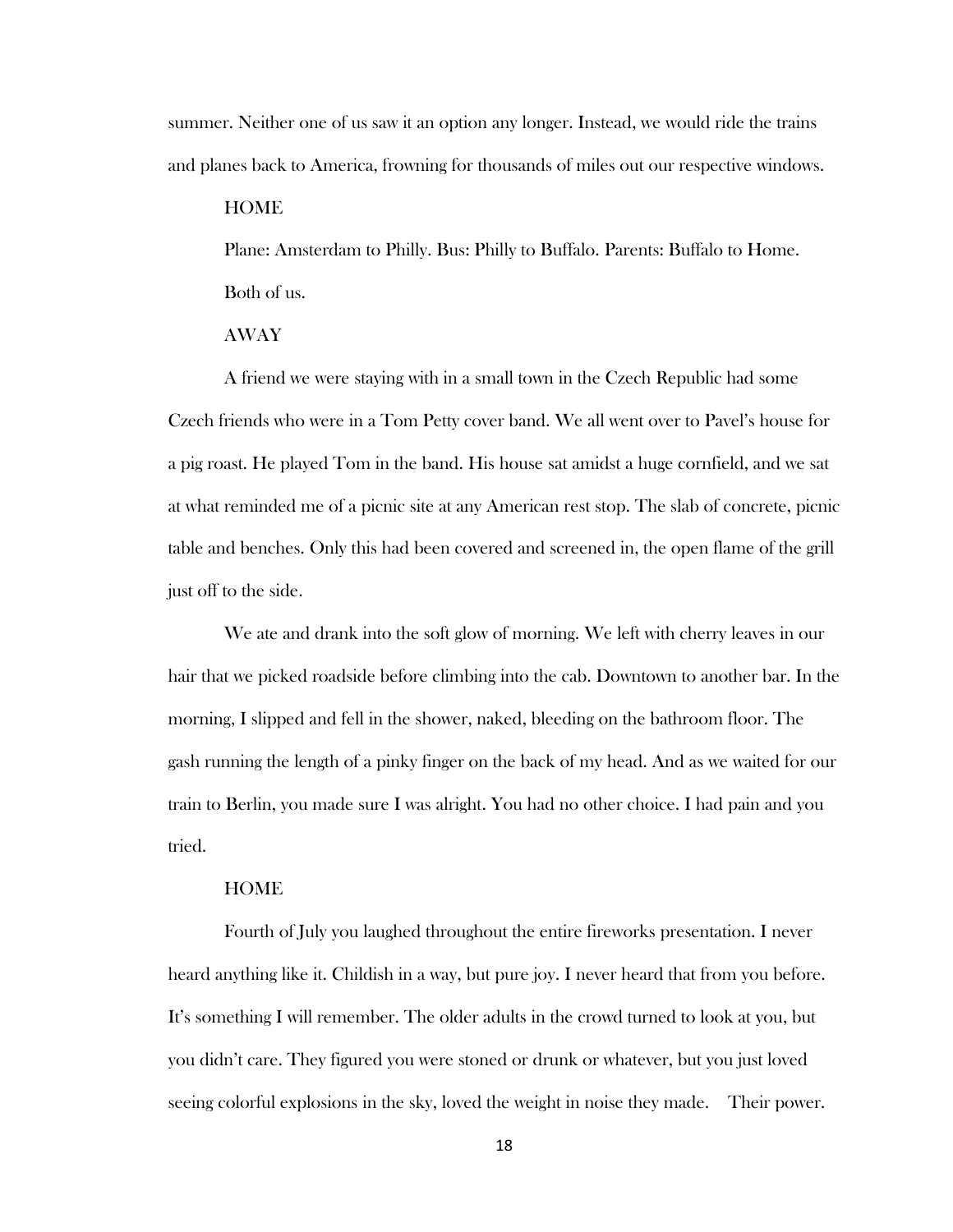summer. Neither one of us saw it an option any longer. Instead, we would ride the trains and planes back to America, frowning for thousands of miles out our respective windows.

#### **HOME**

Plane: Amsterdam to Philly. Bus: Philly to Buffalo. Parents: Buffalo to Home. Both of us.

#### AWAY

A friend we were staying with in a small town in the Czech Republic had some Czech friends who were in a Tom Petty cover band. We all went over to Pavel's house for a pig roast. He played Tom in the band. His house sat amidst a huge cornfield, and we sat at what reminded me of a picnic site at any American rest stop. The slab of concrete, picnic table and benches. Only this had been covered and screened in, the open flame of the grill just off to the side.

We ate and drank into the soft glow of morning. We left with cherry leaves in our hair that we picked roadside before climbing into the cab. Downtown to another bar. In the morning, I slipped and fell in the shower, naked, bleeding on the bathroom floor. The gash running the length of a pinky finger on the back of my head. And as we waited for our train to Berlin, you made sure I was alright. You had no other choice. I had pain and you tried.

#### HOME

Fourth of July you laughed throughout the entire fireworks presentation. I never heard anything like it. Childish in a way, but pure joy. I never heard that from you before. It's something I will remember. The older adults in the crowd turned to look at you, but you didn't care. They figured you were stoned or drunk or whatever, but you just loved seeing colorful explosions in the sky, loved the weight in noise they made. Their power.

18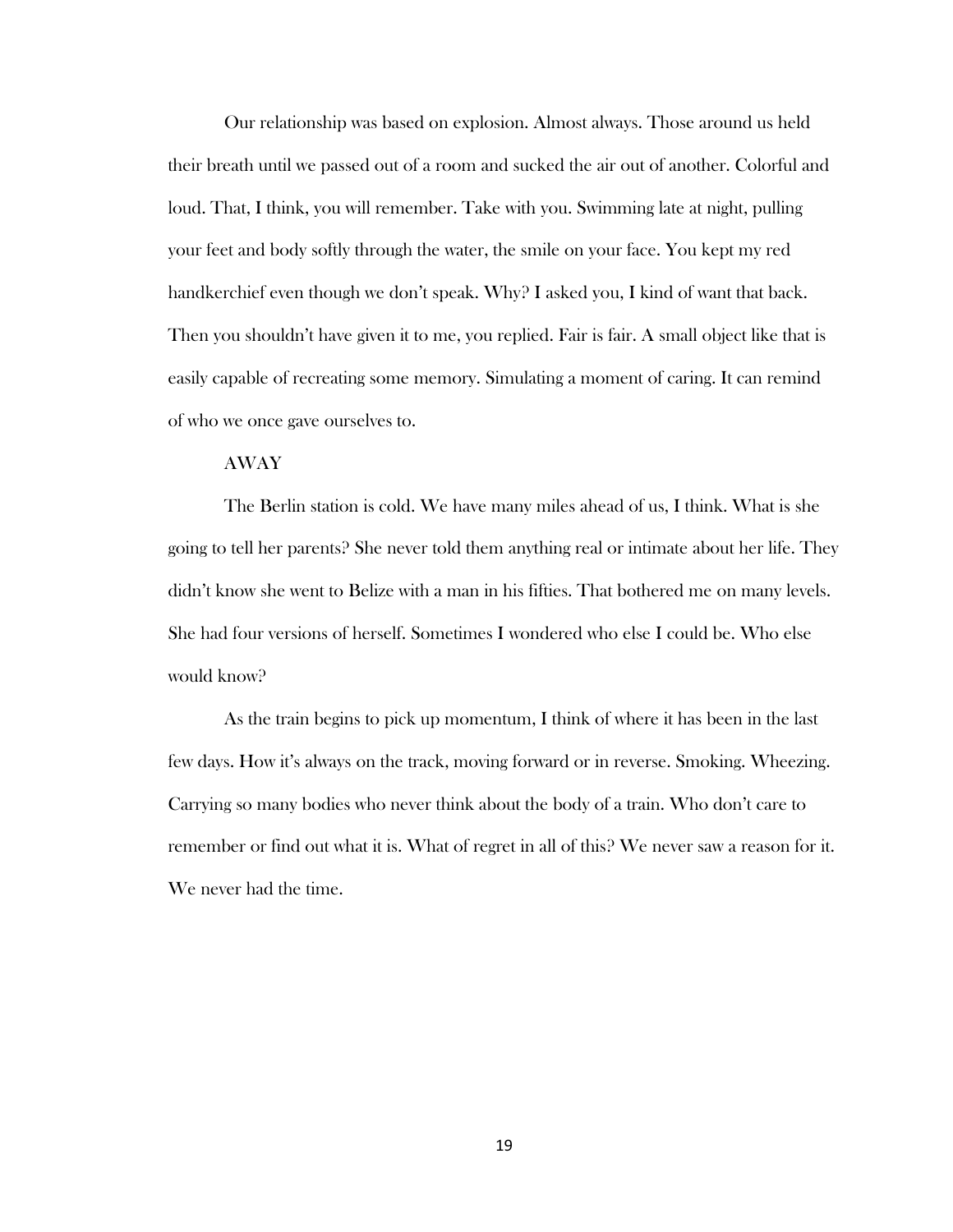Our relationship was based on explosion. Almost always. Those around us held their breath until we passed out of a room and sucked the air out of another. Colorful and loud. That, I think, you will remember. Take with you. Swimming late at night, pulling your feet and body softly through the water, the smile on your face. You kept my red handkerchief even though we don't speak. Why? I asked you, I kind of want that back. Then you shouldn't have given it to me, you replied. Fair is fair. A small object like that is easily capable of recreating some memory. Simulating a moment of caring. It can remind of who we once gave ourselves to.

## AWAY

The Berlin station is cold. We have many miles ahead of us, I think. What is she going to tell her parents? She never told them anything real or intimate about her life. They didn't know she went to Belize with a man in his fifties. That bothered me on many levels. She had four versions of herself. Sometimes I wondered who else I could be. Who else would know?

As the train begins to pick up momentum, I think of where it has been in the last few days. How it's always on the track, moving forward or in reverse. Smoking. Wheezing. Carrying so many bodies who never think about the body of a train. Who don't care to remember or find out what it is. What of regret in all of this? We never saw a reason for it. We never had the time.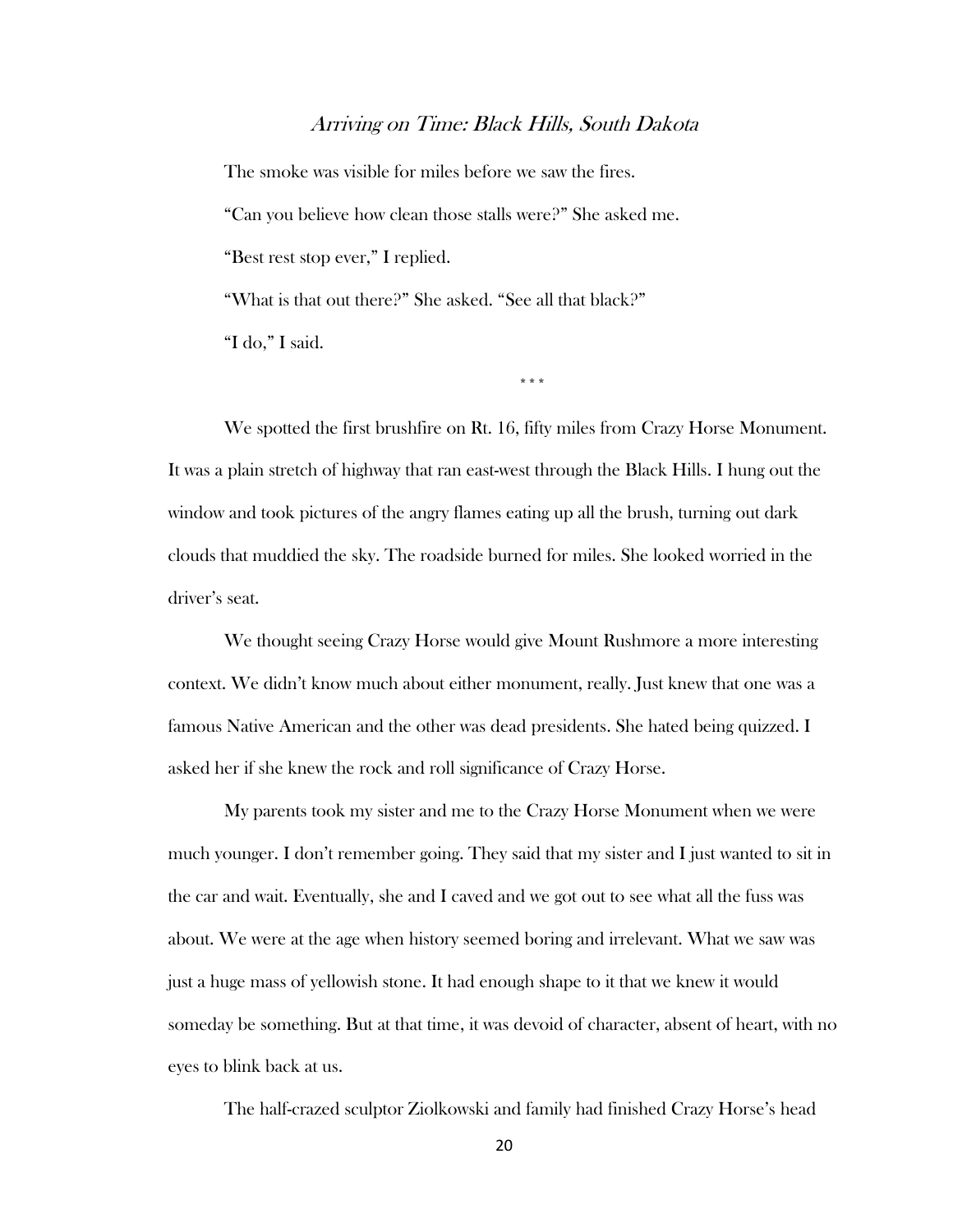## Arriving on Time: Black Hills, South Dakota

The smoke was visible for miles before we saw the fires. "Can you believe how clean those stalls were?" She asked me. "Best rest stop ever," I replied. "What is that out there?" She asked. "See all that black?"

"I do," I said.

We spotted the first brushfire on Rt. 16, fifty miles from Crazy Horse Monument. It was a plain stretch of highway that ran east-west through the Black Hills. I hung out the window and took pictures of the angry flames eating up all the brush, turning out dark clouds that muddied the sky. The roadside burned for miles. She looked worried in the driver's seat.

\*\*\*

We thought seeing Crazy Horse would give Mount Rushmore a more interesting context. We didn't know much about either monument, really. Just knew that one was a famous Native American and the other was dead presidents. She hated being quizzed. I asked her if she knew the rock and roll significance of Crazy Horse.

My parents took my sister and me to the Crazy Horse Monument when we were much younger. I don't remember going. They said that my sister and I just wanted to sit in the car and wait. Eventually, she and I caved and we got out to see what all the fuss was about. We were at the age when history seemed boring and irrelevant. What we saw was just a huge mass of yellowish stone. It had enough shape to it that we knew it would someday be something. But at that time, it was devoid of character, absent of heart, with no eyes to blink back at us.

The half-crazed sculptor Ziolkowski and family had finished Crazy Horse's head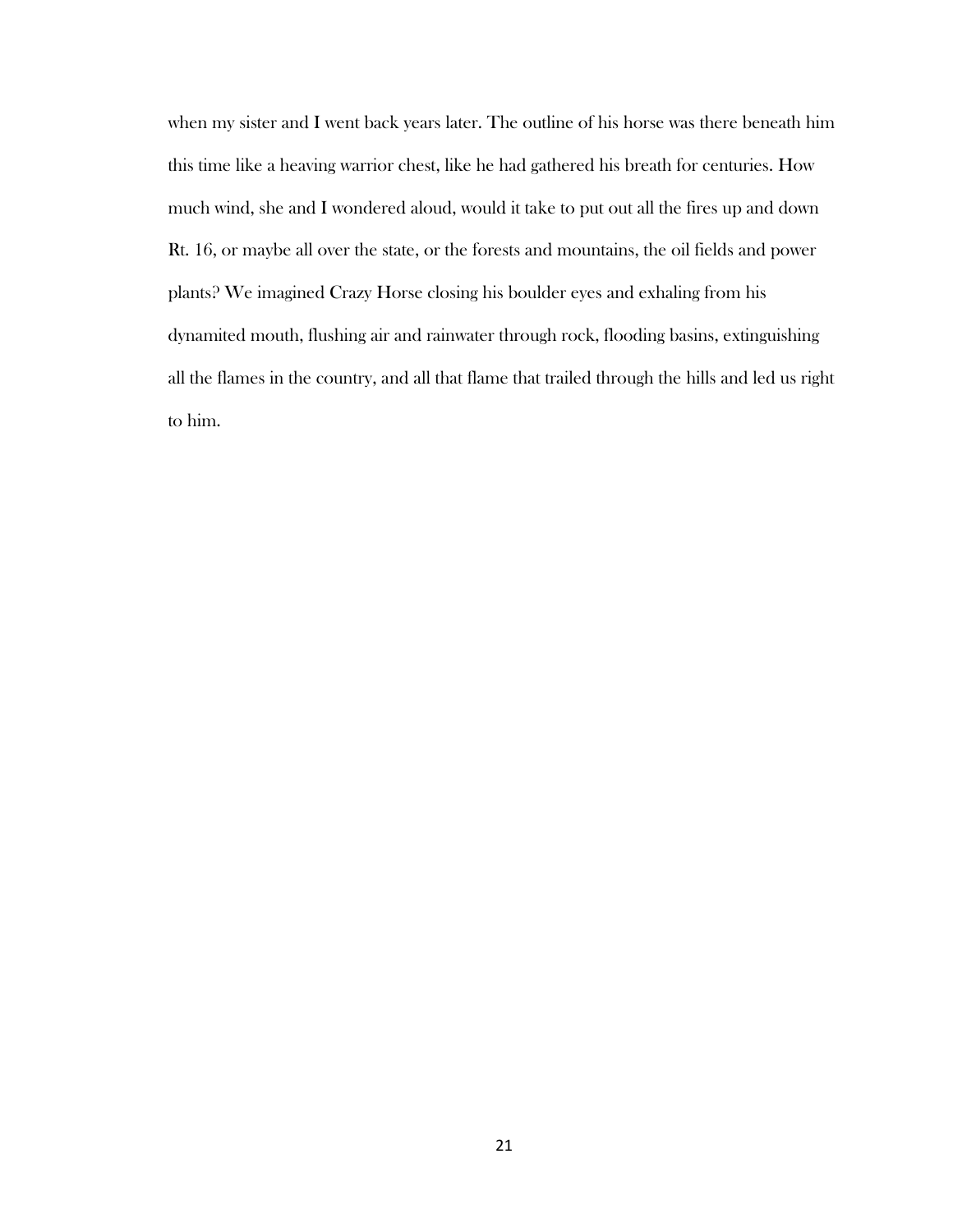when my sister and I went back years later. The outline of his horse was there beneath him this time like a heaving warrior chest, like he had gathered his breath for centuries. How much wind, she and I wondered aloud, would it take to put out all the fires up and down Rt. 16, or maybe all over the state, or the forests and mountains, the oil fields and power plants? We imagined Crazy Horse closing his boulder eyes and exhaling from his dynamited mouth, flushing air and rainwater through rock, flooding basins, extinguishing all the flames in the country, and all that flame that trailed through the hills and led us right to him.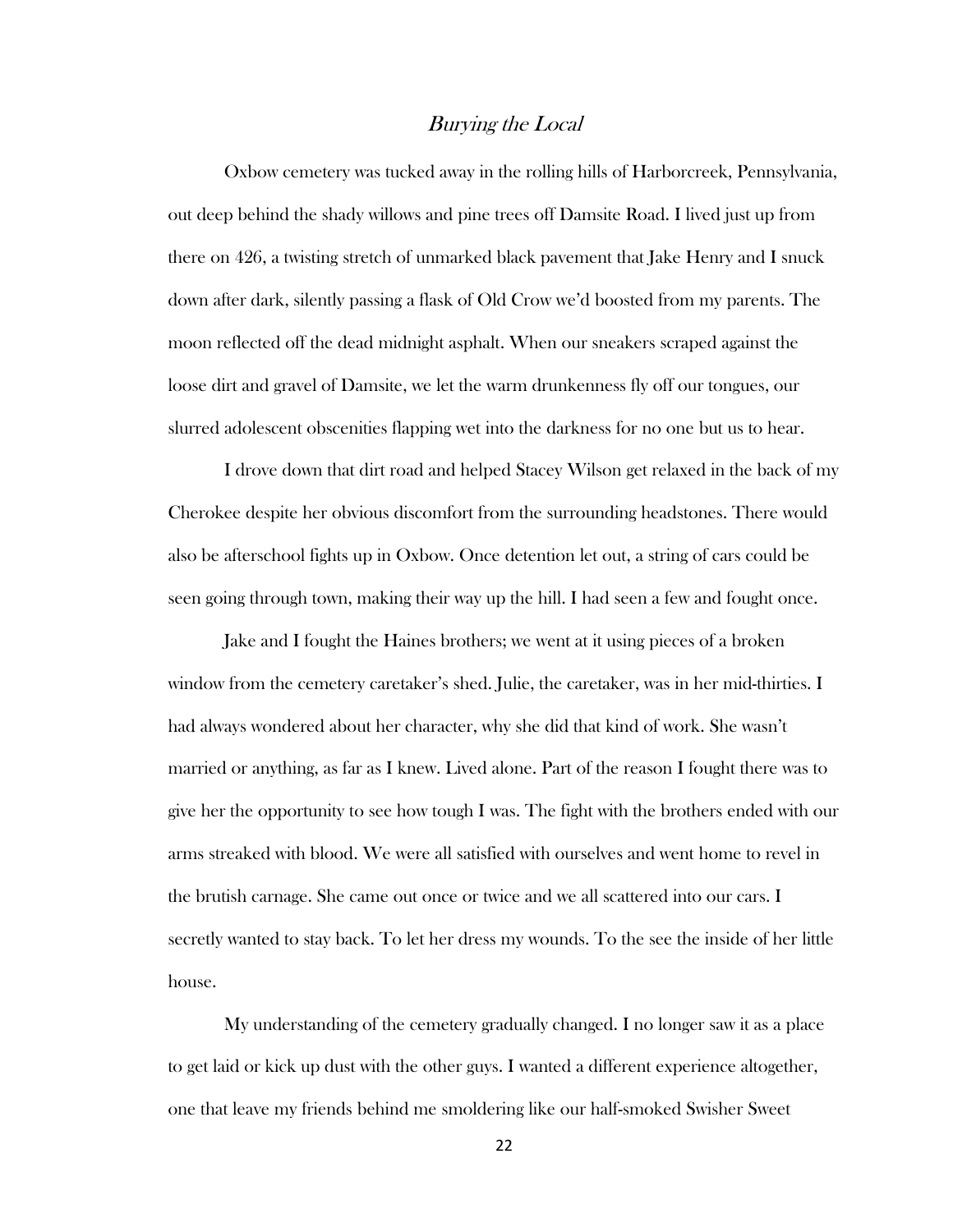## Burying the Local

Oxbow cemetery was tucked away in the rolling hills of Harborcreek, Pennsylvania, out deep behind the shady willows and pine trees off Damsite Road. I lived just up from there on 426, a twisting stretch of unmarked black pavement that Jake Henry and I snuck down after dark, silently passing a flask of Old Crow we'd boosted from my parents. The moon reflected off the dead midnight asphalt. When our sneakers scraped against the loose dirt and gravel of Damsite, we let the warm drunkenness fly off our tongues, our slurred adolescent obscenities flapping wet into the darkness for no one but us to hear.

I drove down that dirt road and helped Stacey Wilson get relaxed in the back of my Cherokee despite her obvious discomfort from the surrounding headstones. There would also be afterschool fights up in Oxbow. Once detention let out, a string of cars could be seen going through town, making their way up the hill. I had seen a few and fought once.

Jake and I fought the Haines brothers; we went at it using pieces of a broken window from the cemetery caretaker's shed. Julie, the caretaker, was in her mid-thirties. I had always wondered about her character, why she did that kind of work. She wasn't married or anything, as far as I knew. Lived alone. Part of the reason I fought there was to give her the opportunity to see how tough I was. The fight with the brothers ended with our arms streaked with blood. We were all satisfied with ourselves and went home to revel in the brutish carnage. She came out once or twice and we all scattered into our cars. I secretly wanted to stay back. To let her dress my wounds. To the see the inside of her little house.

My understanding of the cemetery gradually changed. I no longer saw it as a place to get laid or kick up dust with the other guys. I wanted a different experience altogether, one that leave my friends behind me smoldering like our half-smoked Swisher Sweet

22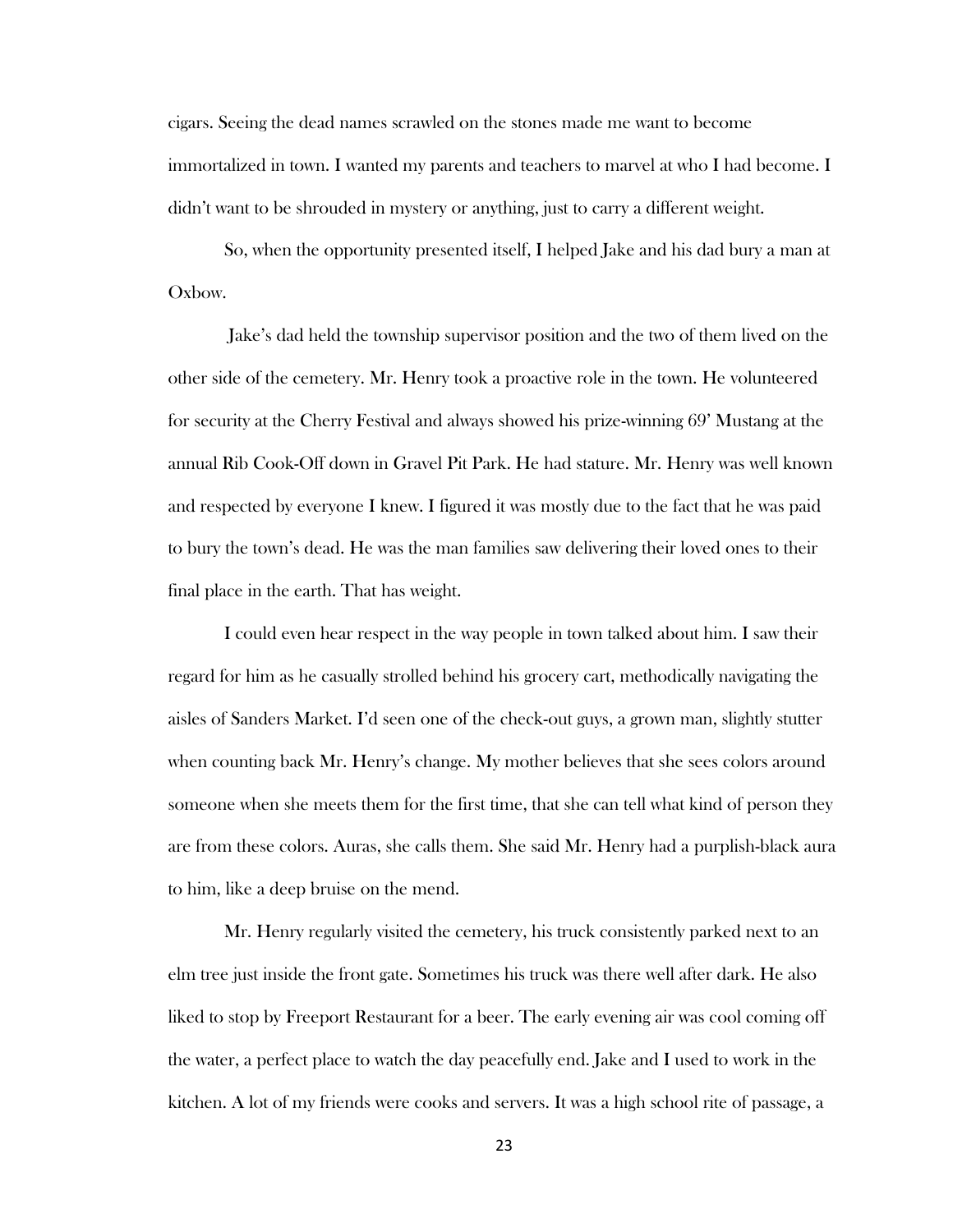cigars. Seeing the dead names scrawled on the stones made me want to become immortalized in town. I wanted my parents and teachers to marvel at who I had become. I didn't want to be shrouded in mystery or anything, just to carry a different weight.

So, when the opportunity presented itself, I helped Jake and his dad bury a man at Oxbow.

Jake's dad held the township supervisor position and the two of them lived on the other side of the cemetery. Mr. Henry took a proactive role in the town. He volunteered for security at the Cherry Festival and always showed his prize-winning 69' Mustang at the annual Rib Cook-Off down in Gravel Pit Park. He had stature. Mr. Henry was well known and respected by everyone I knew. I figured it was mostly due to the fact that he was paid to bury the town's dead. He was the man families saw delivering their loved ones to their final place in the earth. That has weight.

I could even hear respect in the way people in town talked about him. I saw their regard for him as he casually strolled behind his grocery cart, methodically navigating the aisles of Sanders Market. I'd seen one of the check-out guys, a grown man, slightly stutter when counting back Mr. Henry's change. My mother believes that she sees colors around someone when she meets them for the first time, that she can tell what kind of person they are from these colors. Auras, she calls them. She said Mr. Henry had a purplish-black aura to him, like a deep bruise on the mend.

Mr. Henry regularly visited the cemetery, his truck consistently parked next to an elm tree just inside the front gate. Sometimes his truck was there well after dark. He also liked to stop by Freeport Restaurant for a beer. The early evening air was cool coming off the water, a perfect place to watch the day peacefully end. Jake and I used to work in the kitchen. A lot of my friends were cooks and servers. It was a high school rite of passage, a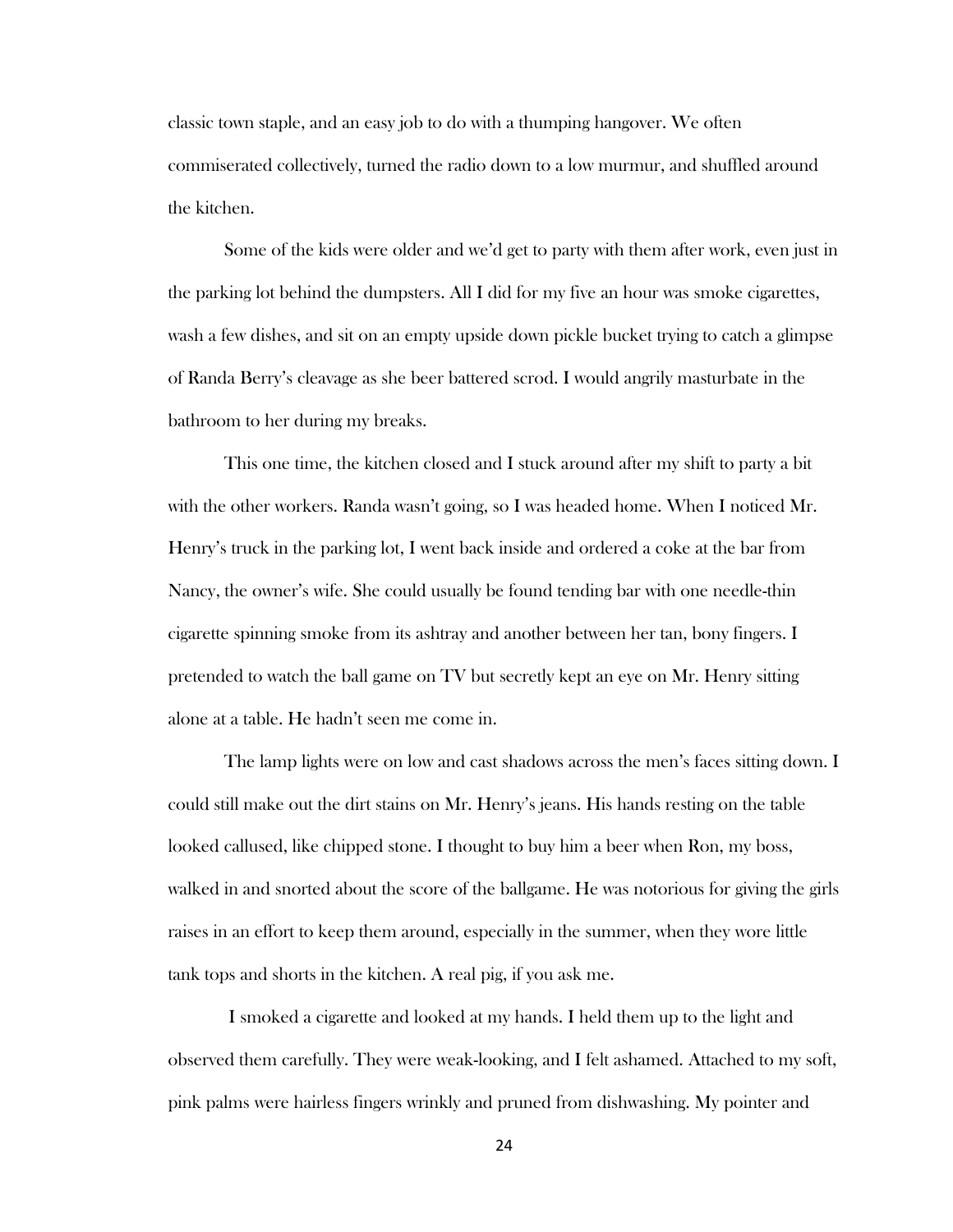classic town staple, and an easy job to do with a thumping hangover. We often commiserated collectively, turned the radio down to a low murmur, and shuffled around the kitchen.

Some of the kids were older and we'd get to party with them after work, even just in the parking lot behind the dumpsters. All I did for my five an hour was smoke cigarettes, wash a few dishes, and sit on an empty upside down pickle bucket trying to catch a glimpse of Randa Berry's cleavage as she beer battered scrod. I would angrily masturbate in the bathroom to her during my breaks.

This one time, the kitchen closed and I stuck around after my shift to party a bit with the other workers. Randa wasn't going, so I was headed home. When I noticed Mr. Henry's truck in the parking lot, I went back inside and ordered a coke at the bar from Nancy, the owner's wife. She could usually be found tending bar with one needle-thin cigarette spinning smoke from its ashtray and another between her tan, bony fingers. I pretended to watch the ball game on TV but secretly kept an eye on Mr. Henry sitting alone at a table. He hadn't seen me come in.

The lamp lights were on low and cast shadows across the men's faces sitting down. I could still make out the dirt stains on Mr. Henry's jeans. His hands resting on the table looked callused, like chipped stone. I thought to buy him a beer when Ron, my boss, walked in and snorted about the score of the ballgame. He was notorious for giving the girls raises in an effort to keep them around, especially in the summer, when they wore little tank tops and shorts in the kitchen. A real pig, if you ask me.

I smoked a cigarette and looked at my hands. I held them up to the light and observed them carefully. They were weak-looking, and I felt ashamed. Attached to my soft, pink palms were hairless fingers wrinkly and pruned from dishwashing. My pointer and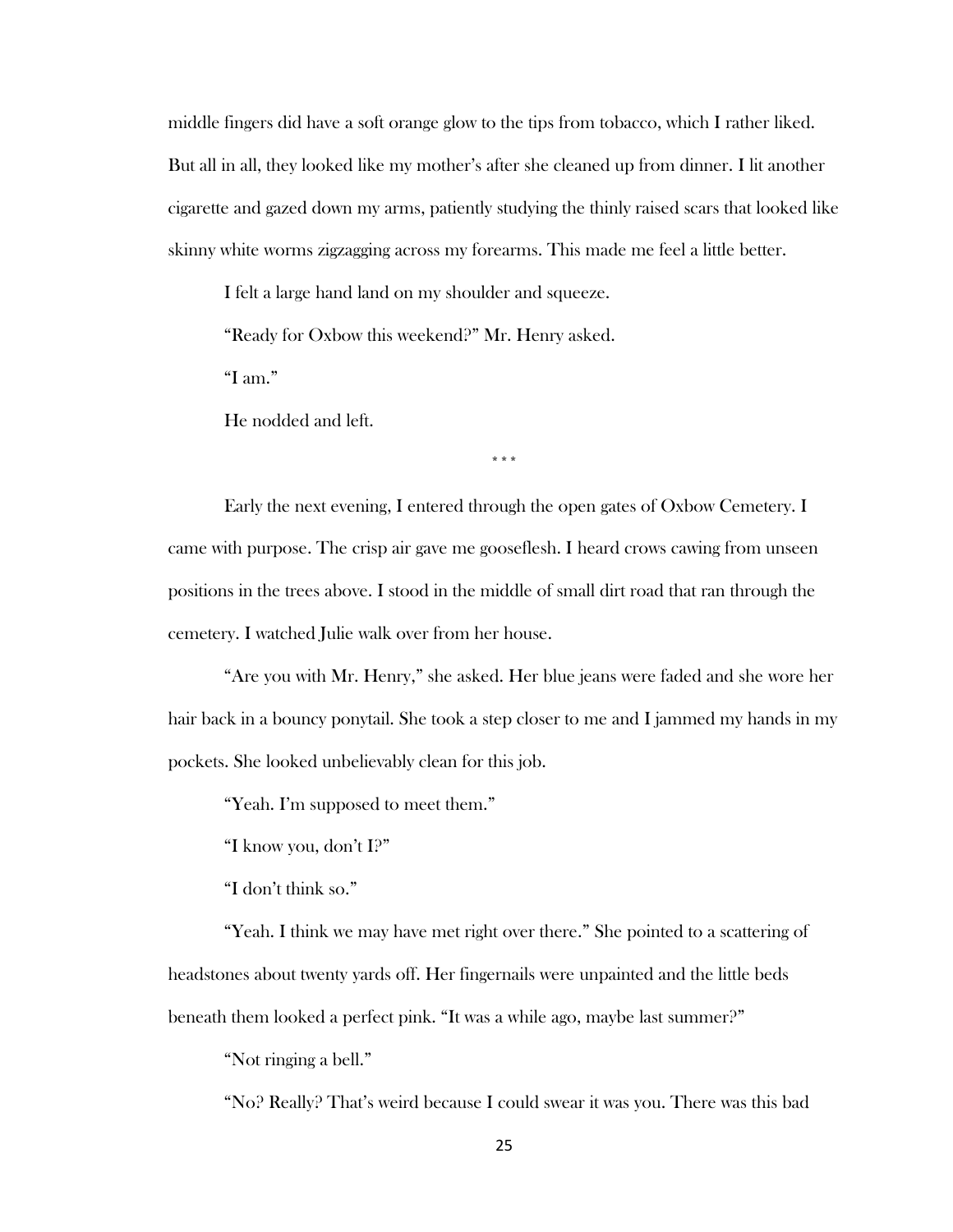middle fingers did have a soft orange glow to the tips from tobacco, which I rather liked. But all in all, they looked like my mother's after she cleaned up from dinner. I lit another cigarette and gazed down my arms, patiently studying the thinly raised scars that looked like skinny white worms zigzagging across my forearms. This made me feel a little better.

I felt a large hand land on my shoulder and squeeze.

"Ready for Oxbow this weekend?" Mr. Henry asked.

"I am."

He nodded and left.

Early the next evening, I entered through the open gates of Oxbow Cemetery. I came with purpose. The crisp air gave me gooseflesh. I heard crows cawing from unseen positions in the trees above. I stood in the middle of small dirt road that ran through the cemetery. I watched Julie walk over from her house.

\*\*\*

"Are you with Mr. Henry," she asked. Her blue jeans were faded and she wore her hair back in a bouncy ponytail. She took a step closer to me and I jammed my hands in my pockets. She looked unbelievably clean for this job.

"Yeah. I'm supposed to meet them."

"I know you, don't I?"

"I don't think so."

"Yeah. I think we may have met right over there." She pointed to a scattering of headstones about twenty yards off. Her fingernails were unpainted and the little beds beneath them looked a perfect pink. "It was a while ago, maybe last summer?"

"Not ringing a bell."

"No? Really? That's weird because I could swear it was you. There was this bad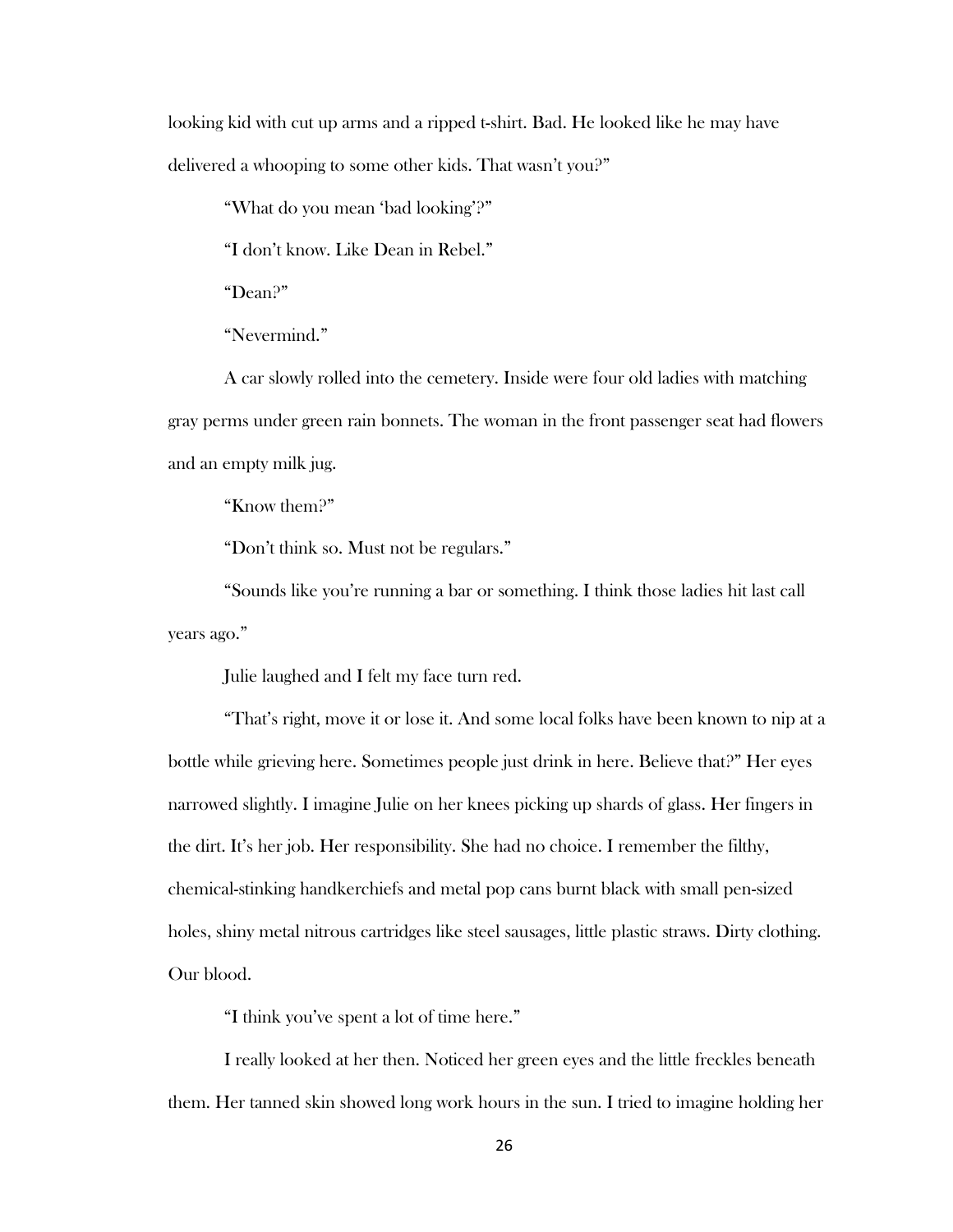looking kid with cut up arms and a ripped t-shirt. Bad. He looked like he may have delivered a whooping to some other kids. That wasn't you?"

"What do you mean 'bad looking'?"

"I don't know. Like Dean in Rebel."

"Dean?"

"Nevermind."

A car slowly rolled into the cemetery. Inside were four old ladies with matching gray perms under green rain bonnets. The woman in the front passenger seat had flowers and an empty milk jug.

"Know them?"

"Don't think so. Must not be regulars."

"Sounds like you're running a bar or something. I think those ladies hit last call years ago."

Julie laughed and I felt my face turn red.

"That's right, move it or lose it. And some local folks have been known to nip at a bottle while grieving here. Sometimes people just drink in here. Believe that?" Her eyes narrowed slightly. I imagine Julie on her knees picking up shards of glass. Her fingers in the dirt. It's her job. Her responsibility. She had no choice. I remember the filthy, chemical-stinking handkerchiefs and metal pop cans burnt black with small pen-sized holes, shiny metal nitrous cartridges like steel sausages, little plastic straws. Dirty clothing. Our blood.

"I think you've spent a lot of time here."

I really looked at her then. Noticed her green eyes and the little freckles beneath them. Her tanned skin showed long work hours in the sun. I tried to imagine holding her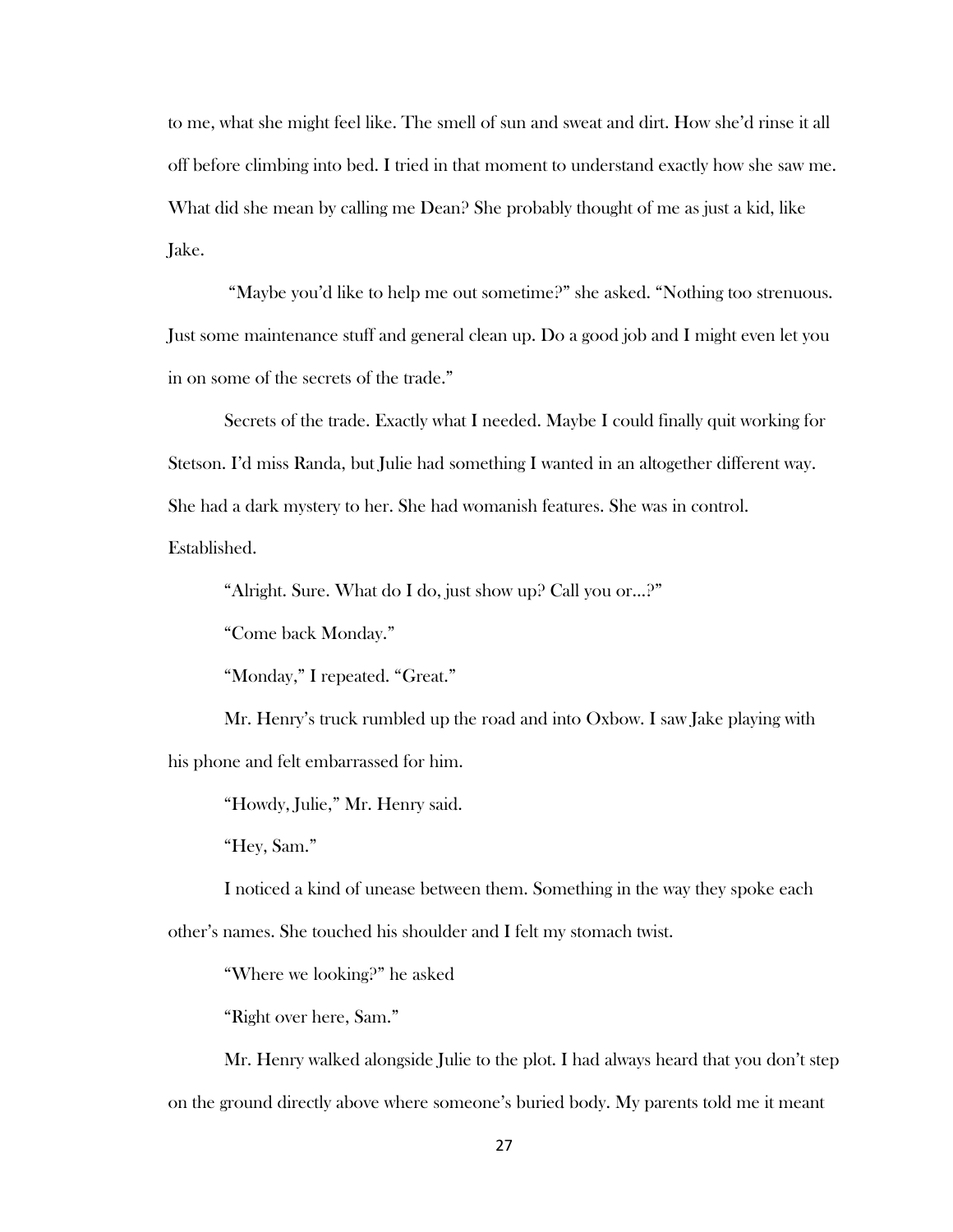to me, what she might feel like. The smell of sun and sweat and dirt. How she'd rinse it all off before climbing into bed. I tried in that moment to understand exactly how she saw me. What did she mean by calling me Dean? She probably thought of me as just a kid, like Jake.

"Maybe you'd like to help me out sometime?" she asked. "Nothing too strenuous. Just some maintenance stuff and general clean up. Do a good job and I might even let you in on some of the secrets of the trade."

Secrets of the trade. Exactly what I needed. Maybe I could finally quit working for Stetson. I'd miss Randa, but Julie had something I wanted in an altogether different way. She had a dark mystery to her. She had womanish features. She was in control. Established.

"Alright. Sure. What do I do, just show up? Call you or…?"

"Come back Monday."

"Monday," I repeated. "Great."

Mr. Henry's truck rumbled up the road and into Oxbow. I saw Jake playing with his phone and felt embarrassed for him.

"Howdy, Julie," Mr. Henry said.

"Hey, Sam."

I noticed a kind of unease between them. Something in the way they spoke each other's names. She touched his shoulder and I felt my stomach twist.

"Where we looking?" he asked

"Right over here, Sam."

Mr. Henry walked alongside Julie to the plot. I had always heard that you don't step on the ground directly above where someone's buried body. My parents told me it meant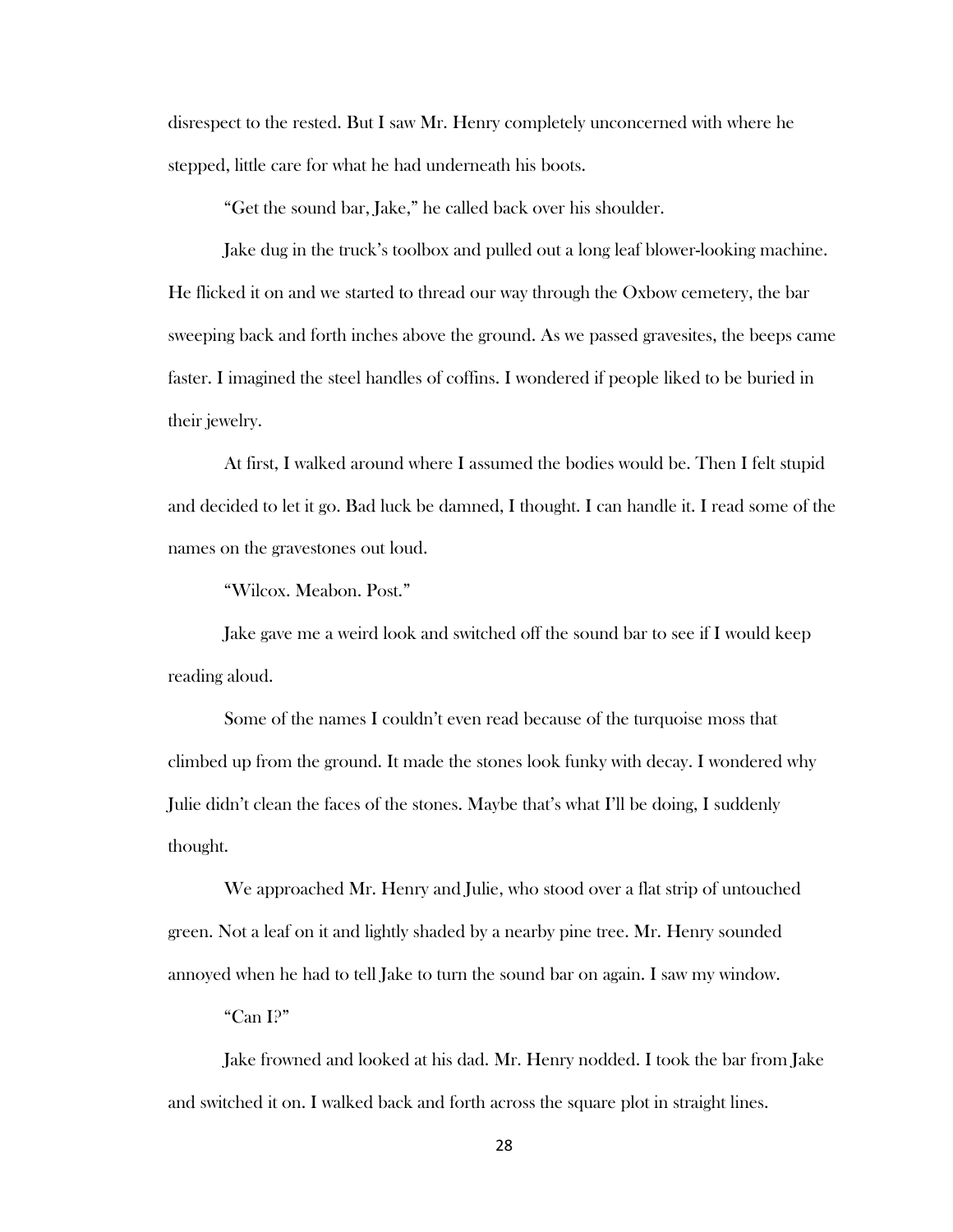disrespect to the rested. But I saw Mr. Henry completely unconcerned with where he stepped, little care for what he had underneath his boots.

"Get the sound bar, Jake," he called back over his shoulder.

Jake dug in the truck's toolbox and pulled out a long leaf blower-looking machine. He flicked it on and we started to thread our way through the Oxbow cemetery, the bar sweeping back and forth inches above the ground. As we passed gravesites, the beeps came faster. I imagined the steel handles of coffins. I wondered if people liked to be buried in their jewelry.

At first, I walked around where I assumed the bodies would be. Then I felt stupid and decided to let it go. Bad luck be damned, I thought. I can handle it. I read some of the names on the gravestones out loud.

"Wilcox. Meabon. Post."

Jake gave me a weird look and switched off the sound bar to see if I would keep reading aloud.

Some of the names I couldn't even read because of the turquoise moss that climbed up from the ground. It made the stones look funky with decay. I wondered why Julie didn't clean the faces of the stones. Maybe that's what I'll be doing, I suddenly thought.

We approached Mr. Henry and Julie, who stood over a flat strip of untouched green. Not a leaf on it and lightly shaded by a nearby pine tree. Mr. Henry sounded annoyed when he had to tell Jake to turn the sound bar on again. I saw my window.

"Can I?"

Jake frowned and looked at his dad. Mr. Henry nodded. I took the bar from Jake and switched it on. I walked back and forth across the square plot in straight lines.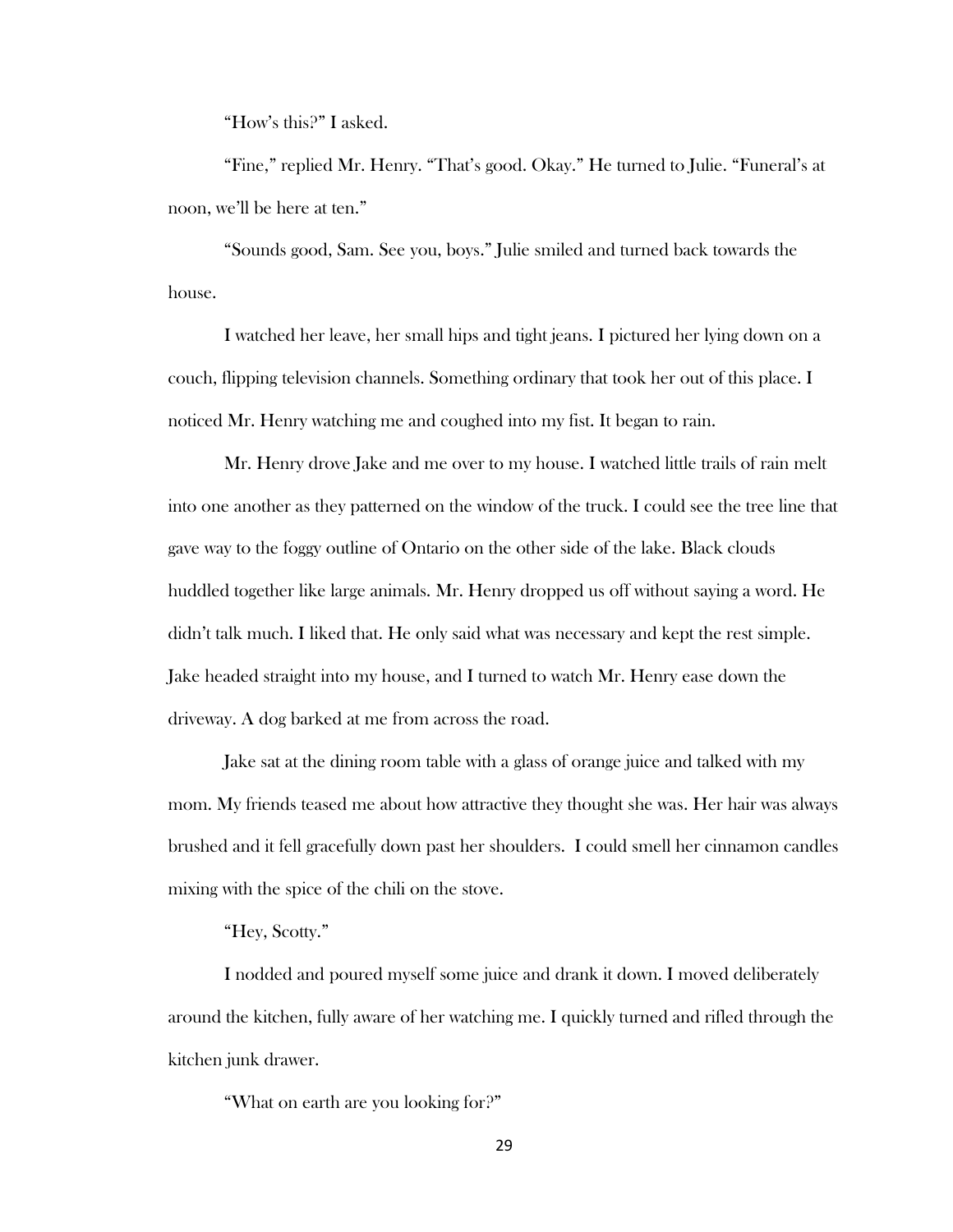"How's this?" I asked.

"Fine," replied Mr. Henry. "That's good. Okay." He turned to Julie. "Funeral's at noon, we'll be here at ten."

"Sounds good, Sam. See you, boys." Julie smiled and turned back towards the house.

I watched her leave, her small hips and tight jeans. I pictured her lying down on a couch, flipping television channels. Something ordinary that took her out of this place. I noticed Mr. Henry watching me and coughed into my fist. It began to rain.

Mr. Henry drove Jake and me over to my house. I watched little trails of rain melt into one another as they patterned on the window of the truck. I could see the tree line that gave way to the foggy outline of Ontario on the other side of the lake. Black clouds huddled together like large animals. Mr. Henry dropped us off without saying a word. He didn't talk much. I liked that. He only said what was necessary and kept the rest simple. Jake headed straight into my house, and I turned to watch Mr. Henry ease down the driveway. A dog barked at me from across the road.

Jake sat at the dining room table with a glass of orange juice and talked with my mom. My friends teased me about how attractive they thought she was. Her hair was always brushed and it fell gracefully down past her shoulders. I could smell her cinnamon candles mixing with the spice of the chili on the stove.

### "Hey, Scotty."

I nodded and poured myself some juice and drank it down. I moved deliberately around the kitchen, fully aware of her watching me. I quickly turned and rifled through the kitchen junk drawer.

"What on earth are you looking for?"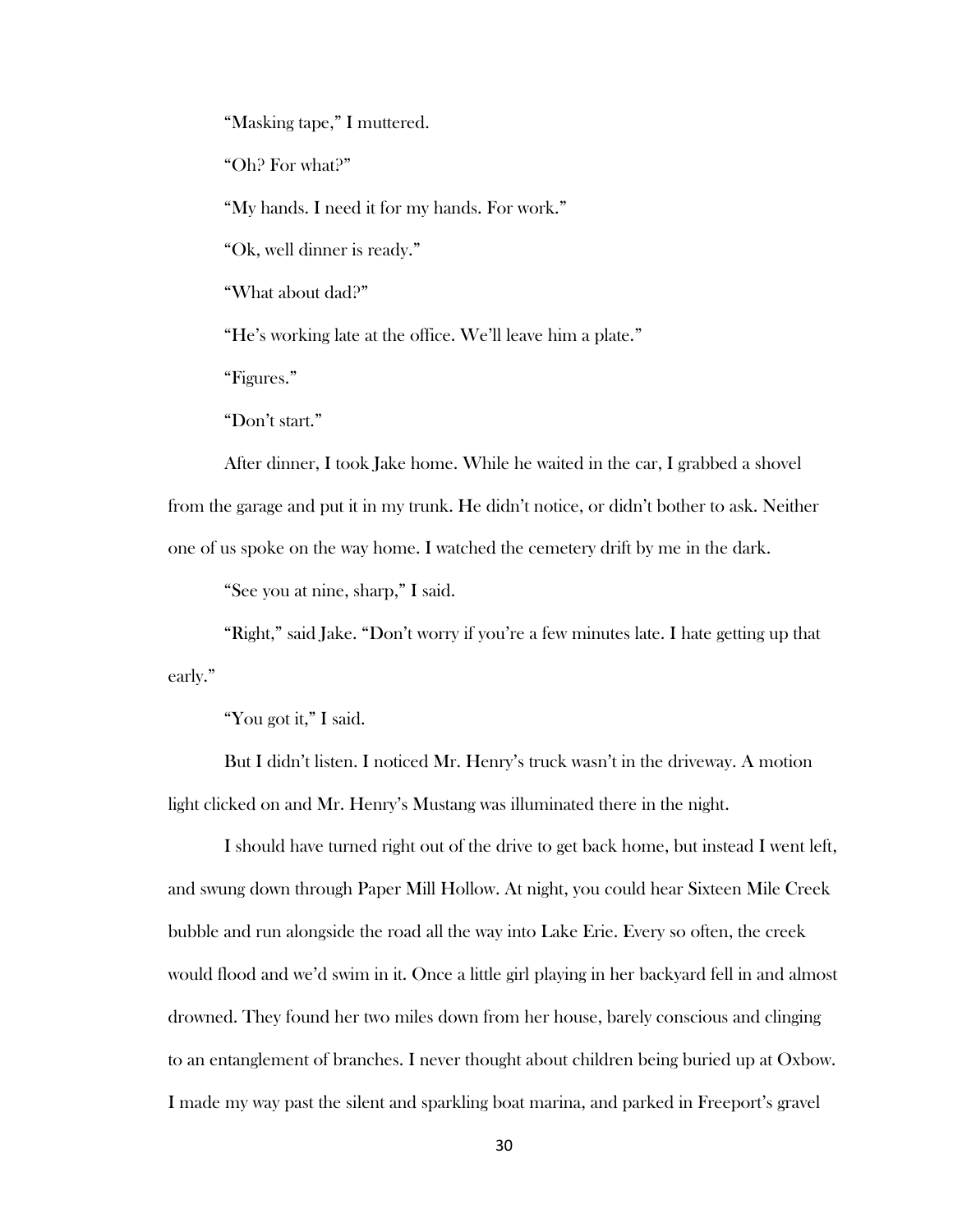"Masking tape," I muttered.

"Oh? For what?"

"My hands. I need it for my hands. For work."

"Ok, well dinner is ready."

"What about dad?"

"He's working late at the office. We'll leave him a plate."

"Figures."

"Don't start."

After dinner, I took Jake home. While he waited in the car, I grabbed a shovel from the garage and put it in my trunk. He didn't notice, or didn't bother to ask. Neither one of us spoke on the way home. I watched the cemetery drift by me in the dark.

"See you at nine, sharp," I said.

"Right," said Jake. "Don't worry if you're a few minutes late. I hate getting up that early."

"You got it," I said.

But I didn't listen. I noticed Mr. Henry's truck wasn't in the driveway. A motion light clicked on and Mr. Henry's Mustang was illuminated there in the night.

I should have turned right out of the drive to get back home, but instead I went left, and swung down through Paper Mill Hollow. At night, you could hear Sixteen Mile Creek bubble and run alongside the road all the way into Lake Erie. Every so often, the creek would flood and we'd swim in it. Once a little girl playing in her backyard fell in and almost drowned. They found her two miles down from her house, barely conscious and clinging to an entanglement of branches. I never thought about children being buried up at Oxbow. I made my way past the silent and sparkling boat marina, and parked in Freeport's gravel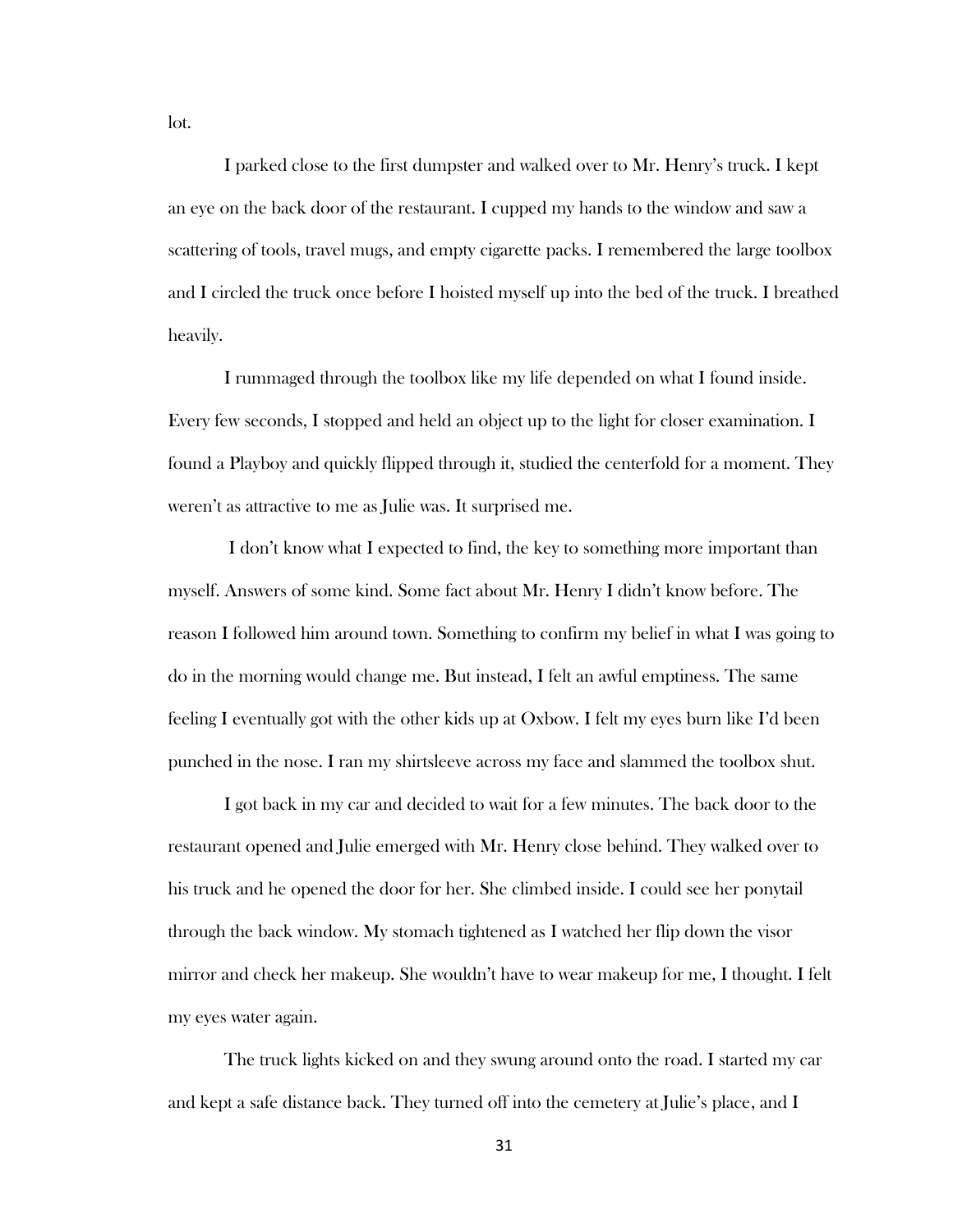I parked close to the first dumpster and walked over to Mr. Henry's truck. I kept an eye on the back door of the restaurant. I cupped my hands to the window and saw a scattering of tools, travel mugs, and empty cigarette packs. I remembered the large toolbox and I circled the truck once before I hoisted myself up into the bed of the truck. I breathed heavily.

I rummaged through the toolbox like my life depended on what I found inside. Every few seconds, I stopped and held an object up to the light for closer examination. I found a Playboy and quickly flipped through it, studied the centerfold for a moment. They weren't as attractive to me as Julie was. It surprised me.

I don't know what I expected to find, the key to something more important than myself. Answers of some kind. Some fact about Mr. Henry I didn't know before. The reason I followed him around town. Something to confirm my belief in what I was going to do in the morning would change me. But instead, I felt an awful emptiness. The same feeling I eventually got with the other kids up at Oxbow. I felt my eyes burn like I'd been punched in the nose. I ran my shirtsleeve across my face and slammed the toolbox shut.

I got back in my car and decided to wait for a few minutes. The back door to the restaurant opened and Julie emerged with Mr. Henry close behind. They walked over to his truck and he opened the door for her. She climbed inside. I could see her ponytail through the back window. My stomach tightened as I watched her flip down the visor mirror and check her makeup. She wouldn't have to wear makeup for me, I thought. I felt my eyes water again.

The truck lights kicked on and they swung around onto the road. I started my car and kept a safe distance back. They turned off into the cemetery at Julie's place, and I

lot.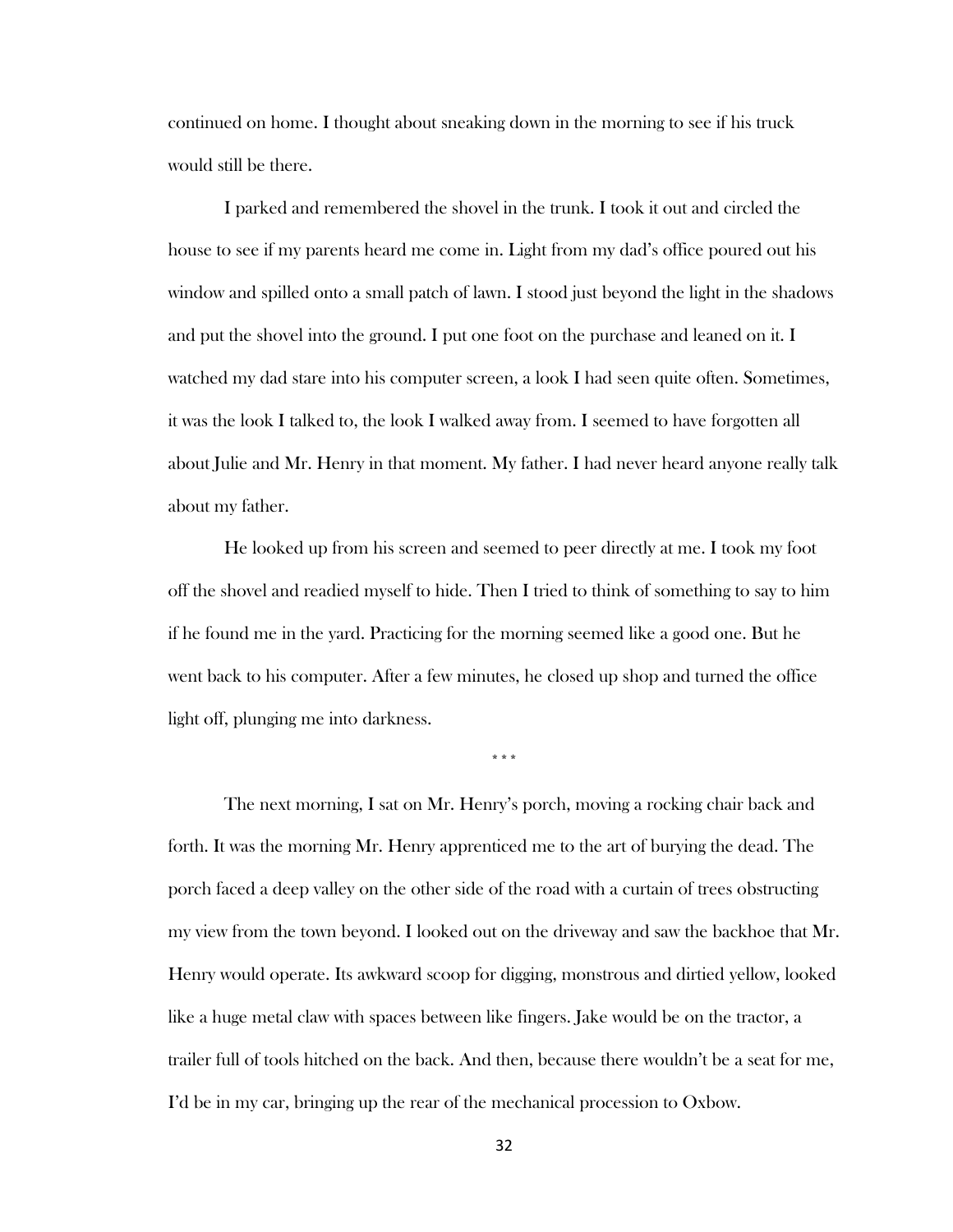continued on home. I thought about sneaking down in the morning to see if his truck would still be there.

I parked and remembered the shovel in the trunk. I took it out and circled the house to see if my parents heard me come in. Light from my dad's office poured out his window and spilled onto a small patch of lawn. I stood just beyond the light in the shadows and put the shovel into the ground. I put one foot on the purchase and leaned on it. I watched my dad stare into his computer screen, a look I had seen quite often. Sometimes, it was the look I talked to, the look I walked away from. I seemed to have forgotten all about Julie and Mr. Henry in that moment. My father. I had never heard anyone really talk about my father.

He looked up from his screen and seemed to peer directly at me. I took my foot off the shovel and readied myself to hide. Then I tried to think of something to say to him if he found me in the yard. Practicing for the morning seemed like a good one. But he went back to his computer. After a few minutes, he closed up shop and turned the office light off, plunging me into darkness.

\*\*\*

The next morning, I sat on Mr. Henry's porch, moving a rocking chair back and forth. It was the morning Mr. Henry apprenticed me to the art of burying the dead. The porch faced a deep valley on the other side of the road with a curtain of trees obstructing my view from the town beyond. I looked out on the driveway and saw the backhoe that Mr. Henry would operate. Its awkward scoop for digging, monstrous and dirtied yellow, looked like a huge metal claw with spaces between like fingers. Jake would be on the tractor, a trailer full of tools hitched on the back. And then, because there wouldn't be a seat for me, I'd be in my car, bringing up the rear of the mechanical procession to Oxbow.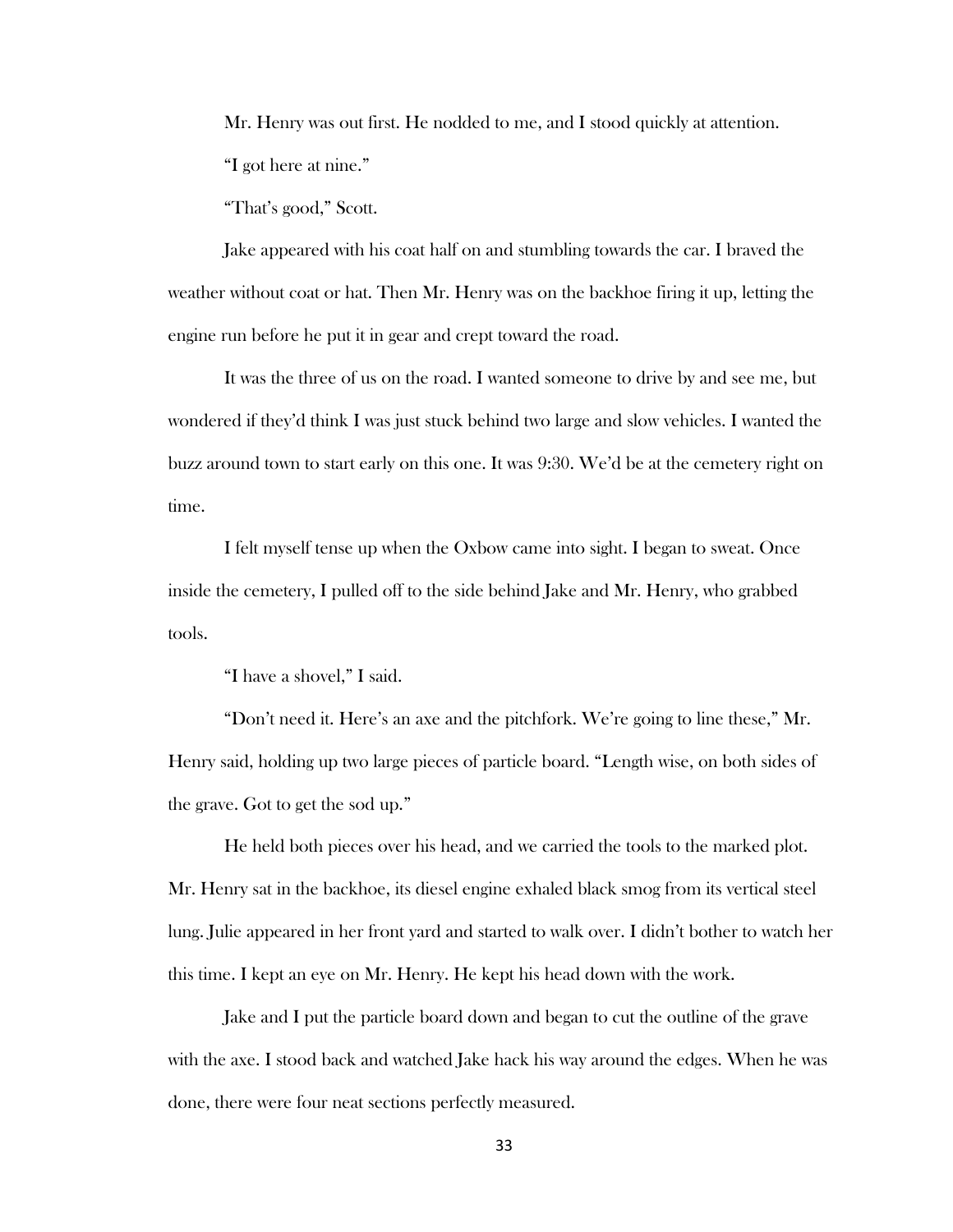Mr. Henry was out first. He nodded to me, and I stood quickly at attention. "I got here at nine."

"That's good," Scott.

Jake appeared with his coat half on and stumbling towards the car. I braved the weather without coat or hat. Then Mr. Henry was on the backhoe firing it up, letting the engine run before he put it in gear and crept toward the road.

It was the three of us on the road. I wanted someone to drive by and see me, but wondered if they'd think I was just stuck behind two large and slow vehicles. I wanted the buzz around town to start early on this one. It was 9:30. We'd be at the cemetery right on time.

I felt myself tense up when the Oxbow came into sight. I began to sweat. Once inside the cemetery, I pulled off to the side behind Jake and Mr. Henry, who grabbed tools.

"I have a shovel," I said.

"Don't need it. Here's an axe and the pitchfork. We're going to line these," Mr. Henry said, holding up two large pieces of particle board. "Length wise, on both sides of the grave. Got to get the sod up."

He held both pieces over his head, and we carried the tools to the marked plot. Mr. Henry sat in the backhoe, its diesel engine exhaled black smog from its vertical steel lung. Julie appeared in her front yard and started to walk over. I didn't bother to watch her this time. I kept an eye on Mr. Henry. He kept his head down with the work.

Jake and I put the particle board down and began to cut the outline of the grave with the axe. I stood back and watched Jake hack his way around the edges. When he was done, there were four neat sections perfectly measured.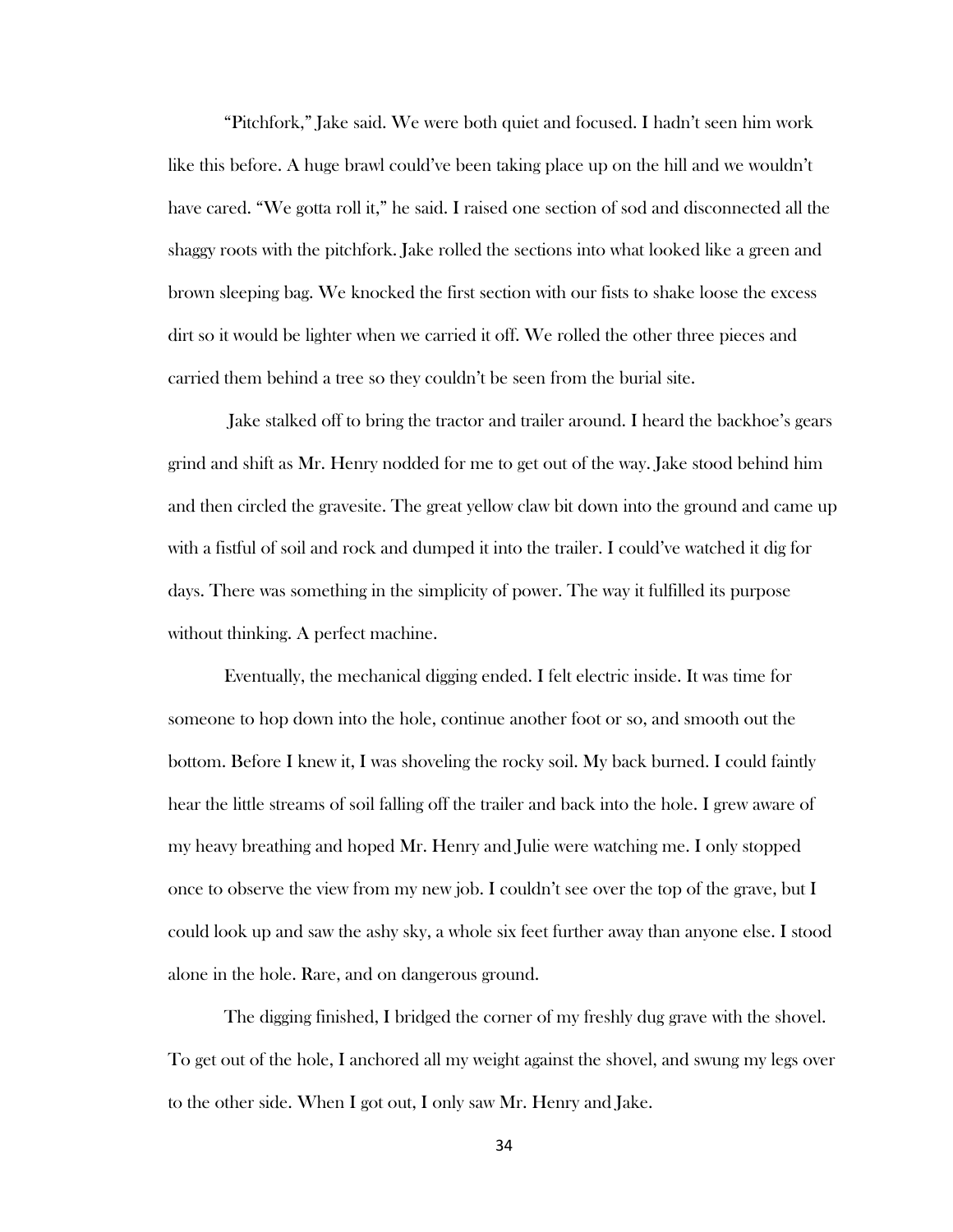"Pitchfork," Jake said. We were both quiet and focused. I hadn't seen him work like this before. A huge brawl could've been taking place up on the hill and we wouldn't have cared. "We gotta roll it," he said. I raised one section of sod and disconnected all the shaggy roots with the pitchfork. Jake rolled the sections into what looked like a green and brown sleeping bag. We knocked the first section with our fists to shake loose the excess dirt so it would be lighter when we carried it off. We rolled the other three pieces and carried them behind a tree so they couldn't be seen from the burial site.

Jake stalked off to bring the tractor and trailer around. I heard the backhoe's gears grind and shift as Mr. Henry nodded for me to get out of the way. Jake stood behind him and then circled the gravesite. The great yellow claw bit down into the ground and came up with a fistful of soil and rock and dumped it into the trailer. I could've watched it dig for days. There was something in the simplicity of power. The way it fulfilled its purpose without thinking. A perfect machine.

Eventually, the mechanical digging ended. I felt electric inside. It was time for someone to hop down into the hole, continue another foot or so, and smooth out the bottom. Before I knew it, I was shoveling the rocky soil. My back burned. I could faintly hear the little streams of soil falling off the trailer and back into the hole. I grew aware of my heavy breathing and hoped Mr. Henry and Julie were watching me. I only stopped once to observe the view from my new job. I couldn't see over the top of the grave, but I could look up and saw the ashy sky, a whole six feet further away than anyone else. I stood alone in the hole. Rare, and on dangerous ground.

The digging finished, I bridged the corner of my freshly dug grave with the shovel. To get out of the hole, I anchored all my weight against the shovel, and swung my legs over to the other side. When I got out, I only saw Mr. Henry and Jake.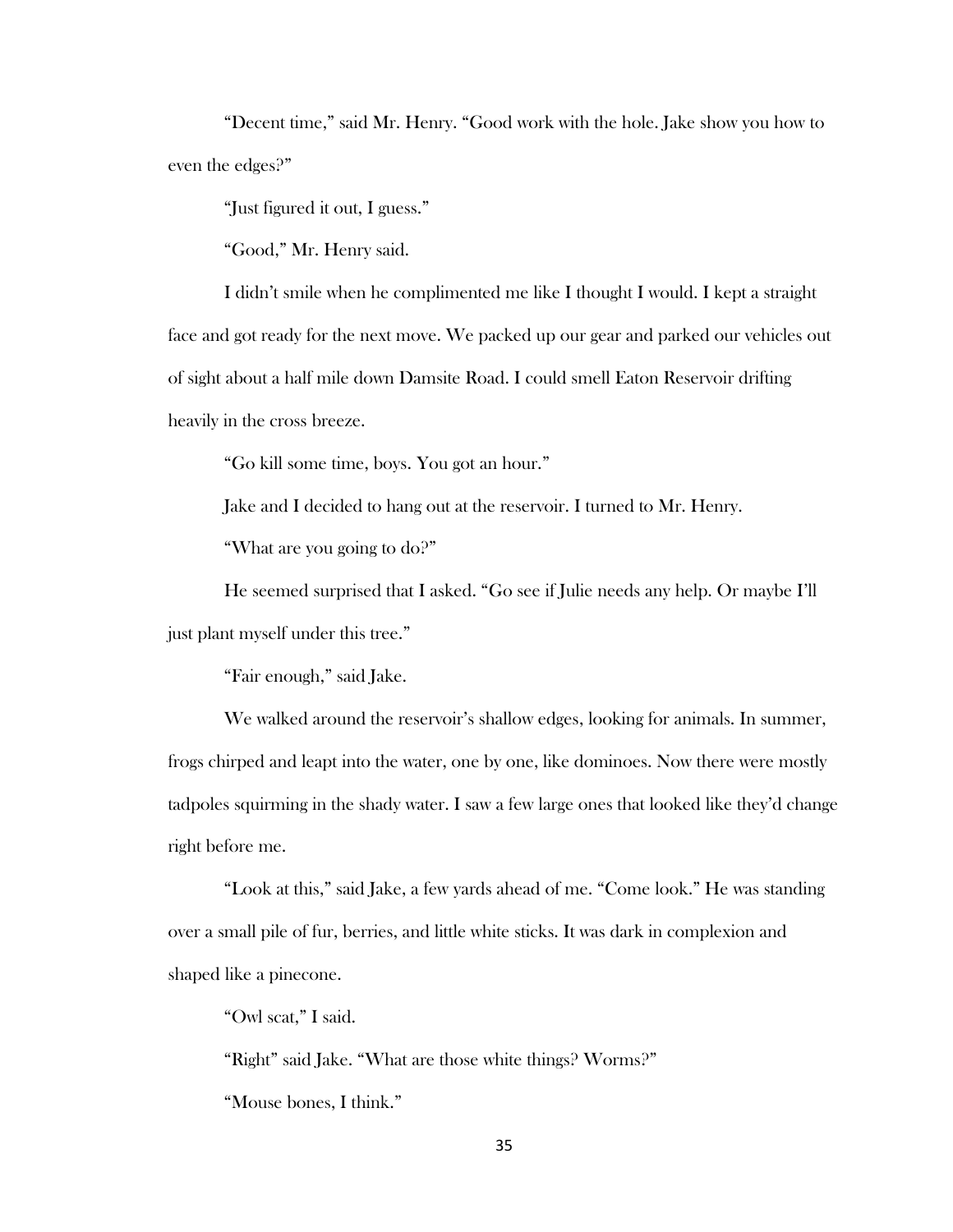"Decent time," said Mr. Henry. "Good work with the hole. Jake show you how to even the edges?"

"Just figured it out, I guess."

"Good," Mr. Henry said.

I didn't smile when he complimented me like I thought I would. I kept a straight face and got ready for the next move. We packed up our gear and parked our vehicles out of sight about a half mile down Damsite Road. I could smell Eaton Reservoir drifting heavily in the cross breeze.

"Go kill some time, boys. You got an hour."

Jake and I decided to hang out at the reservoir. I turned to Mr. Henry.

"What are you going to do?"

He seemed surprised that I asked. "Go see if Julie needs any help. Or maybe I'll just plant myself under this tree."

"Fair enough," said Jake.

We walked around the reservoir's shallow edges, looking for animals. In summer, frogs chirped and leapt into the water, one by one, like dominoes. Now there were mostly tadpoles squirming in the shady water. I saw a few large ones that looked like they'd change right before me.

"Look at this," said Jake, a few yards ahead of me. "Come look." He was standing over a small pile of fur, berries, and little white sticks. It was dark in complexion and shaped like a pinecone.

"Owl scat," I said.

"Right" said Jake. "What are those white things? Worms?"

"Mouse bones, I think."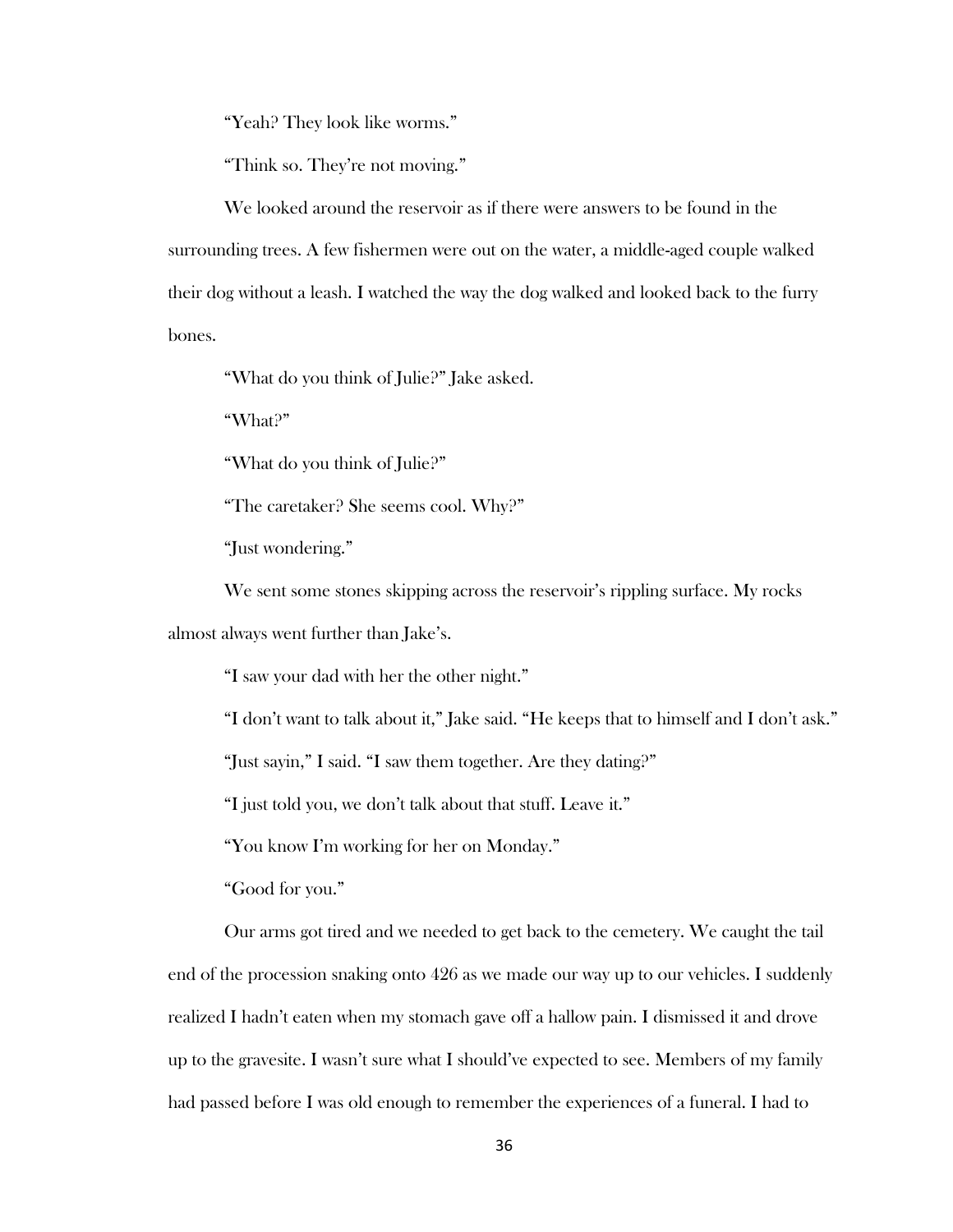"Yeah? They look like worms."

"Think so. They're not moving."

We looked around the reservoir as if there were answers to be found in the surrounding trees. A few fishermen were out on the water, a middle-aged couple walked their dog without a leash. I watched the way the dog walked and looked back to the furry bones.

"What do you think of Julie?" Jake asked.

"What?"

"What do you think of Julie?"

"The caretaker? She seems cool. Why?"

"Just wondering."

We sent some stones skipping across the reservoir's rippling surface. My rocks almost always went further than Jake's.

"I saw your dad with her the other night."

"I don't want to talk about it," Jake said. "He keeps that to himself and I don't ask."

"Just sayin," I said. "I saw them together. Are they dating?"

"I just told you, we don't talk about that stuff. Leave it."

"You know I'm working for her on Monday."

"Good for you."

Our arms got tired and we needed to get back to the cemetery. We caught the tail end of the procession snaking onto 426 as we made our way up to our vehicles. I suddenly realized I hadn't eaten when my stomach gave off a hallow pain. I dismissed it and drove up to the gravesite. I wasn't sure what I should've expected to see. Members of my family had passed before I was old enough to remember the experiences of a funeral. I had to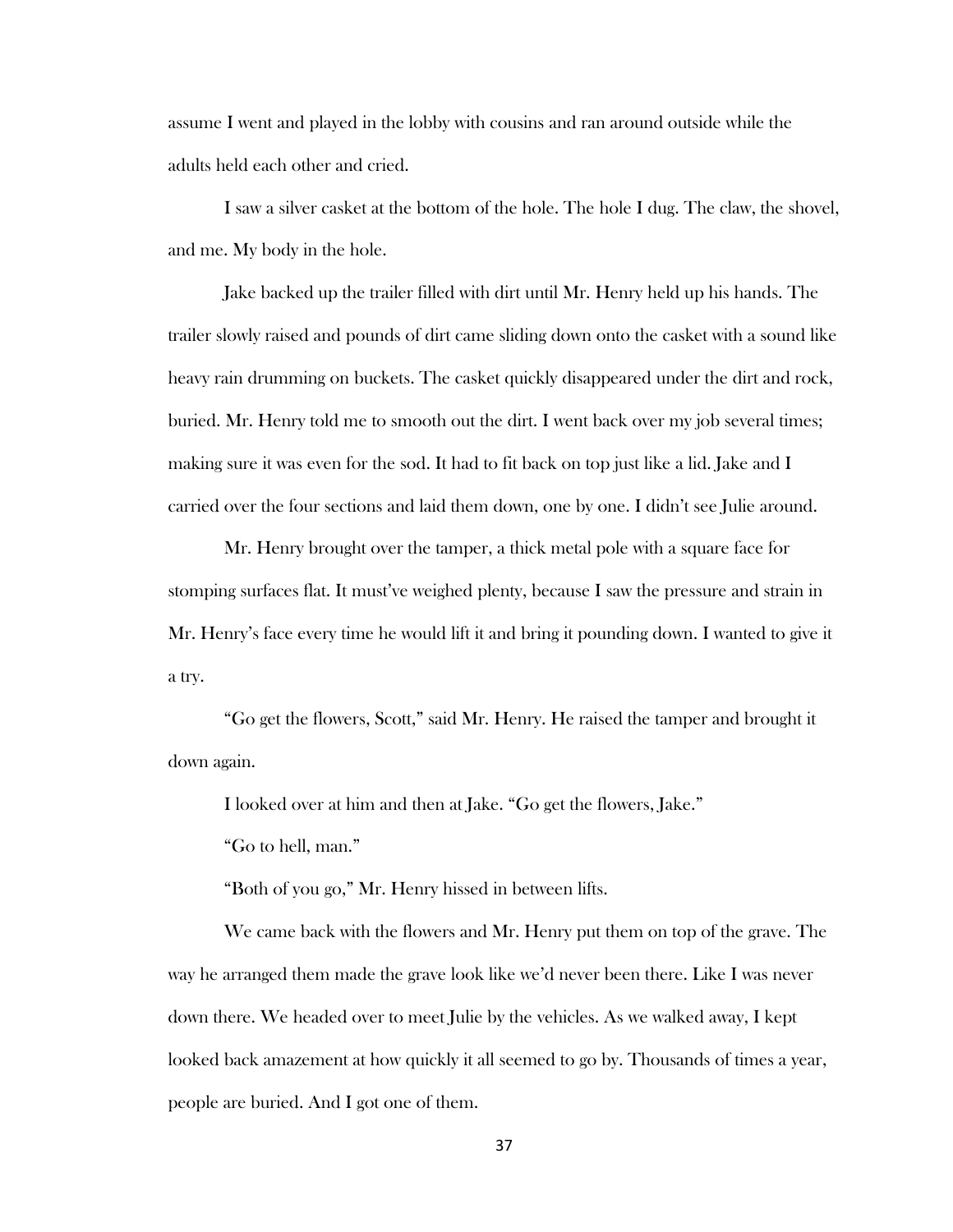assume I went and played in the lobby with cousins and ran around outside while the adults held each other and cried.

I saw a silver casket at the bottom of the hole. The hole I dug. The claw, the shovel, and me. My body in the hole.

Jake backed up the trailer filled with dirt until Mr. Henry held up his hands. The trailer slowly raised and pounds of dirt came sliding down onto the casket with a sound like heavy rain drumming on buckets. The casket quickly disappeared under the dirt and rock, buried. Mr. Henry told me to smooth out the dirt. I went back over my job several times; making sure it was even for the sod. It had to fit back on top just like a lid. Jake and I carried over the four sections and laid them down, one by one. I didn't see Julie around.

Mr. Henry brought over the tamper, a thick metal pole with a square face for stomping surfaces flat. It must've weighed plenty, because I saw the pressure and strain in Mr. Henry's face every time he would lift it and bring it pounding down. I wanted to give it a try.

"Go get the flowers, Scott," said Mr. Henry. He raised the tamper and brought it down again.

I looked over at him and then at Jake. "Go get the flowers, Jake."

"Go to hell, man."

"Both of you go," Mr. Henry hissed in between lifts.

We came back with the flowers and Mr. Henry put them on top of the grave. The way he arranged them made the grave look like we'd never been there. Like I was never down there. We headed over to meet Julie by the vehicles. As we walked away, I kept looked back amazement at how quickly it all seemed to go by. Thousands of times a year, people are buried. And I got one of them.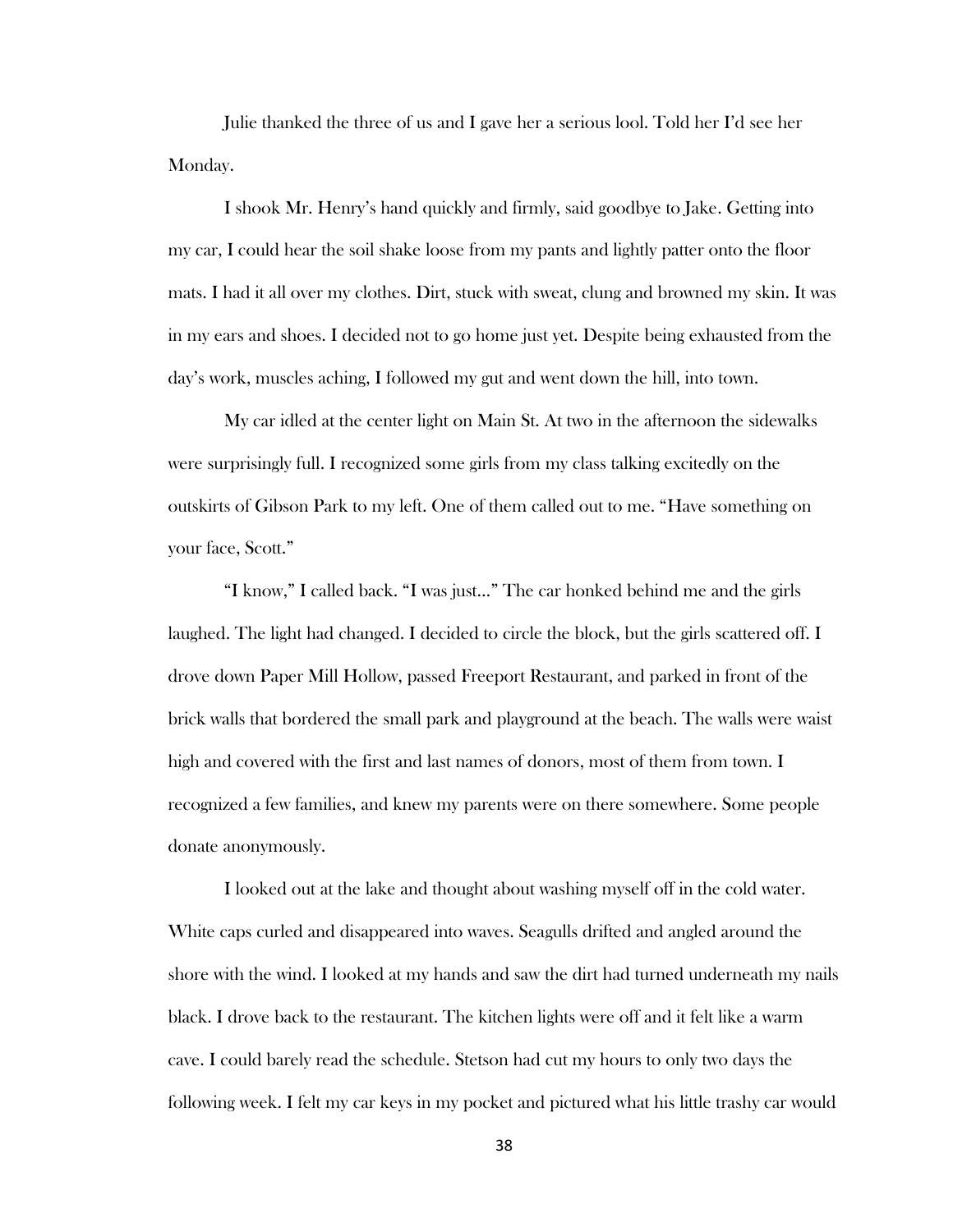Julie thanked the three of us and I gave her a serious lool. Told her I'd see her Monday.

I shook Mr. Henry's hand quickly and firmly, said goodbye to Jake. Getting into my car, I could hear the soil shake loose from my pants and lightly patter onto the floor mats. I had it all over my clothes. Dirt, stuck with sweat, clung and browned my skin. It was in my ears and shoes. I decided not to go home just yet. Despite being exhausted from the day's work, muscles aching, I followed my gut and went down the hill, into town.

My car idled at the center light on Main St. At two in the afternoon the sidewalks were surprisingly full. I recognized some girls from my class talking excitedly on the outskirts of Gibson Park to my left. One of them called out to me. "Have something on your face, Scott."

"I know," I called back. "I was just…" The car honked behind me and the girls laughed. The light had changed. I decided to circle the block, but the girls scattered off. I drove down Paper Mill Hollow, passed Freeport Restaurant, and parked in front of the brick walls that bordered the small park and playground at the beach. The walls were waist high and covered with the first and last names of donors, most of them from town. I recognized a few families, and knew my parents were on there somewhere. Some people donate anonymously.

I looked out at the lake and thought about washing myself off in the cold water. White caps curled and disappeared into waves. Seagulls drifted and angled around the shore with the wind. I looked at my hands and saw the dirt had turned underneath my nails black. I drove back to the restaurant. The kitchen lights were off and it felt like a warm cave. I could barely read the schedule. Stetson had cut my hours to only two days the following week. I felt my car keys in my pocket and pictured what his little trashy car would

38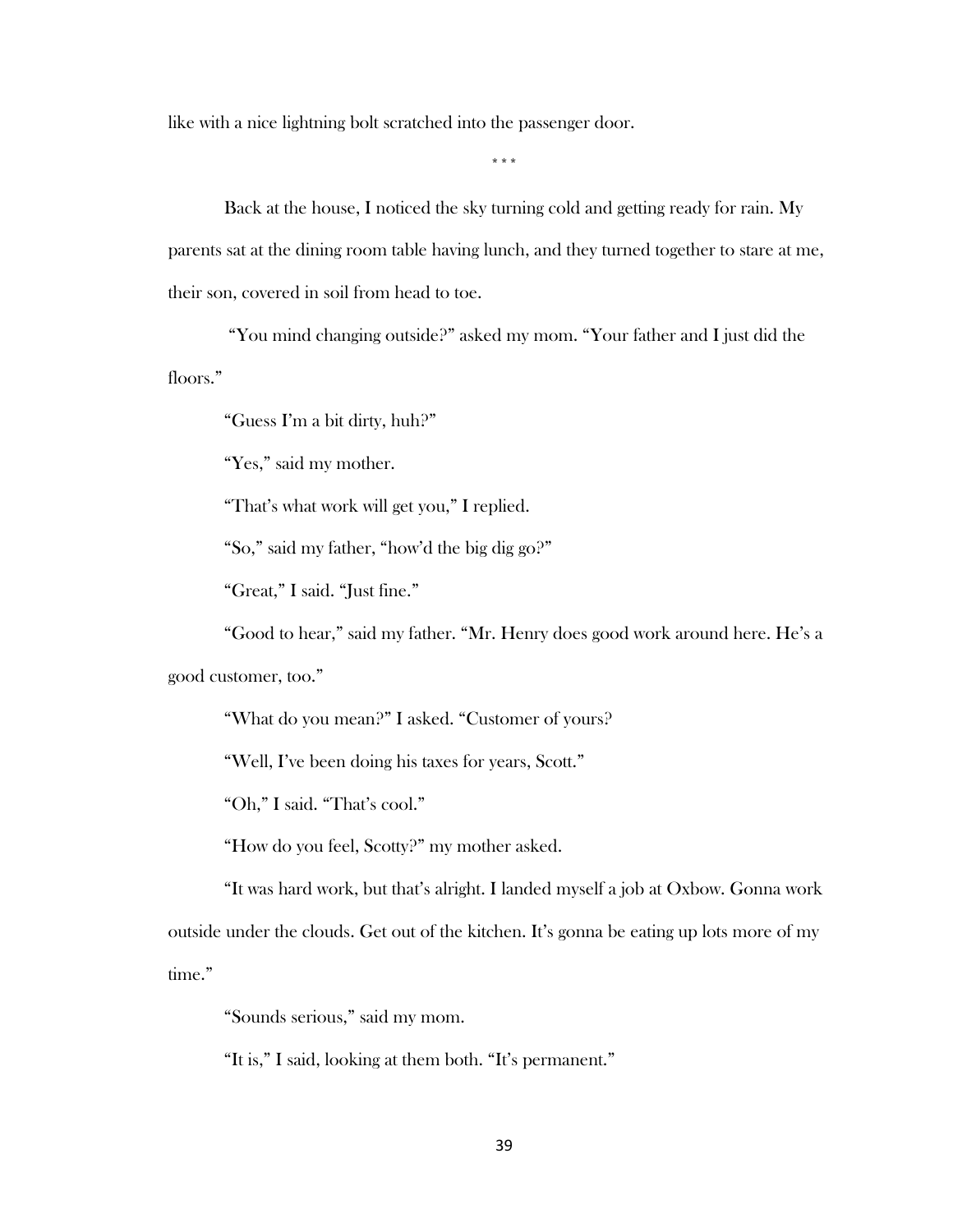like with a nice lightning bolt scratched into the passenger door.

\*\*\*

Back at the house, I noticed the sky turning cold and getting ready for rain. My parents sat at the dining room table having lunch, and they turned together to stare at me, their son, covered in soil from head to toe.

"You mind changing outside?" asked my mom. "Your father and I just did the floors."

"Guess I'm a bit dirty, huh?"

"Yes," said my mother.

"That's what work will get you," I replied.

"So," said my father, "how'd the big dig go?"

"Great," I said. "Just fine."

"Good to hear," said my father. "Mr. Henry does good work around here. He's a good customer, too."

"What do you mean?" I asked. "Customer of yours?

"Well, I've been doing his taxes for years, Scott."

"Oh," I said. "That's cool."

"How do you feel, Scotty?" my mother asked.

"It was hard work, but that's alright. I landed myself a job at Oxbow. Gonna work outside under the clouds. Get out of the kitchen. It's gonna be eating up lots more of my time."

"Sounds serious," said my mom.

"It is," I said, looking at them both. "It's permanent."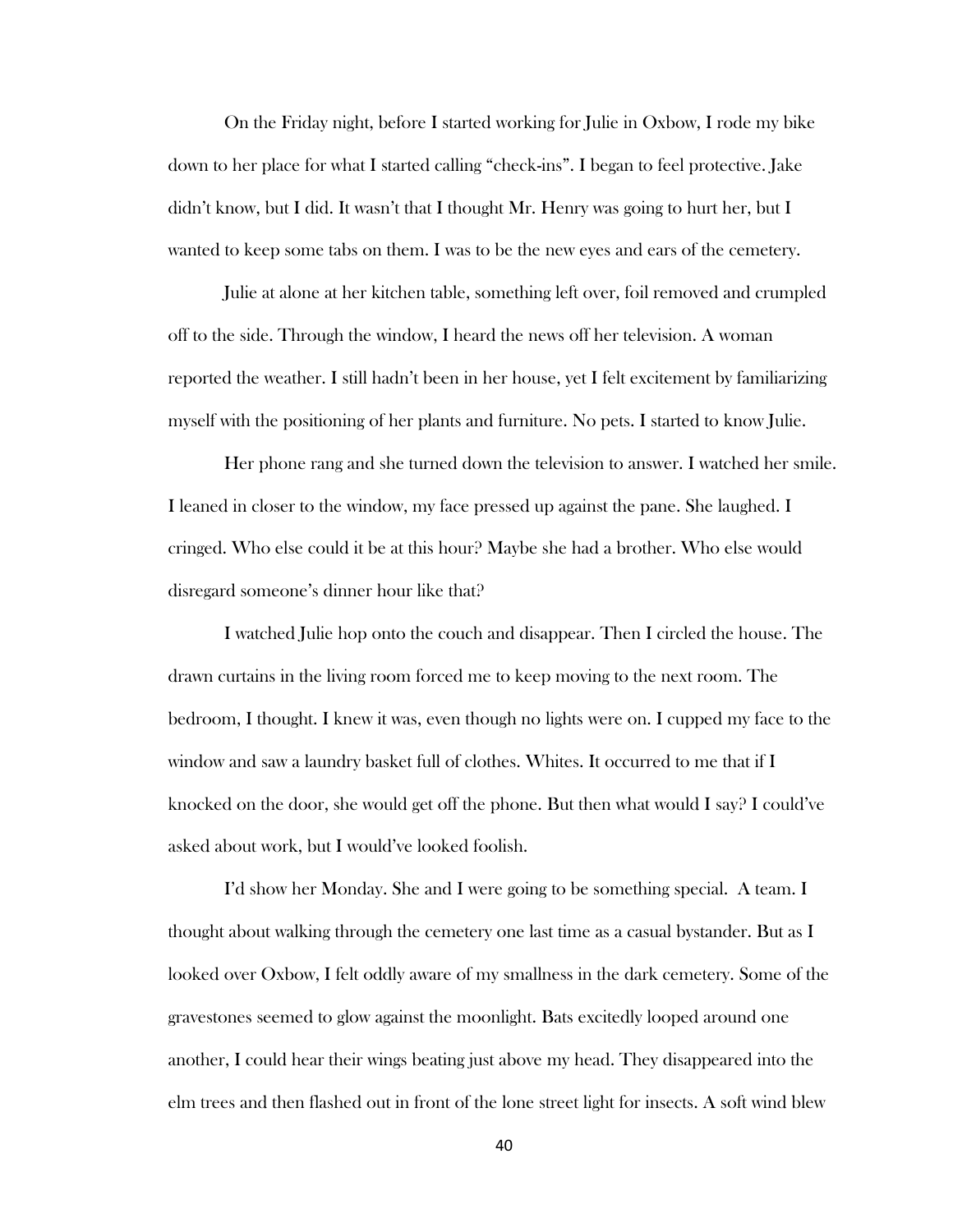On the Friday night, before I started working for Julie in Oxbow, I rode my bike down to her place for what I started calling "check-ins". I began to feel protective. Jake didn't know, but I did. It wasn't that I thought Mr. Henry was going to hurt her, but I wanted to keep some tabs on them. I was to be the new eyes and ears of the cemetery.

Julie at alone at her kitchen table, something left over, foil removed and crumpled off to the side. Through the window, I heard the news off her television. A woman reported the weather. I still hadn't been in her house, yet I felt excitement by familiarizing myself with the positioning of her plants and furniture. No pets. I started to know Julie.

Her phone rang and she turned down the television to answer. I watched her smile. I leaned in closer to the window, my face pressed up against the pane. She laughed. I cringed. Who else could it be at this hour? Maybe she had a brother. Who else would disregard someone's dinner hour like that?

I watched Julie hop onto the couch and disappear. Then I circled the house. The drawn curtains in the living room forced me to keep moving to the next room. The bedroom, I thought. I knew it was, even though no lights were on. I cupped my face to the window and saw a laundry basket full of clothes. Whites. It occurred to me that if I knocked on the door, she would get off the phone. But then what would I say? I could've asked about work, but I would've looked foolish.

I'd show her Monday. She and I were going to be something special. A team. I thought about walking through the cemetery one last time as a casual bystander. But as I looked over Oxbow, I felt oddly aware of my smallness in the dark cemetery. Some of the gravestones seemed to glow against the moonlight. Bats excitedly looped around one another, I could hear their wings beating just above my head. They disappeared into the elm trees and then flashed out in front of the lone street light for insects. A soft wind blew

40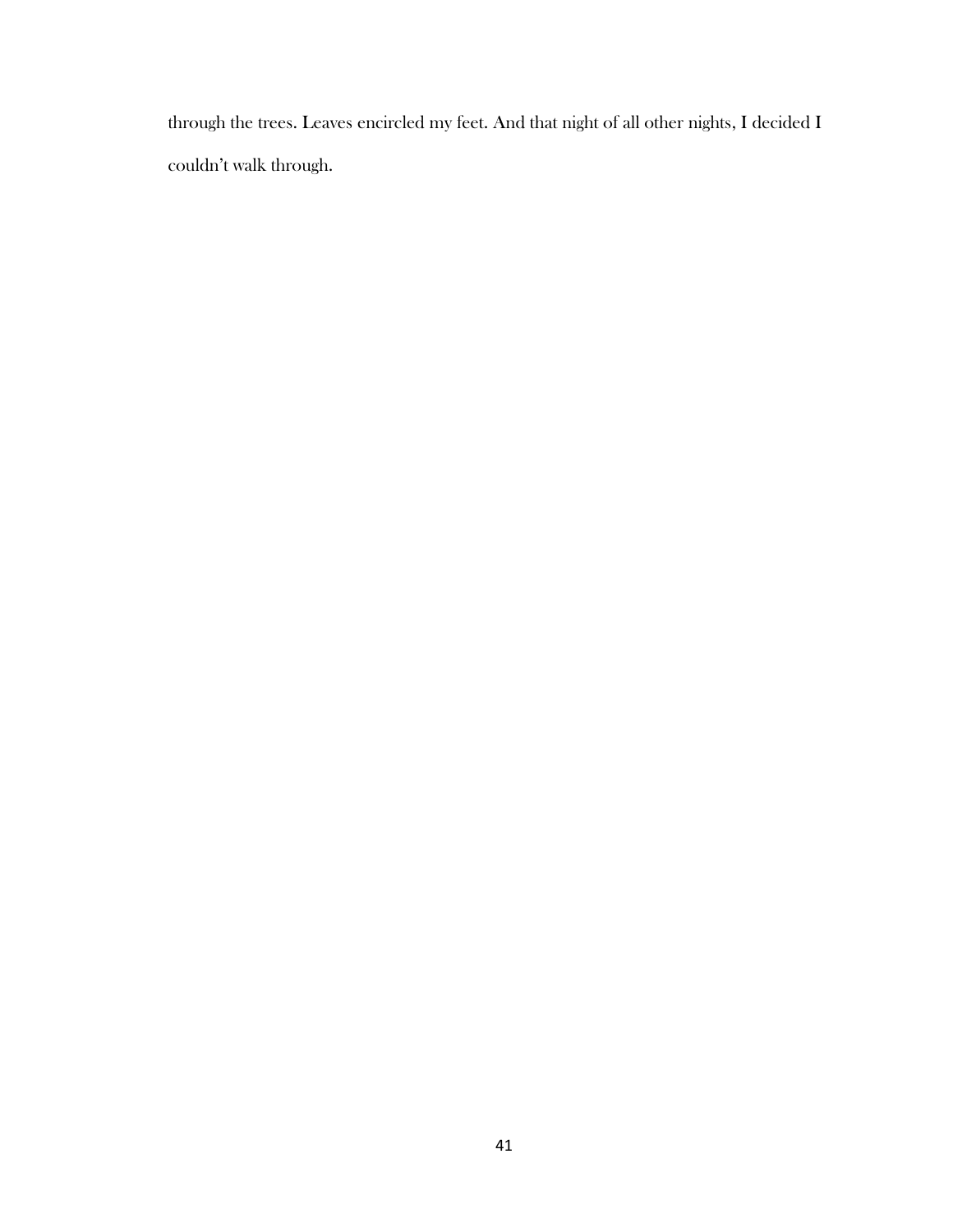through the trees. Leaves encircled my feet. And that night of all other nights, I decided I couldn't walk through.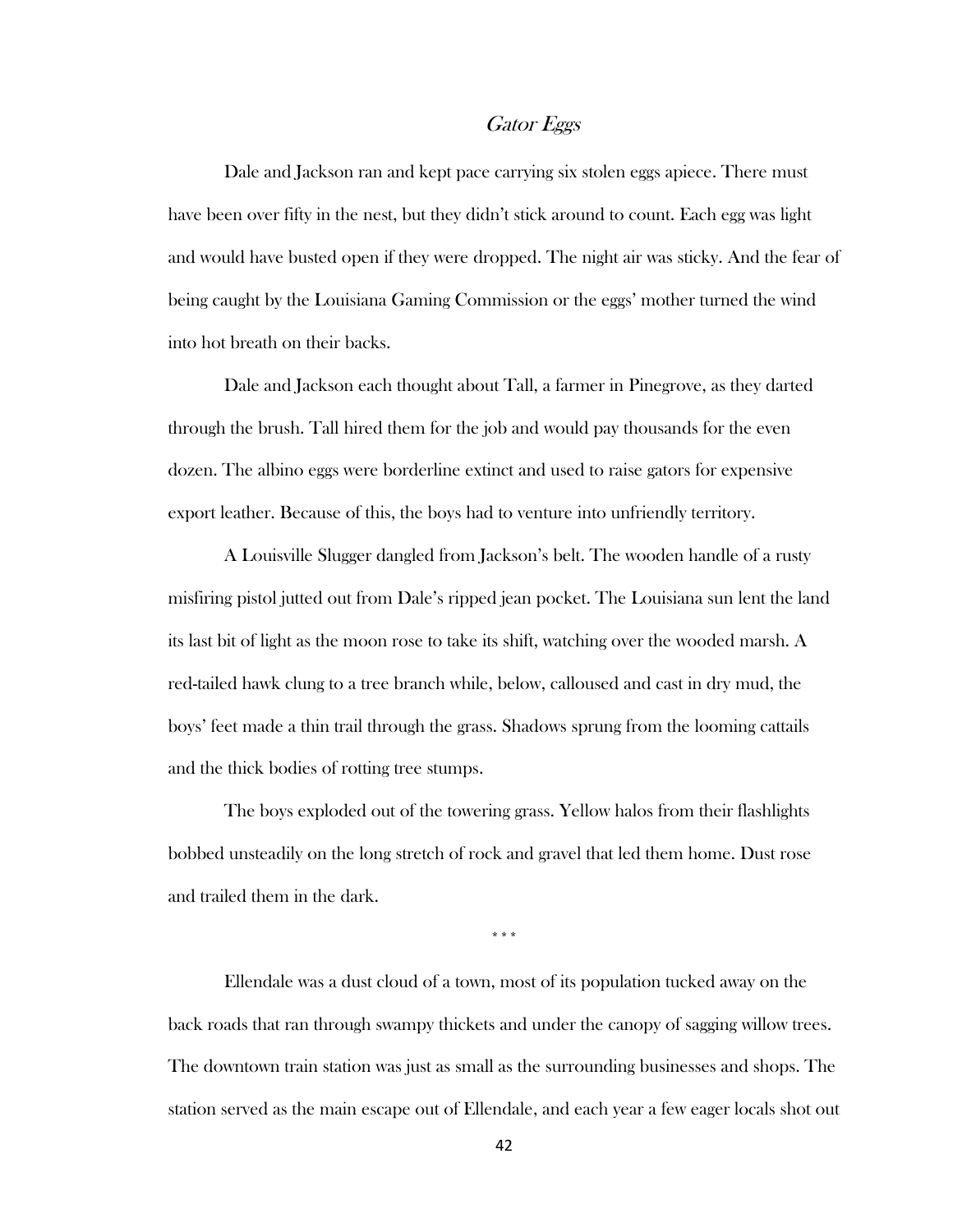## Gator Eggs

Dale and Jackson ran and kept pace carrying six stolen eggs apiece. There must have been over fifty in the nest, but they didn't stick around to count. Each egg was light and would have busted open if they were dropped. The night air was sticky. And the fear of being caught by the Louisiana Gaming Commission or the eggs' mother turned the wind into hot breath on their backs.

Dale and Jackson each thought about Tall, a farmer in Pinegrove, as they darted through the brush. Tall hired them for the job and would pay thousands for the even dozen. The albino eggs were borderline extinct and used to raise gators for expensive export leather. Because of this, the boys had to venture into unfriendly territory.

A Louisville Slugger dangled from Jackson's belt. The wooden handle of a rusty misfiring pistol jutted out from Dale's ripped jean pocket. The Louisiana sun lent the land its last bit of light as the moon rose to take its shift, watching over the wooded marsh. A red-tailed hawk clung to a tree branch while, below, calloused and cast in dry mud, the boys' feet made a thin trail through the grass. Shadows sprung from the looming cattails and the thick bodies of rotting tree stumps.

The boys exploded out of the towering grass. Yellow halos from their flashlights bobbed unsteadily on the long stretch of rock and gravel that led them home. Dust rose and trailed them in the dark.

\*\*\*

Ellendale was a dust cloud of a town, most of its population tucked away on the back roads that ran through swampy thickets and under the canopy of sagging willow trees. The downtown train station was just as small as the surrounding businesses and shops. The station served as the main escape out of Ellendale, and each year a few eager locals shot out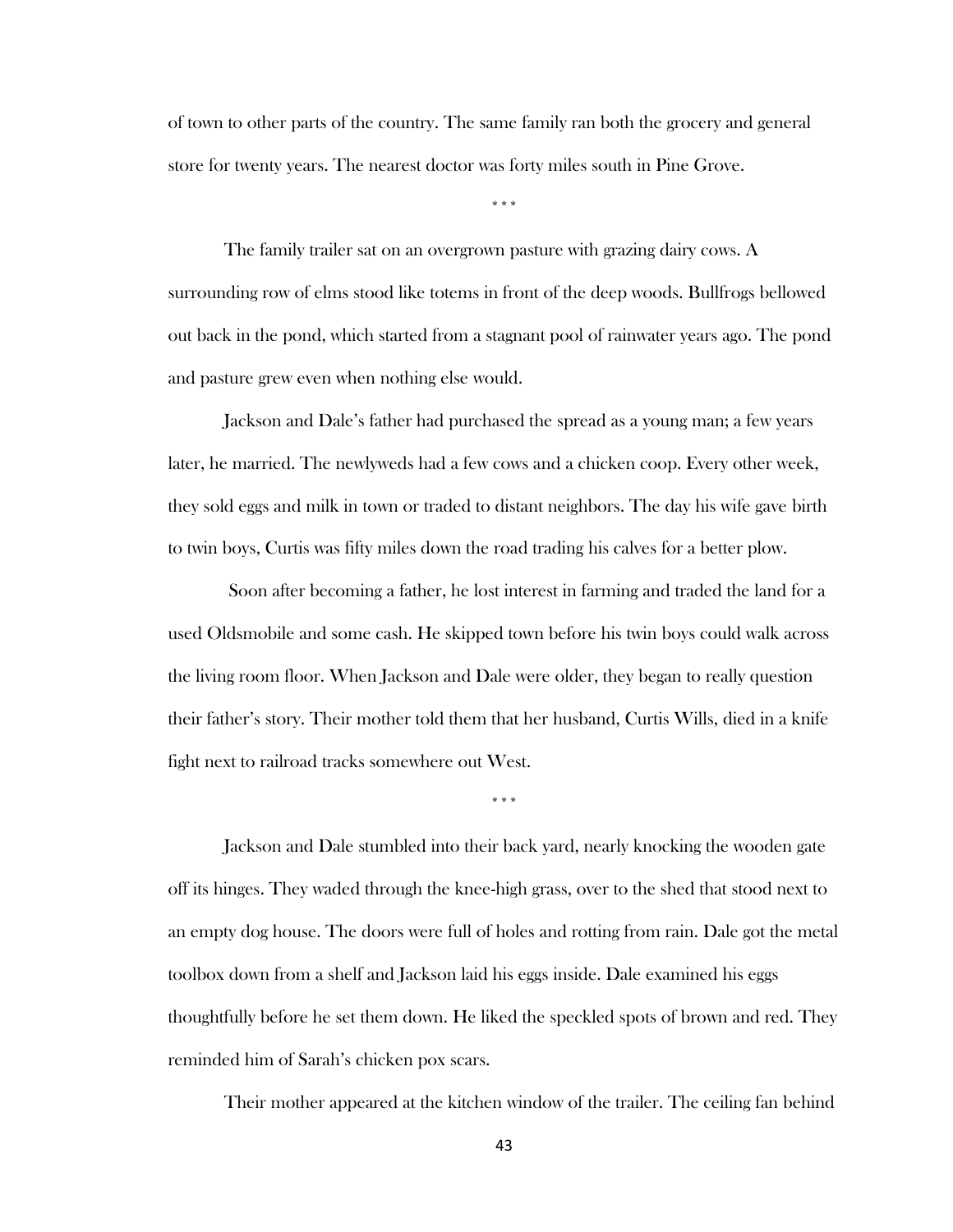of town to other parts of the country. The same family ran both the grocery and general store for twenty years. The nearest doctor was forty miles south in Pine Grove.

\*\*\*

The family trailer sat on an overgrown pasture with grazing dairy cows. A surrounding row of elms stood like totems in front of the deep woods. Bullfrogs bellowed out back in the pond, which started from a stagnant pool of rainwater years ago. The pond and pasture grew even when nothing else would.

Jackson and Dale's father had purchased the spread as a young man; a few years later, he married. The newlyweds had a few cows and a chicken coop. Every other week, they sold eggs and milk in town or traded to distant neighbors. The day his wife gave birth to twin boys, Curtis was fifty miles down the road trading his calves for a better plow.

Soon after becoming a father, he lost interest in farming and traded the land for a used Oldsmobile and some cash. He skipped town before his twin boys could walk across the living room floor. When Jackson and Dale were older, they began to really question their father's story. Their mother told them that her husband, Curtis Wills, died in a knife fight next to railroad tracks somewhere out West.

\*\*\*

Jackson and Dale stumbled into their back yard, nearly knocking the wooden gate off its hinges. They waded through the knee-high grass, over to the shed that stood next to an empty dog house. The doors were full of holes and rotting from rain. Dale got the metal toolbox down from a shelf and Jackson laid his eggs inside. Dale examined his eggs thoughtfully before he set them down. He liked the speckled spots of brown and red. They reminded him of Sarah's chicken pox scars.

Their mother appeared at the kitchen window of the trailer. The ceiling fan behind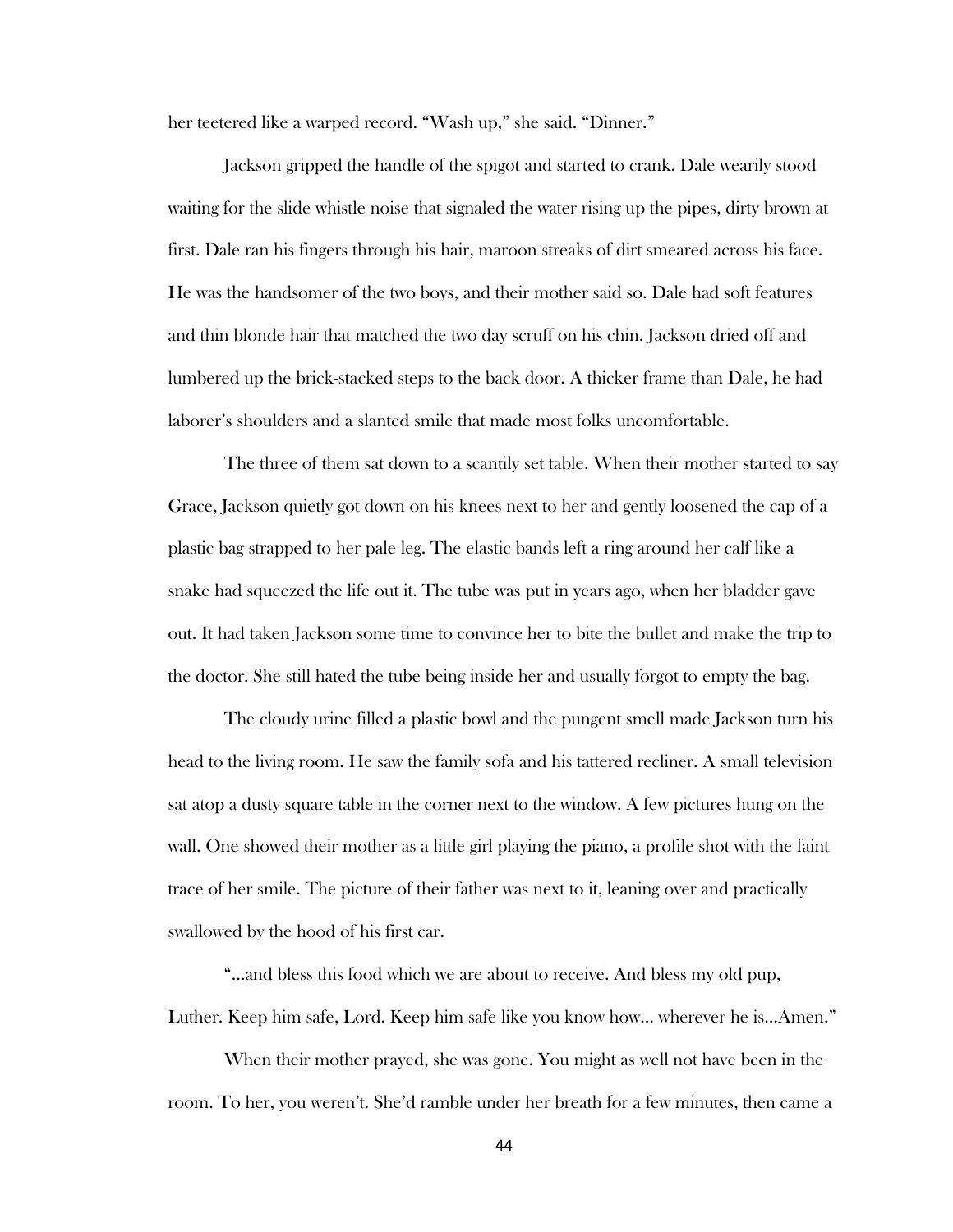her teetered like a warped record. "Wash up," she said. "Dinner."

Jackson gripped the handle of the spigot and started to crank. Dale wearily stood waiting for the slide whistle noise that signaled the water rising up the pipes, dirty brown at first. Dale ran his fingers through his hair, maroon streaks of dirt smeared across his face. He was the handsomer of the two boys, and their mother said so. Dale had soft features and thin blonde hair that matched the two day scruff on his chin. Jackson dried off and lumbered up the brick-stacked steps to the back door. A thicker frame than Dale, he had laborer's shoulders and a slanted smile that made most folks uncomfortable.

The three of them sat down to a scantily set table. When their mother started to say Grace, Jackson quietly got down on his knees next to her and gently loosened the cap of a plastic bag strapped to her pale leg. The elastic bands left a ring around her calf like a snake had squeezed the life out it. The tube was put in years ago, when her bladder gave out. It had taken Jackson some time to convince her to bite the bullet and make the trip to the doctor. She still hated the tube being inside her and usually forgot to empty the bag.

The cloudy urine filled a plastic bowl and the pungent smell made Jackson turn his head to the living room. He saw the family sofa and his tattered recliner. A small television sat atop a dusty square table in the corner next to the window. A few pictures hung on the wall. One showed their mother as a little girl playing the piano, a profile shot with the faint trace of her smile. The picture of their father was next to it, leaning over and practically swallowed by the hood of his first car.

"…and bless this food which we are about to receive. And bless my old pup, Luther. Keep him safe, Lord. Keep him safe like you know how… wherever he is…Amen."

When their mother prayed, she was gone. You might as well not have been in the room. To her, you weren't. She'd ramble under her breath for a few minutes, then came a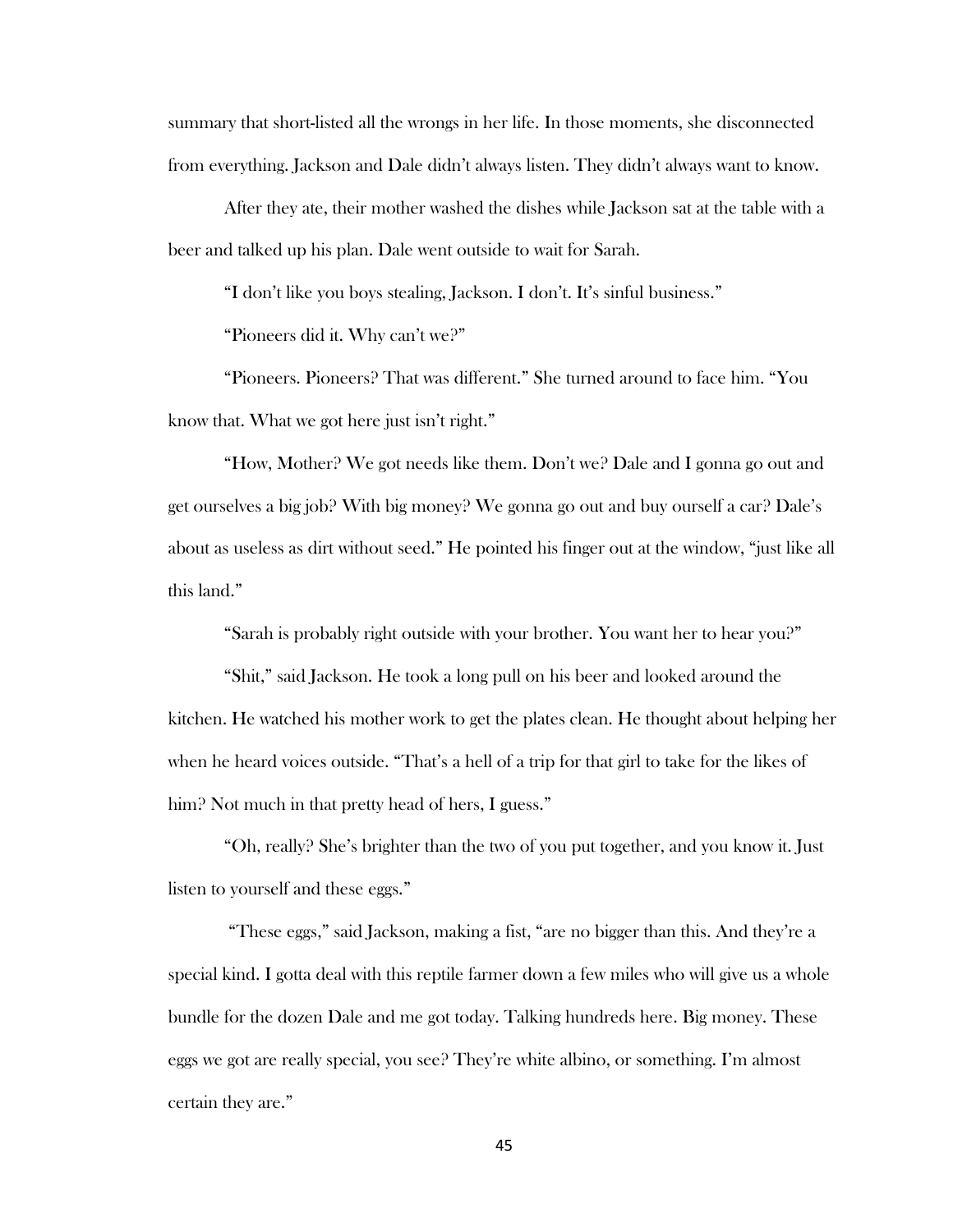summary that short-listed all the wrongs in her life. In those moments, she disconnected from everything. Jackson and Dale didn't always listen. They didn't always want to know.

After they ate, their mother washed the dishes while Jackson sat at the table with a beer and talked up his plan. Dale went outside to wait for Sarah.

"I don't like you boys stealing, Jackson. I don't. It's sinful business."

"Pioneers did it. Why can't we?"

"Pioneers. Pioneers? That was different." She turned around to face him. "You know that. What we got here just isn't right."

"How, Mother? We got needs like them. Don't we? Dale and I gonna go out and get ourselves a big job? With big money? We gonna go out and buy ourself a car? Dale's about as useless as dirt without seed." He pointed his finger out at the window, "just like all this land."

"Sarah is probably right outside with your brother. You want her to hear you?"

"Shit," said Jackson. He took a long pull on his beer and looked around the kitchen. He watched his mother work to get the plates clean. He thought about helping her when he heard voices outside. "That's a hell of a trip for that girl to take for the likes of him? Not much in that pretty head of hers, I guess."

"Oh, really? She's brighter than the two of you put together, and you know it. Just listen to yourself and these eggs."

"These eggs," said Jackson, making a fist, "are no bigger than this. And they're a special kind. I gotta deal with this reptile farmer down a few miles who will give us a whole bundle for the dozen Dale and me got today. Talking hundreds here. Big money. These eggs we got are really special, you see? They're white albino, or something. I'm almost certain they are."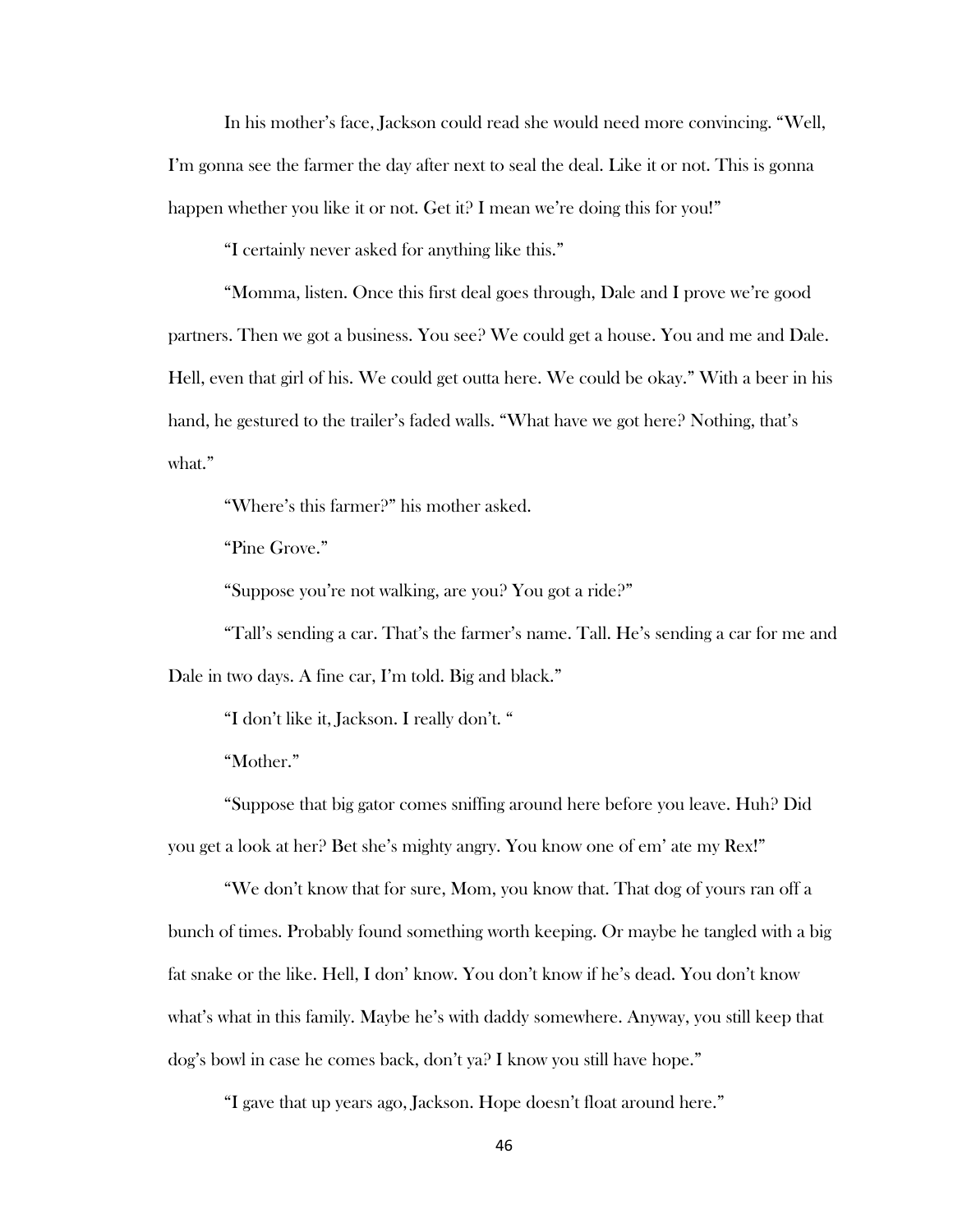In his mother's face, Jackson could read she would need more convincing. "Well, I'm gonna see the farmer the day after next to seal the deal. Like it or not. This is gonna happen whether you like it or not. Get it? I mean we're doing this for you!"

"I certainly never asked for anything like this."

"Momma, listen. Once this first deal goes through, Dale and I prove we're good partners. Then we got a business. You see? We could get a house. You and me and Dale. Hell, even that girl of his. We could get outta here. We could be okay." With a beer in his hand, he gestured to the trailer's faded walls. "What have we got here? Nothing, that's what."

"Where's this farmer?" his mother asked.

"Pine Grove."

"Suppose you're not walking, are you? You got a ride?"

"Tall's sending a car. That's the farmer's name. Tall. He's sending a car for me and Dale in two days. A fine car, I'm told. Big and black."

"I don't like it, Jackson. I really don't. "

"Mother."

"Suppose that big gator comes sniffing around here before you leave. Huh? Did you get a look at her? Bet she's mighty angry. You know one of em' ate my Rex!"

"We don't know that for sure, Mom, you know that. That dog of yours ran off a bunch of times. Probably found something worth keeping. Or maybe he tangled with a big fat snake or the like. Hell, I don' know. You don't know if he's dead. You don't know what's what in this family. Maybe he's with daddy somewhere. Anyway, you still keep that dog's bowl in case he comes back, don't ya? I know you still have hope."

"I gave that up years ago, Jackson. Hope doesn't float around here."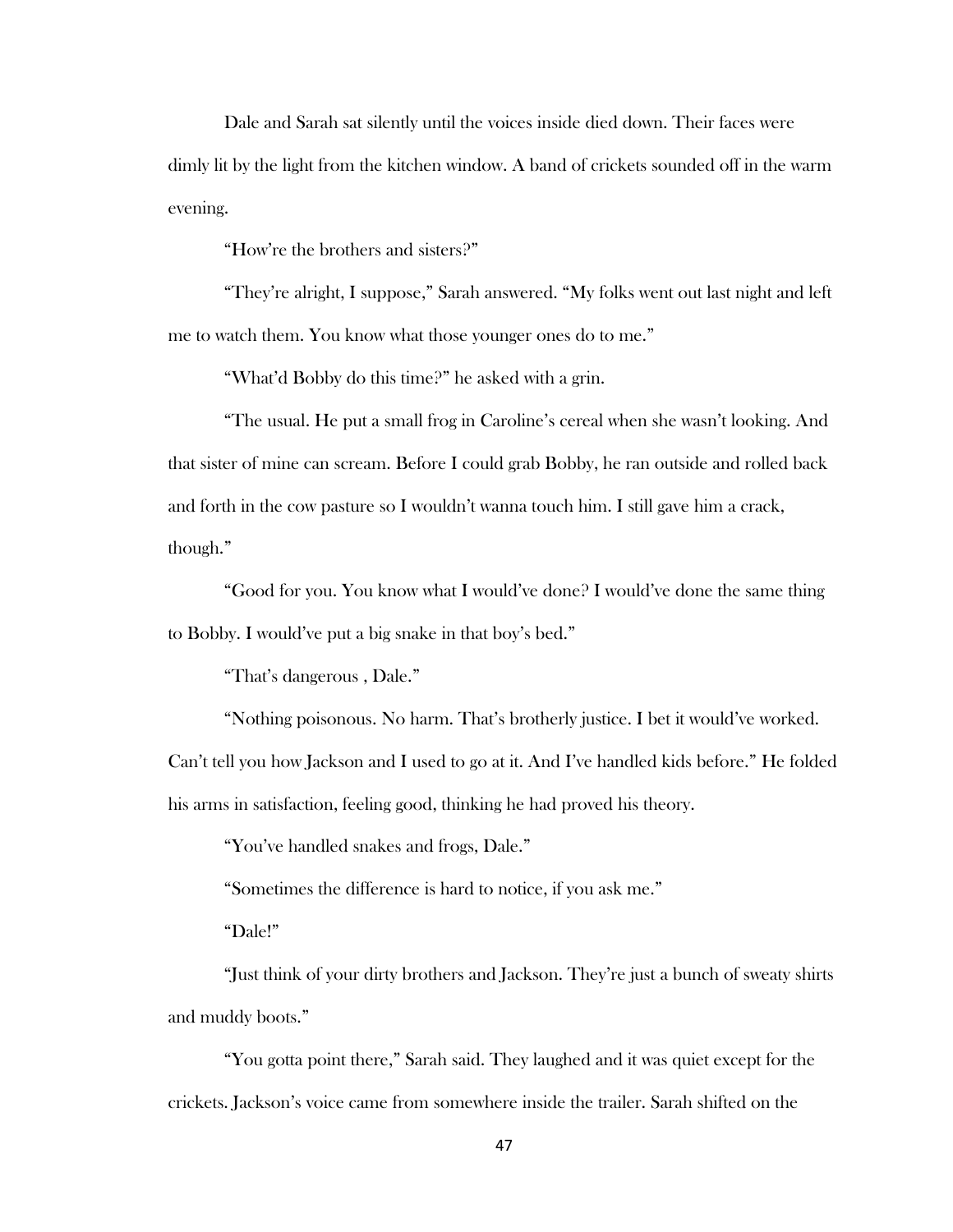Dale and Sarah sat silently until the voices inside died down. Their faces were

dimly lit by the light from the kitchen window. A band of crickets sounded off in the warm evening.

"How're the brothers and sisters?"

"They're alright, I suppose," Sarah answered. "My folks went out last night and left me to watch them. You know what those younger ones do to me."

"What'd Bobby do this time?" he asked with a grin.

"The usual. He put a small frog in Caroline's cereal when she wasn't looking. And that sister of mine can scream. Before I could grab Bobby, he ran outside and rolled back and forth in the cow pasture so I wouldn't wanna touch him. I still gave him a crack, though."

"Good for you. You know what I would've done? I would've done the same thing to Bobby. I would've put a big snake in that boy's bed."

"That's dangerous , Dale."

"Nothing poisonous. No harm. That's brotherly justice. I bet it would've worked.

Can't tell you how Jackson and I used to go at it. And I've handled kids before." He folded his arms in satisfaction, feeling good, thinking he had proved his theory.

"You've handled snakes and frogs, Dale."

"Sometimes the difference is hard to notice, if you ask me."

"Dale!"

"Just think of your dirty brothers and Jackson. They're just a bunch of sweaty shirts and muddy boots."

"You gotta point there," Sarah said. They laughed and it was quiet except for the crickets. Jackson's voice came from somewhere inside the trailer. Sarah shifted on the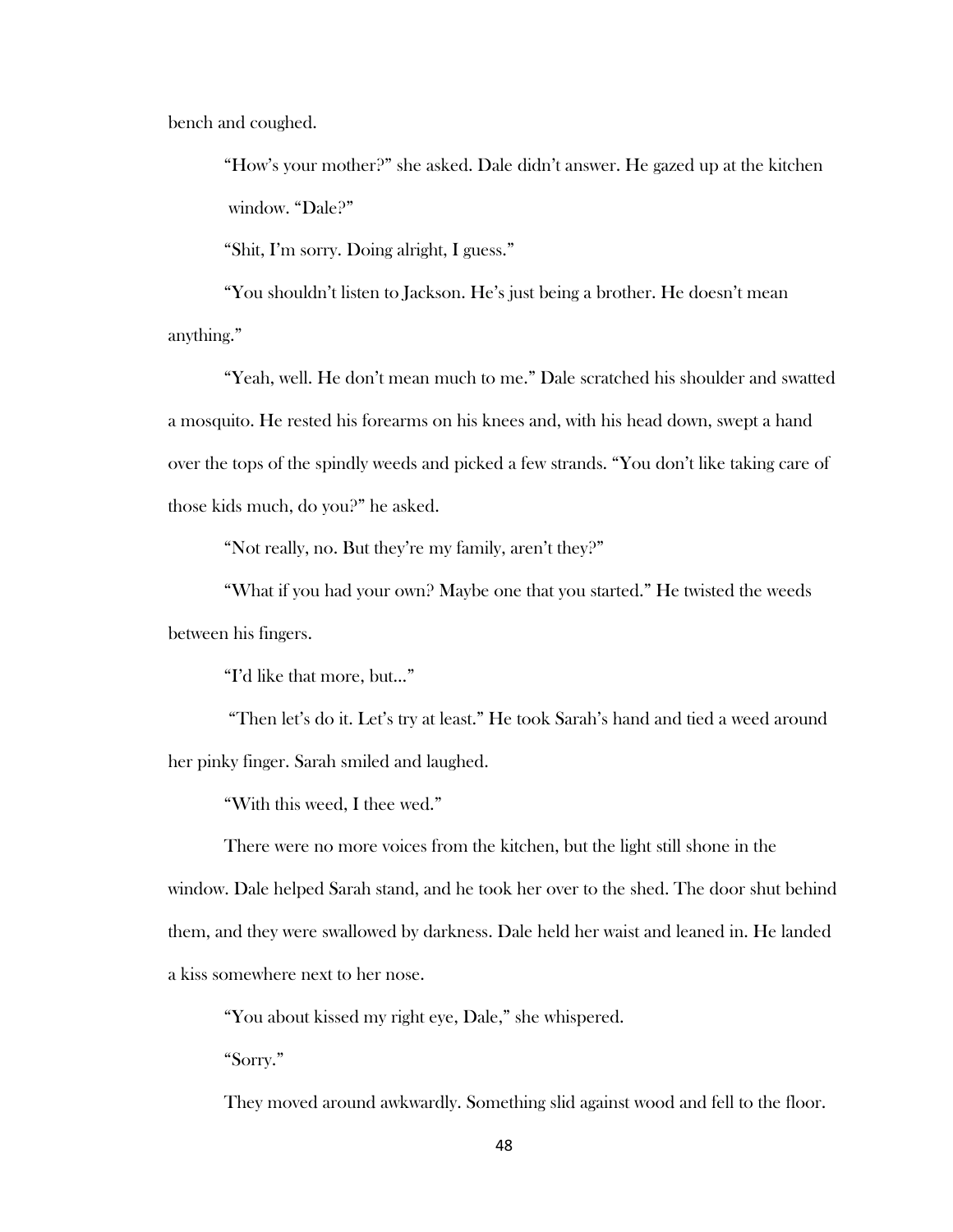bench and coughed.

"How's your mother?" she asked. Dale didn't answer. He gazed up at the kitchen window. "Dale?"

"Shit, I'm sorry. Doing alright, I guess."

"You shouldn't listen to Jackson. He's just being a brother. He doesn't mean anything."

"Yeah, well. He don't mean much to me." Dale scratched his shoulder and swatted a mosquito. He rested his forearms on his knees and, with his head down, swept a hand over the tops of the spindly weeds and picked a few strands. "You don't like taking care of those kids much, do you?" he asked.

"Not really, no. But they're my family, aren't they?"

"What if you had your own? Maybe one that you started." He twisted the weeds between his fingers.

"I'd like that more, but…"

"Then let's do it. Let's try at least." He took Sarah's hand and tied a weed around her pinky finger. Sarah smiled and laughed.

"With this weed, I thee wed."

There were no more voices from the kitchen, but the light still shone in the window. Dale helped Sarah stand, and he took her over to the shed. The door shut behind them, and they were swallowed by darkness. Dale held her waist and leaned in. He landed a kiss somewhere next to her nose.

"You about kissed my right eye, Dale," she whispered.

"Sorry."

They moved around awkwardly. Something slid against wood and fell to the floor.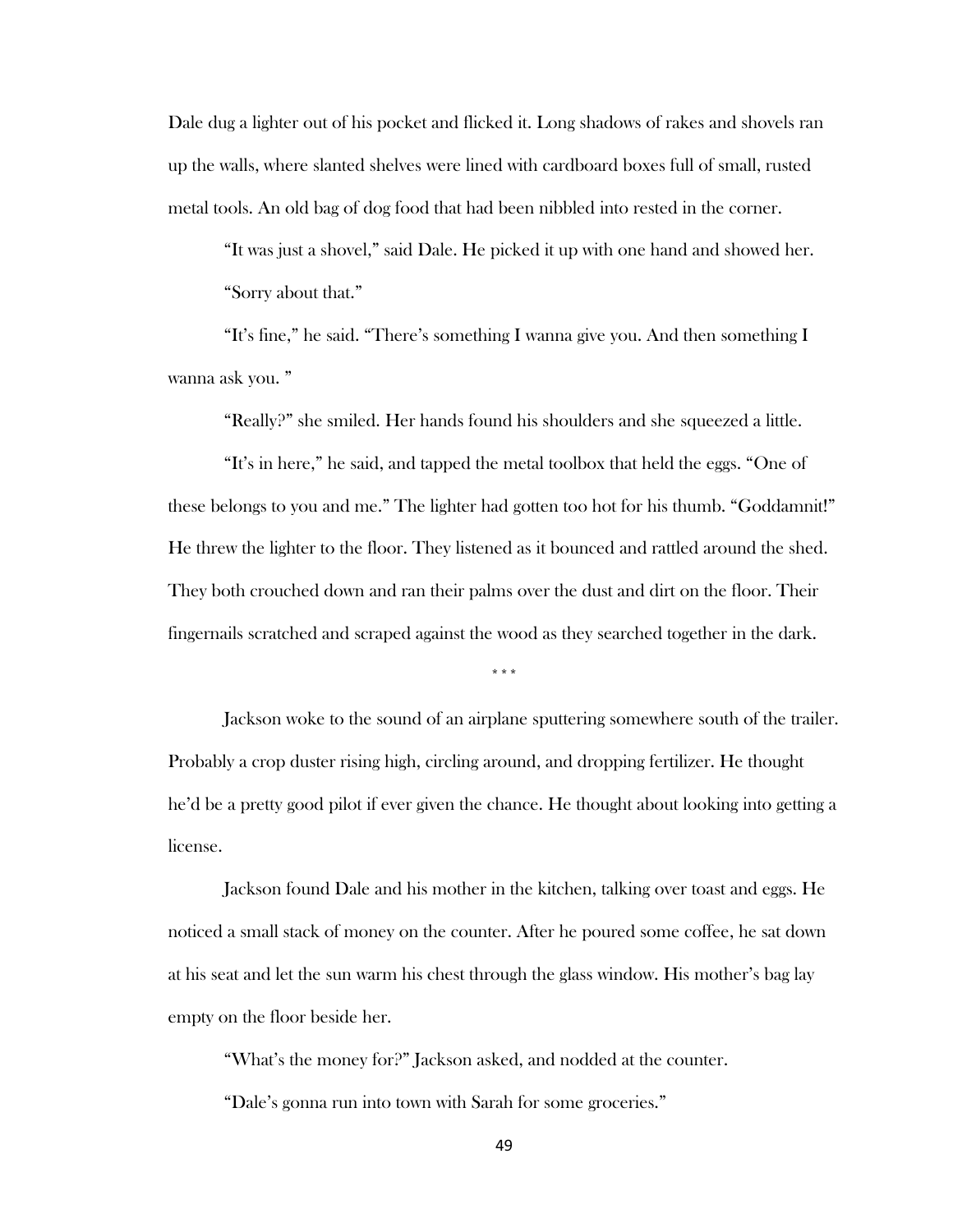Dale dug a lighter out of his pocket and flicked it. Long shadows of rakes and shovels ran up the walls, where slanted shelves were lined with cardboard boxes full of small, rusted metal tools. An old bag of dog food that had been nibbled into rested in the corner.

"It was just a shovel," said Dale. He picked it up with one hand and showed her. "Sorry about that."

"It's fine," he said. "There's something I wanna give you. And then something I wanna ask you. "

"Really?" she smiled. Her hands found his shoulders and she squeezed a little.

"It's in here," he said, and tapped the metal toolbox that held the eggs. "One of these belongs to you and me." The lighter had gotten too hot for his thumb. "Goddamnit!" He threw the lighter to the floor. They listened as it bounced and rattled around the shed. They both crouched down and ran their palms over the dust and dirt on the floor. Their fingernails scratched and scraped against the wood as they searched together in the dark.

\*\*\*

Jackson woke to the sound of an airplane sputtering somewhere south of the trailer. Probably a crop duster rising high, circling around, and dropping fertilizer. He thought he'd be a pretty good pilot if ever given the chance. He thought about looking into getting a license.

Jackson found Dale and his mother in the kitchen, talking over toast and eggs. He noticed a small stack of money on the counter. After he poured some coffee, he sat down at his seat and let the sun warm his chest through the glass window. His mother's bag lay empty on the floor beside her.

"What's the money for?" Jackson asked, and nodded at the counter. "Dale's gonna run into town with Sarah for some groceries."

49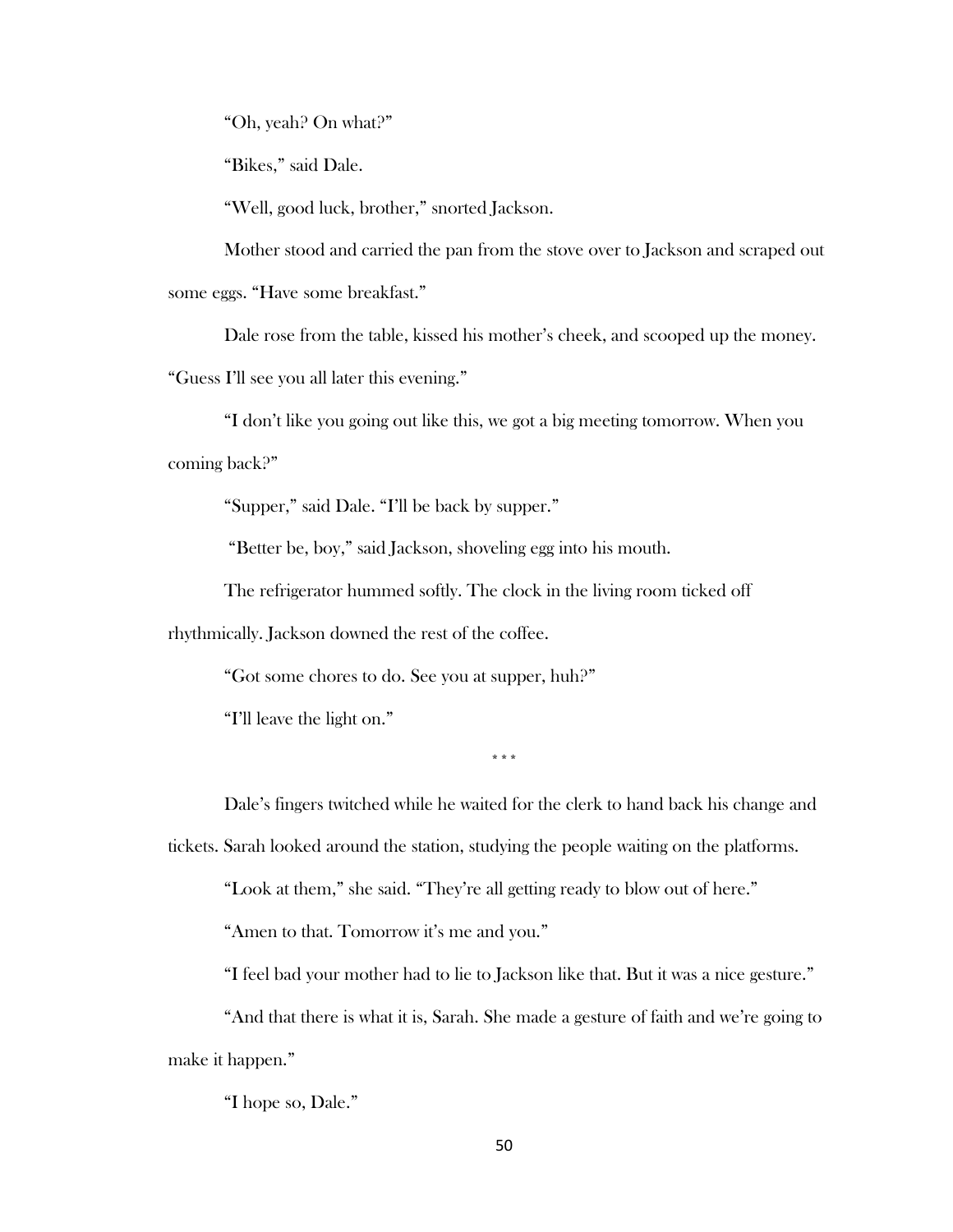"Oh, yeah? On what?"

"Bikes," said Dale.

"Well, good luck, brother," snorted Jackson.

Mother stood and carried the pan from the stove over to Jackson and scraped out some eggs. "Have some breakfast."

Dale rose from the table, kissed his mother's cheek, and scooped up the money.

"Guess I'll see you all later this evening."

"I don't like you going out like this, we got a big meeting tomorrow. When you coming back?"

"Supper," said Dale. "I'll be back by supper."

"Better be, boy," said Jackson, shoveling egg into his mouth.

The refrigerator hummed softly. The clock in the living room ticked off

rhythmically. Jackson downed the rest of the coffee.

"Got some chores to do. See you at supper, huh?"

"I'll leave the light on."

\*\*\*

Dale's fingers twitched while he waited for the clerk to hand back his change and tickets. Sarah looked around the station, studying the people waiting on the platforms.

"Look at them," she said. "They're all getting ready to blow out of here."

"Amen to that. Tomorrow it's me and you."

"I feel bad your mother had to lie to Jackson like that. But it was a nice gesture."

"And that there is what it is, Sarah. She made a gesture of faith and we're going to make it happen."

"I hope so, Dale."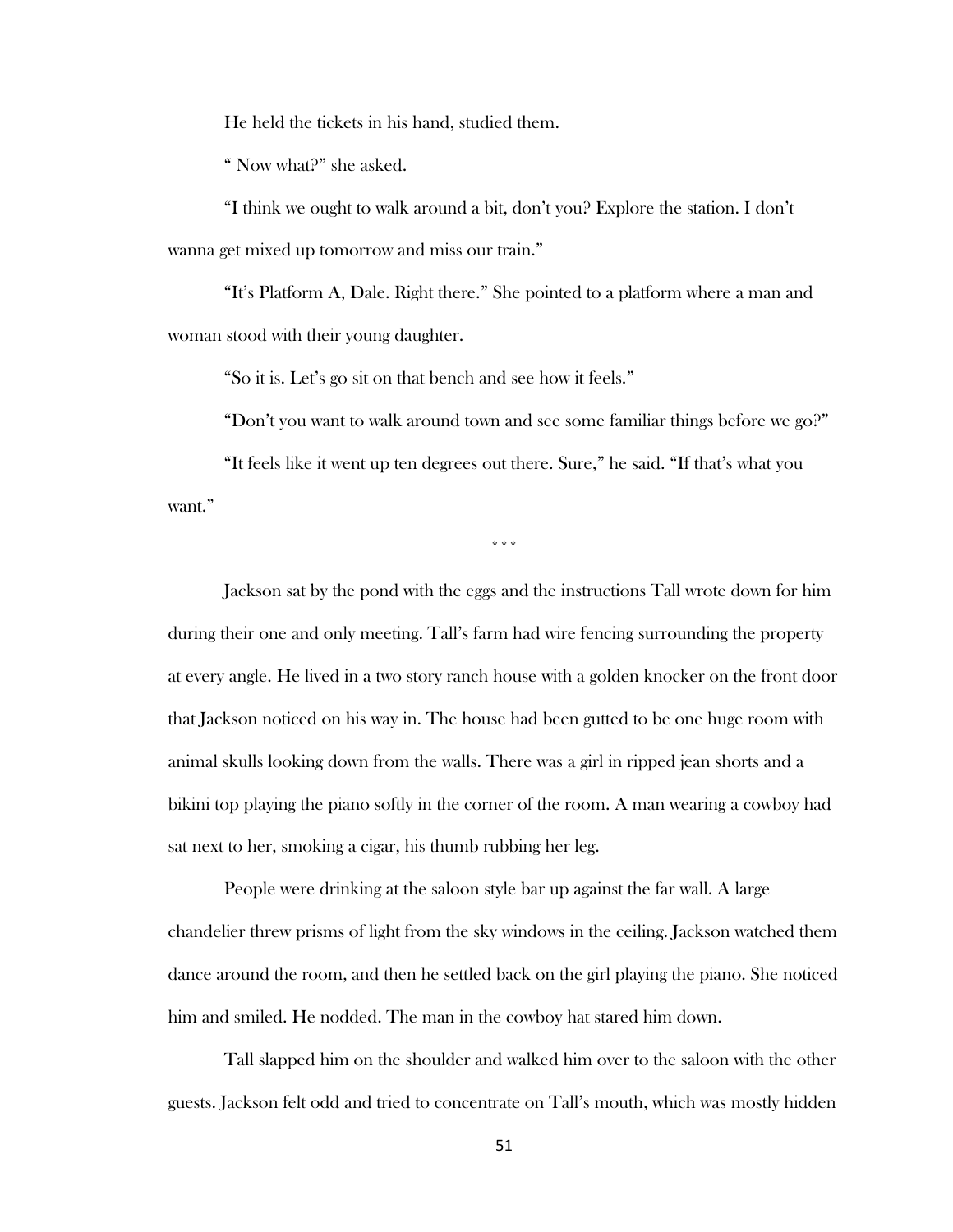He held the tickets in his hand, studied them.

" Now what?" she asked.

"I think we ought to walk around a bit, don't you? Explore the station. I don't wanna get mixed up tomorrow and miss our train."

"It's Platform A, Dale. Right there." She pointed to a platform where a man and woman stood with their young daughter.

"So it is. Let's go sit on that bench and see how it feels."

"Don't you want to walk around town and see some familiar things before we go?"

"It feels like it went up ten degrees out there. Sure," he said. "If that's what you want."

\*\*\*

Jackson sat by the pond with the eggs and the instructions Tall wrote down for him during their one and only meeting. Tall's farm had wire fencing surrounding the property at every angle. He lived in a two story ranch house with a golden knocker on the front door that Jackson noticed on his way in. The house had been gutted to be one huge room with animal skulls looking down from the walls. There was a girl in ripped jean shorts and a bikini top playing the piano softly in the corner of the room. A man wearing a cowboy had sat next to her, smoking a cigar, his thumb rubbing her leg.

People were drinking at the saloon style bar up against the far wall. A large chandelier threw prisms of light from the sky windows in the ceiling. Jackson watched them dance around the room, and then he settled back on the girl playing the piano. She noticed him and smiled. He nodded. The man in the cowboy hat stared him down.

Tall slapped him on the shoulder and walked him over to the saloon with the other guests. Jackson felt odd and tried to concentrate on Tall's mouth, which was mostly hidden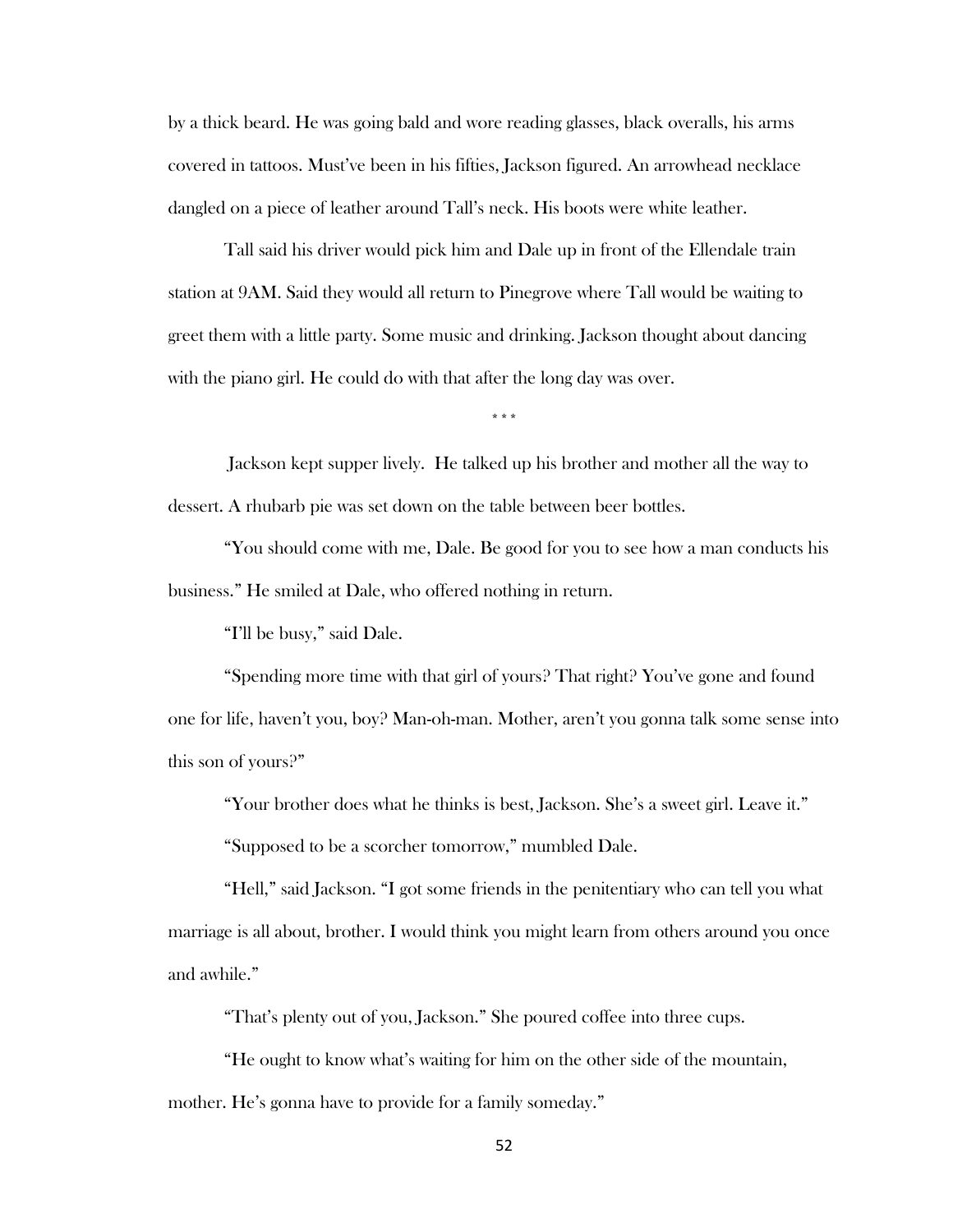by a thick beard. He was going bald and wore reading glasses, black overalls, his arms covered in tattoos. Must've been in his fifties, Jackson figured. An arrowhead necklace dangled on a piece of leather around Tall's neck. His boots were white leather.

Tall said his driver would pick him and Dale up in front of the Ellendale train station at 9AM. Said they would all return to Pinegrove where Tall would be waiting to greet them with a little party. Some music and drinking. Jackson thought about dancing with the piano girl. He could do with that after the long day was over.

\*\*\*

Jackson kept supper lively. He talked up his brother and mother all the way to dessert. A rhubarb pie was set down on the table between beer bottles.

"You should come with me, Dale. Be good for you to see how a man conducts his business." He smiled at Dale, who offered nothing in return.

"I'll be busy," said Dale.

"Spending more time with that girl of yours? That right? You've gone and found one for life, haven't you, boy? Man-oh-man. Mother, aren't you gonna talk some sense into this son of yours?"

"Your brother does what he thinks is best, Jackson. She's a sweet girl. Leave it."

"Supposed to be a scorcher tomorrow," mumbled Dale.

"Hell," said Jackson. "I got some friends in the penitentiary who can tell you what marriage is all about, brother. I would think you might learn from others around you once and awhile."

"That's plenty out of you, Jackson." She poured coffee into three cups.

"He ought to know what's waiting for him on the other side of the mountain, mother. He's gonna have to provide for a family someday."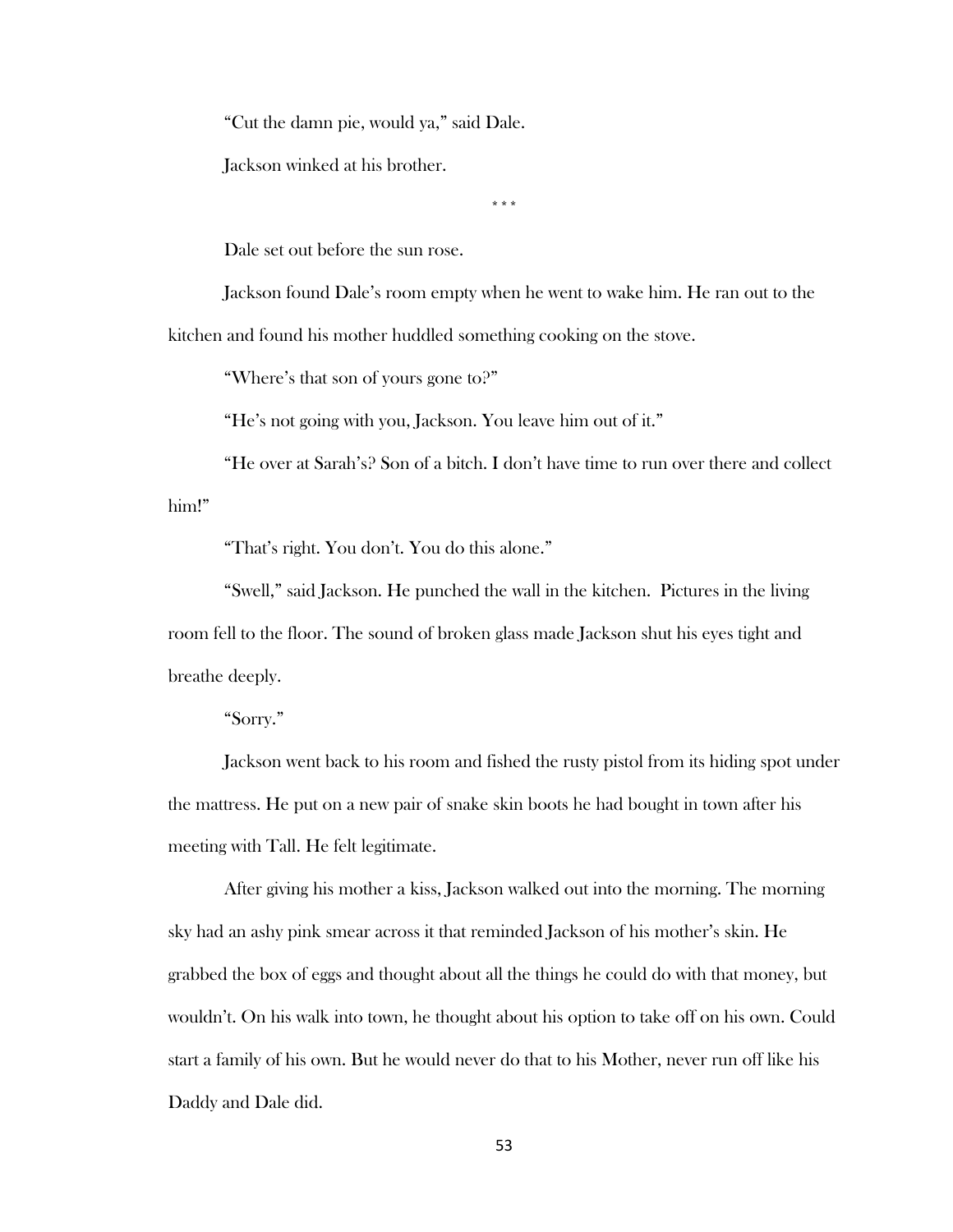"Cut the damn pie, would ya," said Dale.

Jackson winked at his brother.

\*\*\*

Dale set out before the sun rose.

Jackson found Dale's room empty when he went to wake him. He ran out to the kitchen and found his mother huddled something cooking on the stove.

"Where's that son of yours gone to?"

"He's not going with you, Jackson. You leave him out of it."

"He over at Sarah's? Son of a bitch. I don't have time to run over there and collect him!"

"That's right. You don't. You do this alone."

"Swell," said Jackson. He punched the wall in the kitchen. Pictures in the living room fell to the floor. The sound of broken glass made Jackson shut his eyes tight and breathe deeply.

"Sorry."

Jackson went back to his room and fished the rusty pistol from its hiding spot under the mattress. He put on a new pair of snake skin boots he had bought in town after his meeting with Tall. He felt legitimate.

After giving his mother a kiss, Jackson walked out into the morning. The morning sky had an ashy pink smear across it that reminded Jackson of his mother's skin. He grabbed the box of eggs and thought about all the things he could do with that money, but wouldn't. On his walk into town, he thought about his option to take off on his own. Could start a family of his own. But he would never do that to his Mother, never run off like his Daddy and Dale did.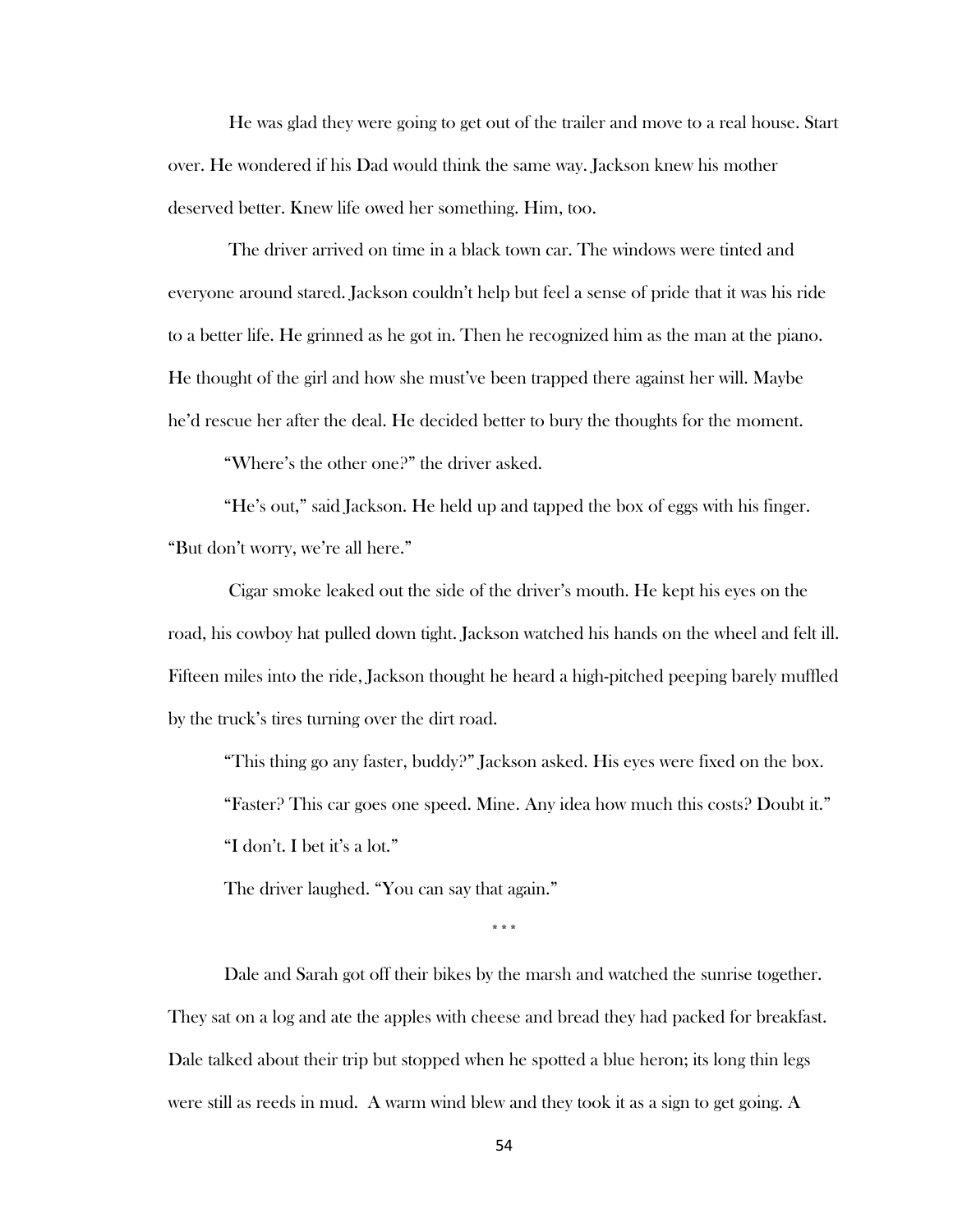He was glad they were going to get out of the trailer and move to a real house. Start over. He wondered if his Dad would think the same way. Jackson knew his mother deserved better. Knew life owed her something. Him, too.

The driver arrived on time in a black town car. The windows were tinted and everyone around stared. Jackson couldn't help but feel a sense of pride that it was his ride to a better life. He grinned as he got in. Then he recognized him as the man at the piano. He thought of the girl and how she must've been trapped there against her will. Maybe he'd rescue her after the deal. He decided better to bury the thoughts for the moment.

"Where's the other one?" the driver asked.

"He's out," said Jackson. He held up and tapped the box of eggs with his finger. "But don't worry, we're all here."

Cigar smoke leaked out the side of the driver's mouth. He kept his eyes on the road, his cowboy hat pulled down tight. Jackson watched his hands on the wheel and felt ill. Fifteen miles into the ride, Jackson thought he heard a high-pitched peeping barely muffled by the truck's tires turning over the dirt road.

"This thing go any faster, buddy?" Jackson asked. His eyes were fixed on the box. "Faster? This car goes one speed. Mine. Any idea how much this costs? Doubt it." "I don't. I bet it's a lot."

The driver laughed. "You can say that again."

\*\*\*

Dale and Sarah got off their bikes by the marsh and watched the sunrise together. They sat on a log and ate the apples with cheese and bread they had packed for breakfast. Dale talked about their trip but stopped when he spotted a blue heron; its long thin legs were still as reeds in mud. A warm wind blew and they took it as a sign to get going. A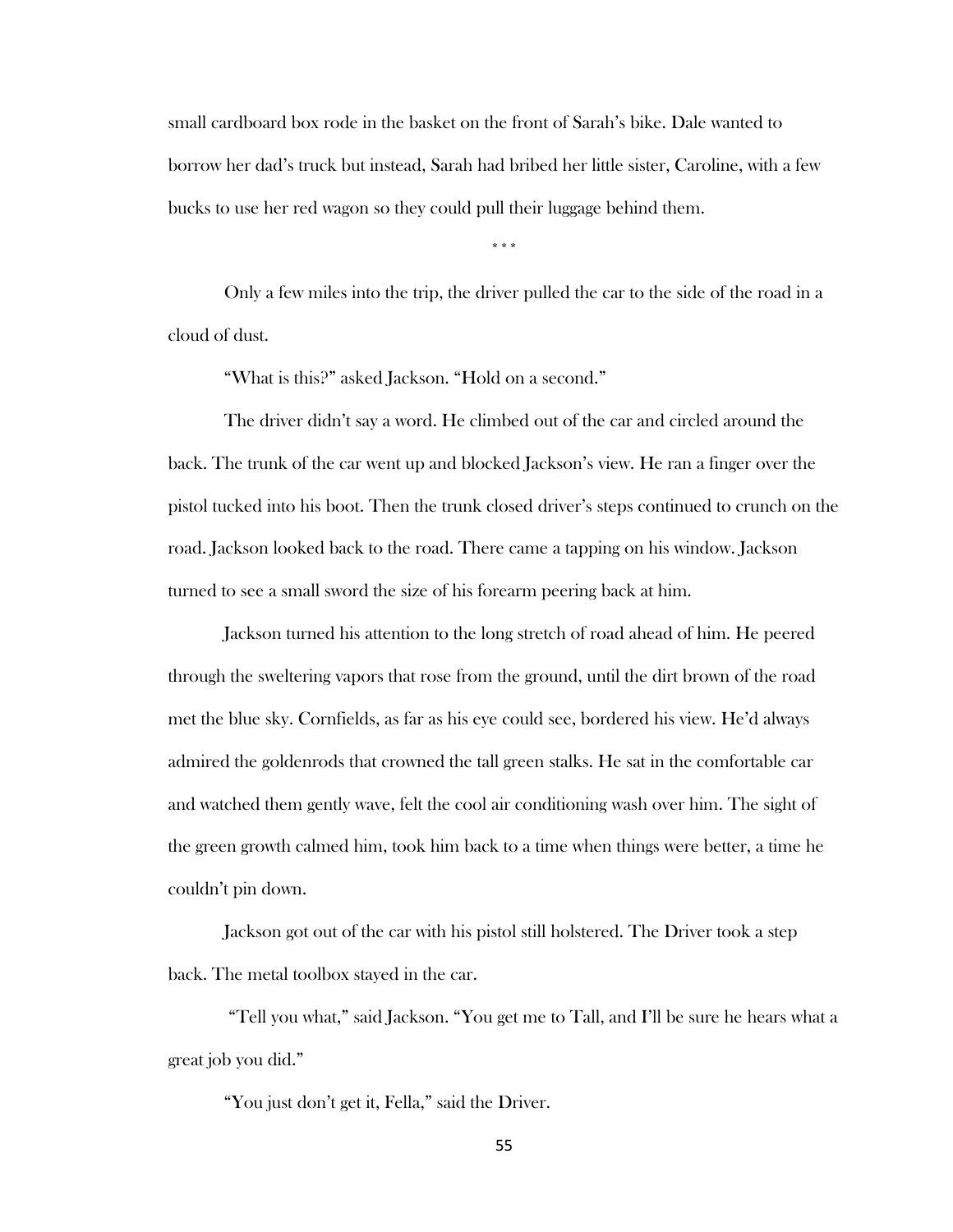small cardboard box rode in the basket on the front of Sarah's bike. Dale wanted to borrow her dad's truck but instead, Sarah had bribed her little sister, Caroline, with a few bucks to use her red wagon so they could pull their luggage behind them.

\*\*\*

Only a few miles into the trip, the driver pulled the car to the side of the road in a cloud of dust.

"What is this?" asked Jackson. "Hold on a second."

The driver didn't say a word. He climbed out of the car and circled around the back. The trunk of the car went up and blocked Jackson's view. He ran a finger over the pistol tucked into his boot. Then the trunk closed driver's steps continued to crunch on the road. Jackson looked back to the road. There came a tapping on his window. Jackson turned to see a small sword the size of his forearm peering back at him.

Jackson turned his attention to the long stretch of road ahead of him. He peered through the sweltering vapors that rose from the ground, until the dirt brown of the road met the blue sky. Cornfields, as far as his eye could see, bordered his view. He'd always admired the goldenrods that crowned the tall green stalks. He sat in the comfortable car and watched them gently wave, felt the cool air conditioning wash over him. The sight of the green growth calmed him, took him back to a time when things were better, a time he couldn't pin down.

Jackson got out of the car with his pistol still holstered. The Driver took a step back. The metal toolbox stayed in the car.

"Tell you what," said Jackson. "You get me to Tall, and I'll be sure he hears what a great job you did."

"You just don't get it, Fella," said the Driver.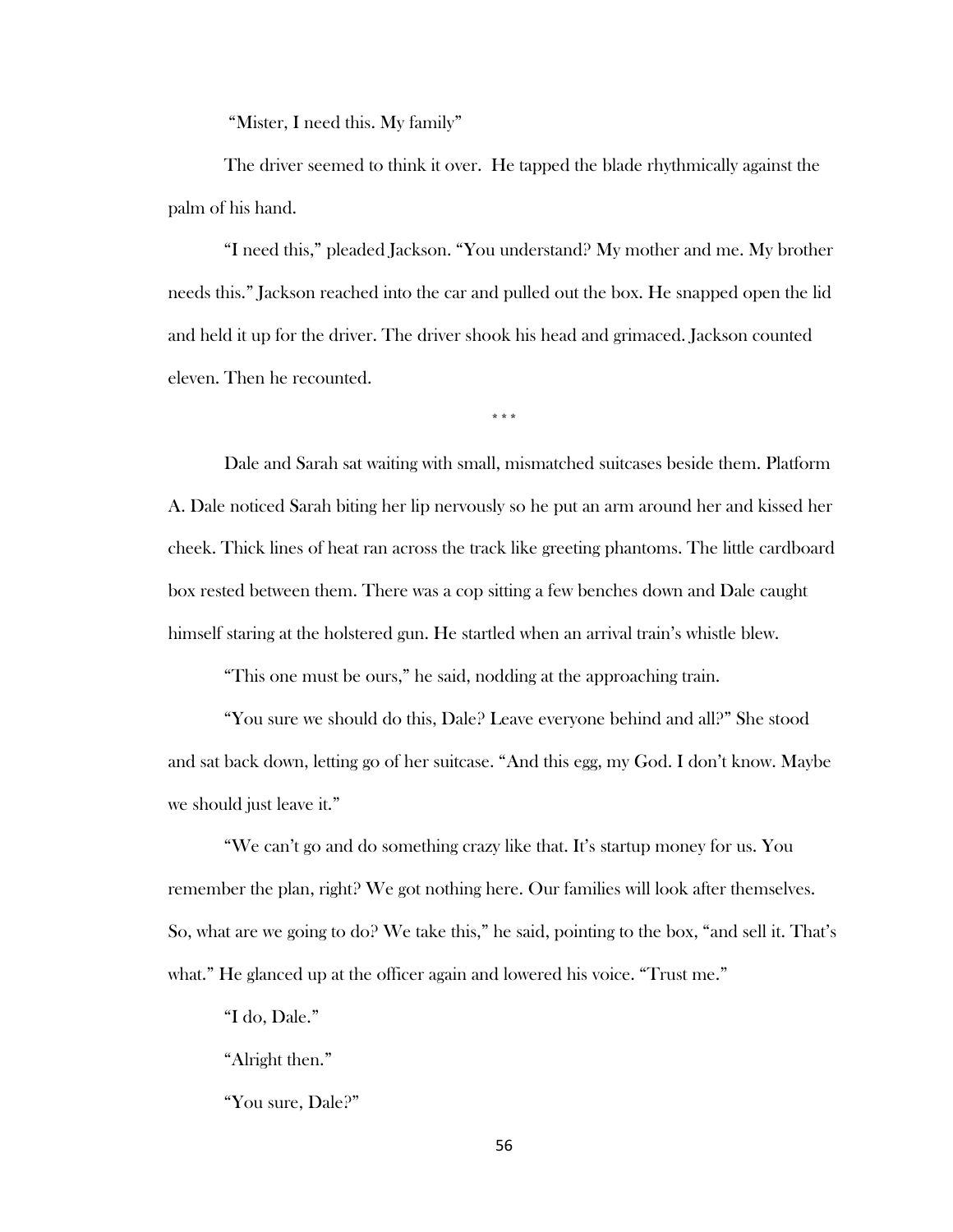"Mister, I need this. My family"

The driver seemed to think it over. He tapped the blade rhythmically against the palm of his hand.

"I need this," pleaded Jackson. "You understand? My mother and me. My brother needs this." Jackson reached into the car and pulled out the box. He snapped open the lid and held it up for the driver. The driver shook his head and grimaced. Jackson counted eleven. Then he recounted.

\*\*\*

Dale and Sarah sat waiting with small, mismatched suitcases beside them. Platform A. Dale noticed Sarah biting her lip nervously so he put an arm around her and kissed her cheek. Thick lines of heat ran across the track like greeting phantoms. The little cardboard box rested between them. There was a cop sitting a few benches down and Dale caught himself staring at the holstered gun. He startled when an arrival train's whistle blew.

"This one must be ours," he said, nodding at the approaching train.

"You sure we should do this, Dale? Leave everyone behind and all?" She stood and sat back down, letting go of her suitcase. "And this egg, my God. I don't know. Maybe we should just leave it."

"We can't go and do something crazy like that. It's startup money for us. You remember the plan, right? We got nothing here. Our families will look after themselves. So, what are we going to do? We take this," he said, pointing to the box, "and sell it. That's what." He glanced up at the officer again and lowered his voice. "Trust me."

"I do, Dale."

"Alright then."

"You sure, Dale?"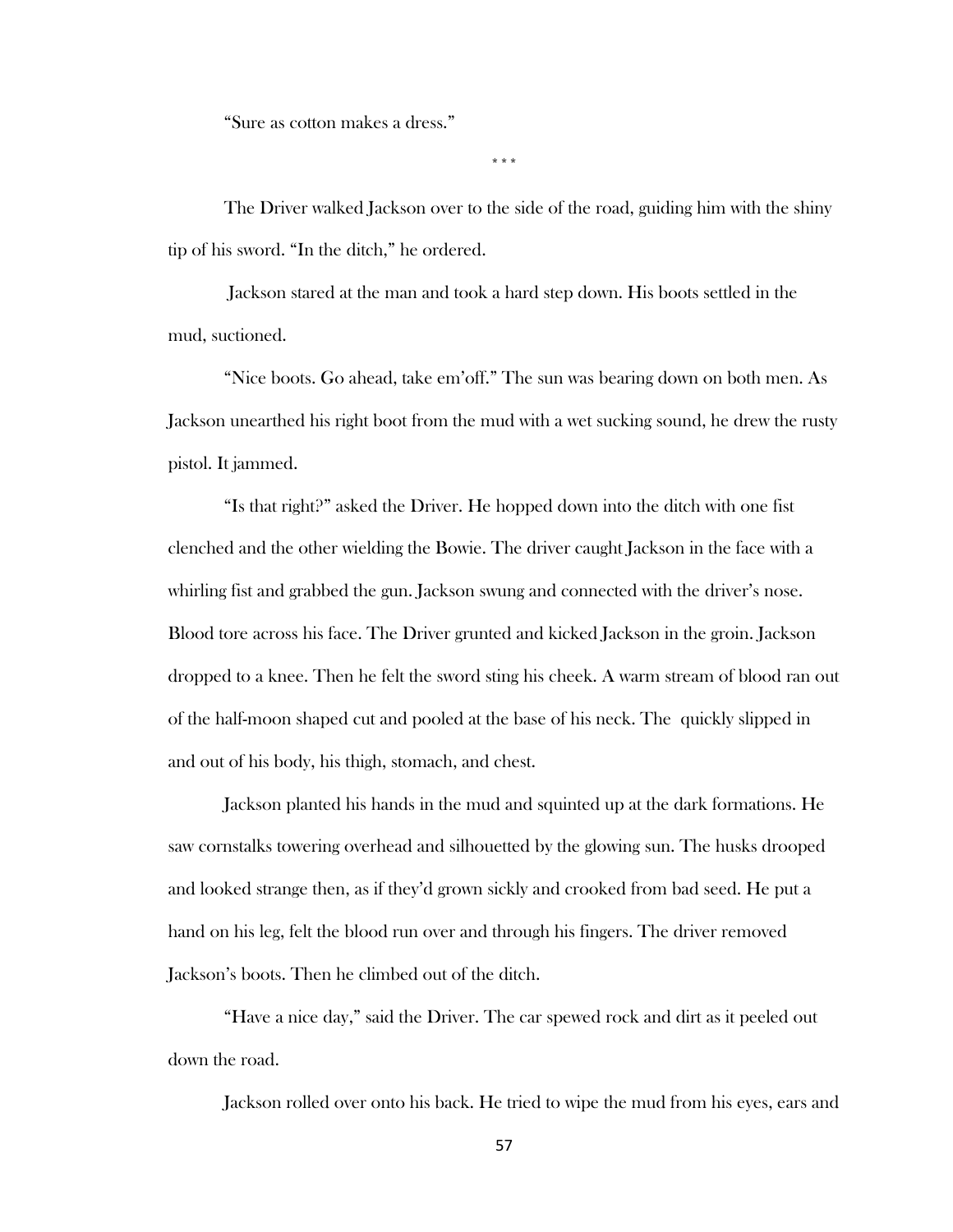"Sure as cotton makes a dress."

\*\*\*

The Driver walked Jackson over to the side of the road, guiding him with the shiny tip of his sword. "In the ditch," he ordered.

Jackson stared at the man and took a hard step down. His boots settled in the mud, suctioned.

"Nice boots. Go ahead, take em'off." The sun was bearing down on both men. As Jackson unearthed his right boot from the mud with a wet sucking sound, he drew the rusty pistol. It jammed.

"Is that right?" asked the Driver. He hopped down into the ditch with one fist clenched and the other wielding the Bowie. The driver caught Jackson in the face with a whirling fist and grabbed the gun. Jackson swung and connected with the driver's nose. Blood tore across his face. The Driver grunted and kicked Jackson in the groin. Jackson dropped to a knee. Then he felt the sword sting his cheek. A warm stream of blood ran out of the half-moon shaped cut and pooled at the base of his neck. The quickly slipped in and out of his body, his thigh, stomach, and chest.

Jackson planted his hands in the mud and squinted up at the dark formations. He saw cornstalks towering overhead and silhouetted by the glowing sun. The husks drooped and looked strange then, as if they'd grown sickly and crooked from bad seed. He put a hand on his leg, felt the blood run over and through his fingers. The driver removed Jackson's boots. Then he climbed out of the ditch.

"Have a nice day," said the Driver. The car spewed rock and dirt as it peeled out down the road.

Jackson rolled over onto his back. He tried to wipe the mud from his eyes, ears and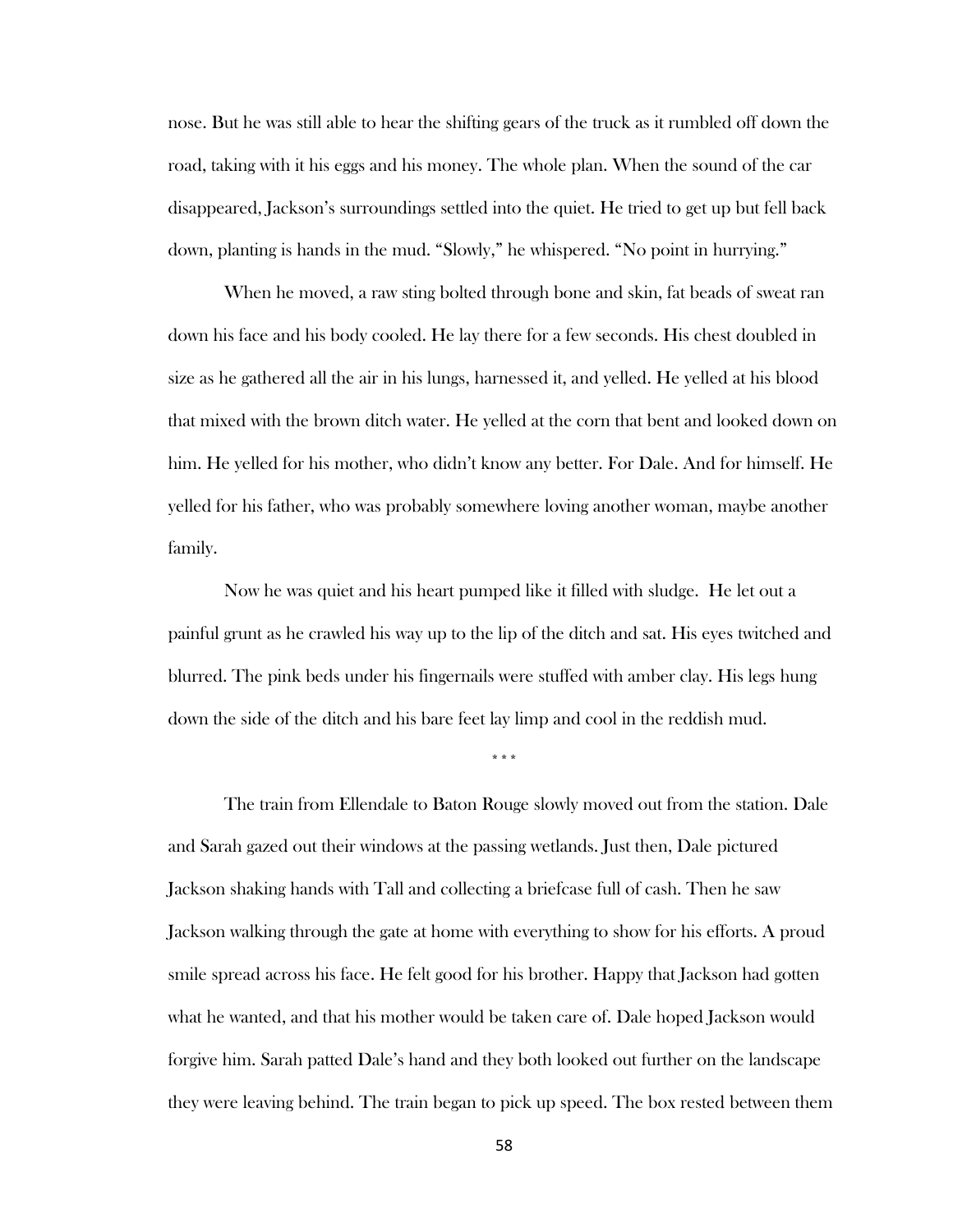nose. But he was still able to hear the shifting gears of the truck as it rumbled off down the road, taking with it his eggs and his money. The whole plan. When the sound of the car disappeared, Jackson's surroundings settled into the quiet. He tried to get up but fell back down, planting is hands in the mud. "Slowly," he whispered. "No point in hurrying."

When he moved, a raw sting bolted through bone and skin, fat beads of sweat ran down his face and his body cooled. He lay there for a few seconds. His chest doubled in size as he gathered all the air in his lungs, harnessed it, and yelled. He yelled at his blood that mixed with the brown ditch water. He yelled at the corn that bent and looked down on him. He yelled for his mother, who didn't know any better. For Dale. And for himself. He yelled for his father, who was probably somewhere loving another woman, maybe another family.

Now he was quiet and his heart pumped like it filled with sludge. He let out a painful grunt as he crawled his way up to the lip of the ditch and sat. His eyes twitched and blurred. The pink beds under his fingernails were stuffed with amber clay. His legs hung down the side of the ditch and his bare feet lay limp and cool in the reddish mud.

\*\*\*

The train from Ellendale to Baton Rouge slowly moved out from the station. Dale and Sarah gazed out their windows at the passing wetlands. Just then, Dale pictured Jackson shaking hands with Tall and collecting a briefcase full of cash. Then he saw Jackson walking through the gate at home with everything to show for his efforts. A proud smile spread across his face. He felt good for his brother. Happy that Jackson had gotten what he wanted, and that his mother would be taken care of. Dale hoped Jackson would forgive him. Sarah patted Dale's hand and they both looked out further on the landscape they were leaving behind. The train began to pick up speed. The box rested between them

58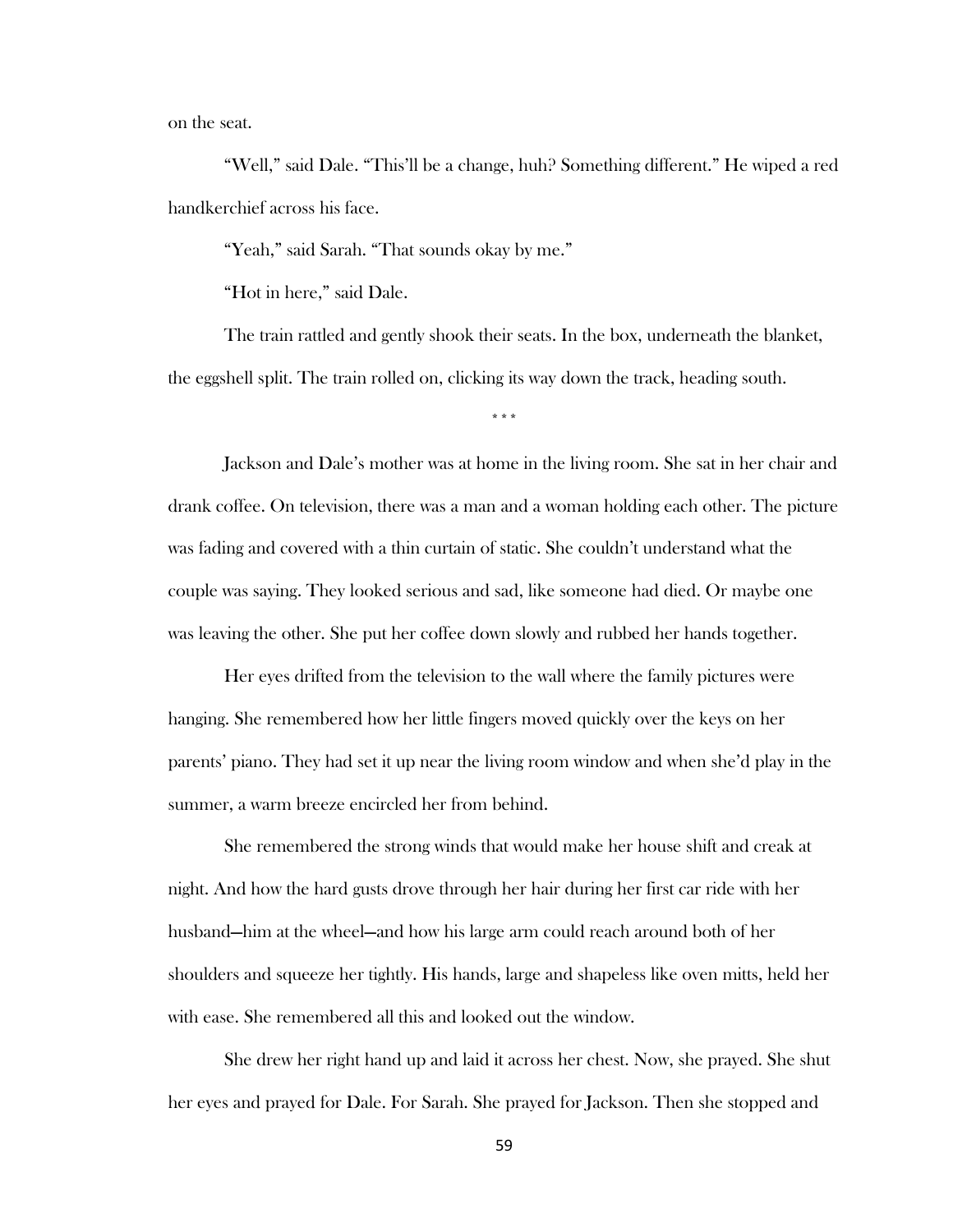on the seat.

"Well," said Dale. "This'll be a change, huh? Something different." He wiped a red handkerchief across his face.

"Yeah," said Sarah. "That sounds okay by me."

"Hot in here," said Dale.

The train rattled and gently shook their seats. In the box, underneath the blanket, the eggshell split. The train rolled on, clicking its way down the track, heading south.

\*\*\*

Jackson and Dale's mother was at home in the living room. She sat in her chair and drank coffee. On television, there was a man and a woman holding each other. The picture was fading and covered with a thin curtain of static. She couldn't understand what the couple was saying. They looked serious and sad, like someone had died. Or maybe one was leaving the other. She put her coffee down slowly and rubbed her hands together.

Her eyes drifted from the television to the wall where the family pictures were hanging. She remembered how her little fingers moved quickly over the keys on her parents' piano. They had set it up near the living room window and when she'd play in the summer, a warm breeze encircled her from behind.

She remembered the strong winds that would make her house shift and creak at night. And how the hard gusts drove through her hair during her first car ride with her husband—him at the wheel—and how his large arm could reach around both of her shoulders and squeeze her tightly. His hands, large and shapeless like oven mitts, held her with ease. She remembered all this and looked out the window.

She drew her right hand up and laid it across her chest. Now, she prayed. She shut her eyes and prayed for Dale. For Sarah. She prayed for Jackson. Then she stopped and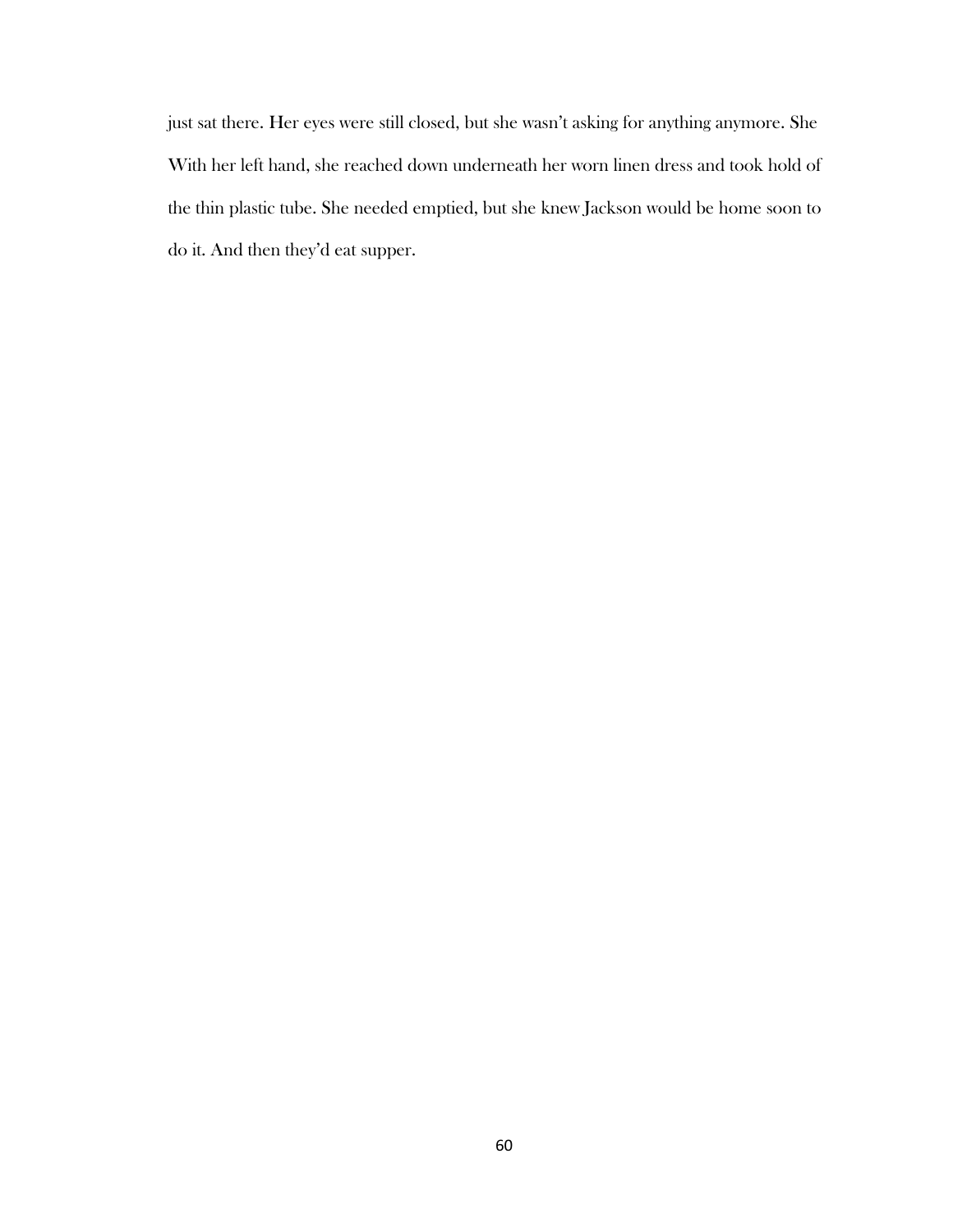just sat there. Her eyes were still closed, but she wasn't asking for anything anymore. She With her left hand, she reached down underneath her worn linen dress and took hold of the thin plastic tube. She needed emptied, but she knew Jackson would be home soon to do it. And then they'd eat supper.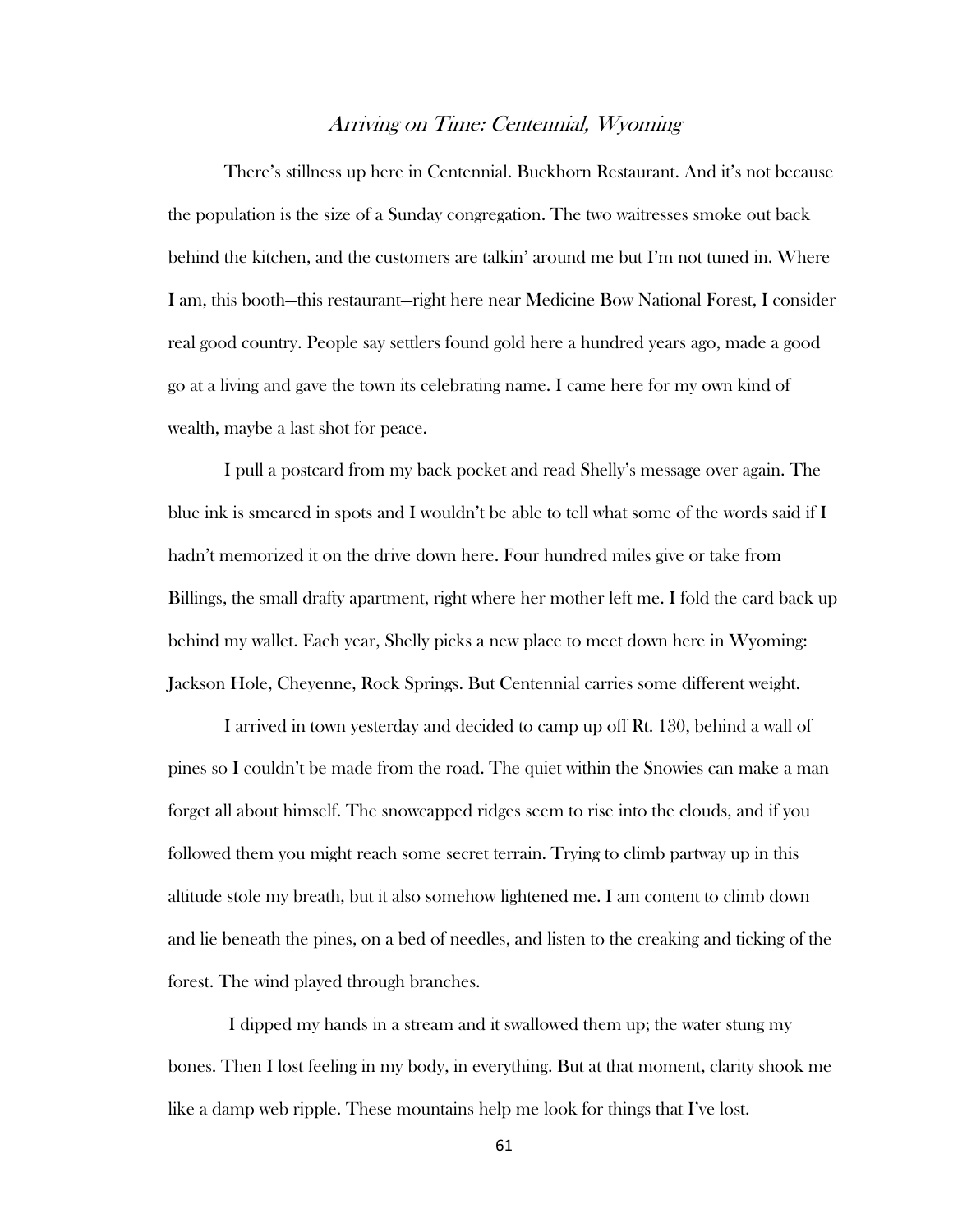## Arriving on Time: Centennial, Wyoming

There's stillness up here in Centennial. Buckhorn Restaurant. And it's not because the population is the size of a Sunday congregation. The two waitresses smoke out back behind the kitchen, and the customers are talkin' around me but I'm not tuned in. Where I am, this booth—this restaurant—right here near Medicine Bow National Forest, I consider real good country. People say settlers found gold here a hundred years ago, made a good go at a living and gave the town its celebrating name. I came here for my own kind of wealth, maybe a last shot for peace.

I pull a postcard from my back pocket and read Shelly's message over again. The blue ink is smeared in spots and I wouldn't be able to tell what some of the words said if I hadn't memorized it on the drive down here. Four hundred miles give or take from Billings, the small drafty apartment, right where her mother left me. I fold the card back up behind my wallet. Each year, Shelly picks a new place to meet down here in Wyoming: Jackson Hole, Cheyenne, Rock Springs. But Centennial carries some different weight.

I arrived in town yesterday and decided to camp up off Rt. 130, behind a wall of pines so I couldn't be made from the road. The quiet within the Snowies can make a man forget all about himself. The snowcapped ridges seem to rise into the clouds, and if you followed them you might reach some secret terrain. Trying to climb partway up in this altitude stole my breath, but it also somehow lightened me. I am content to climb down and lie beneath the pines, on a bed of needles, and listen to the creaking and ticking of the forest. The wind played through branches.

I dipped my hands in a stream and it swallowed them up; the water stung my bones. Then I lost feeling in my body, in everything. But at that moment, clarity shook me like a damp web ripple. These mountains help me look for things that I've lost.

61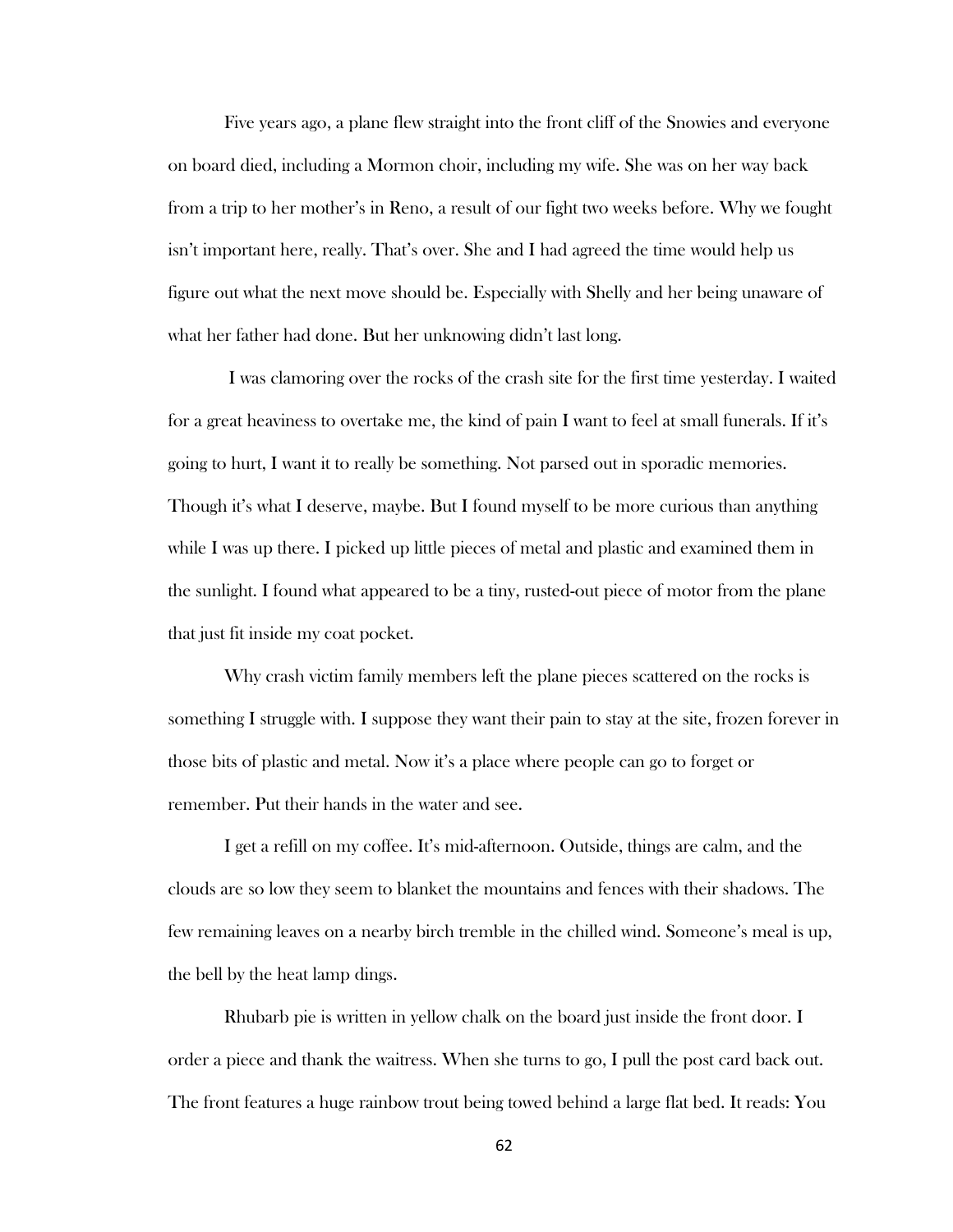Five years ago, a plane flew straight into the front cliff of the Snowies and everyone on board died, including a Mormon choir, including my wife. She was on her way back from a trip to her mother's in Reno, a result of our fight two weeks before. Why we fought isn't important here, really. That's over. She and I had agreed the time would help us figure out what the next move should be. Especially with Shelly and her being unaware of what her father had done. But her unknowing didn't last long.

I was clamoring over the rocks of the crash site for the first time yesterday. I waited for a great heaviness to overtake me, the kind of pain I want to feel at small funerals. If it's going to hurt, I want it to really be something. Not parsed out in sporadic memories. Though it's what I deserve, maybe. But I found myself to be more curious than anything while I was up there. I picked up little pieces of metal and plastic and examined them in the sunlight. I found what appeared to be a tiny, rusted-out piece of motor from the plane that just fit inside my coat pocket.

Why crash victim family members left the plane pieces scattered on the rocks is something I struggle with. I suppose they want their pain to stay at the site, frozen forever in those bits of plastic and metal. Now it's a place where people can go to forget or remember. Put their hands in the water and see.

I get a refill on my coffee. It's mid-afternoon. Outside, things are calm, and the clouds are so low they seem to blanket the mountains and fences with their shadows. The few remaining leaves on a nearby birch tremble in the chilled wind. Someone's meal is up, the bell by the heat lamp dings.

Rhubarb pie is written in yellow chalk on the board just inside the front door. I order a piece and thank the waitress. When she turns to go, I pull the post card back out. The front features a huge rainbow trout being towed behind a large flat bed. It reads: You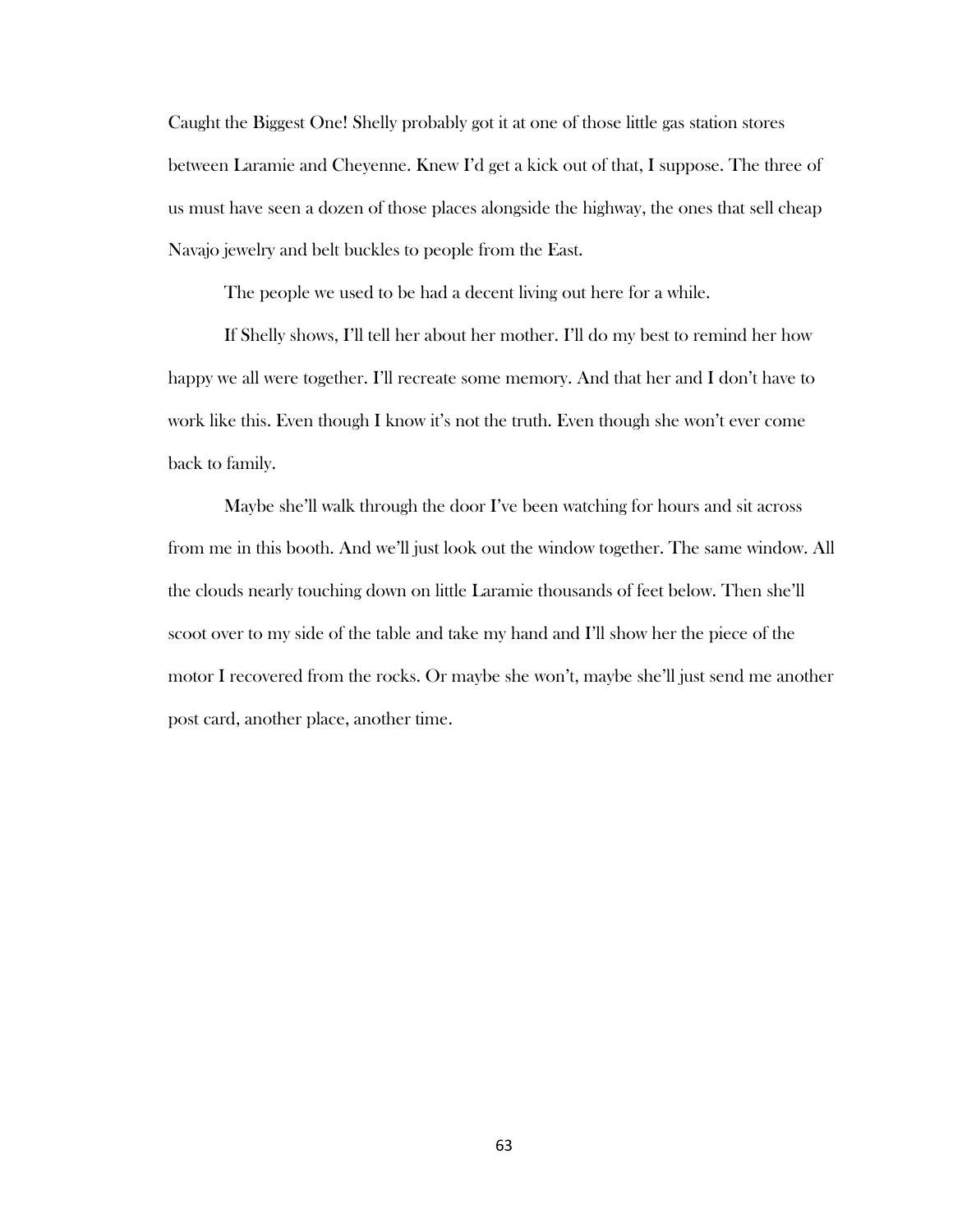Caught the Biggest One! Shelly probably got it at one of those little gas station stores between Laramie and Cheyenne. Knew I'd get a kick out of that, I suppose. The three of us must have seen a dozen of those places alongside the highway, the ones that sell cheap Navajo jewelry and belt buckles to people from the East.

The people we used to be had a decent living out here for a while.

If Shelly shows, I'll tell her about her mother. I'll do my best to remind her how happy we all were together. I'll recreate some memory. And that her and I don't have to work like this. Even though I know it's not the truth. Even though she won't ever come back to family.

Maybe she'll walk through the door I've been watching for hours and sit across from me in this booth. And we'll just look out the window together. The same window. All the clouds nearly touching down on little Laramie thousands of feet below. Then she'll scoot over to my side of the table and take my hand and I'll show her the piece of the motor I recovered from the rocks. Or maybe she won't, maybe she'll just send me another post card, another place, another time.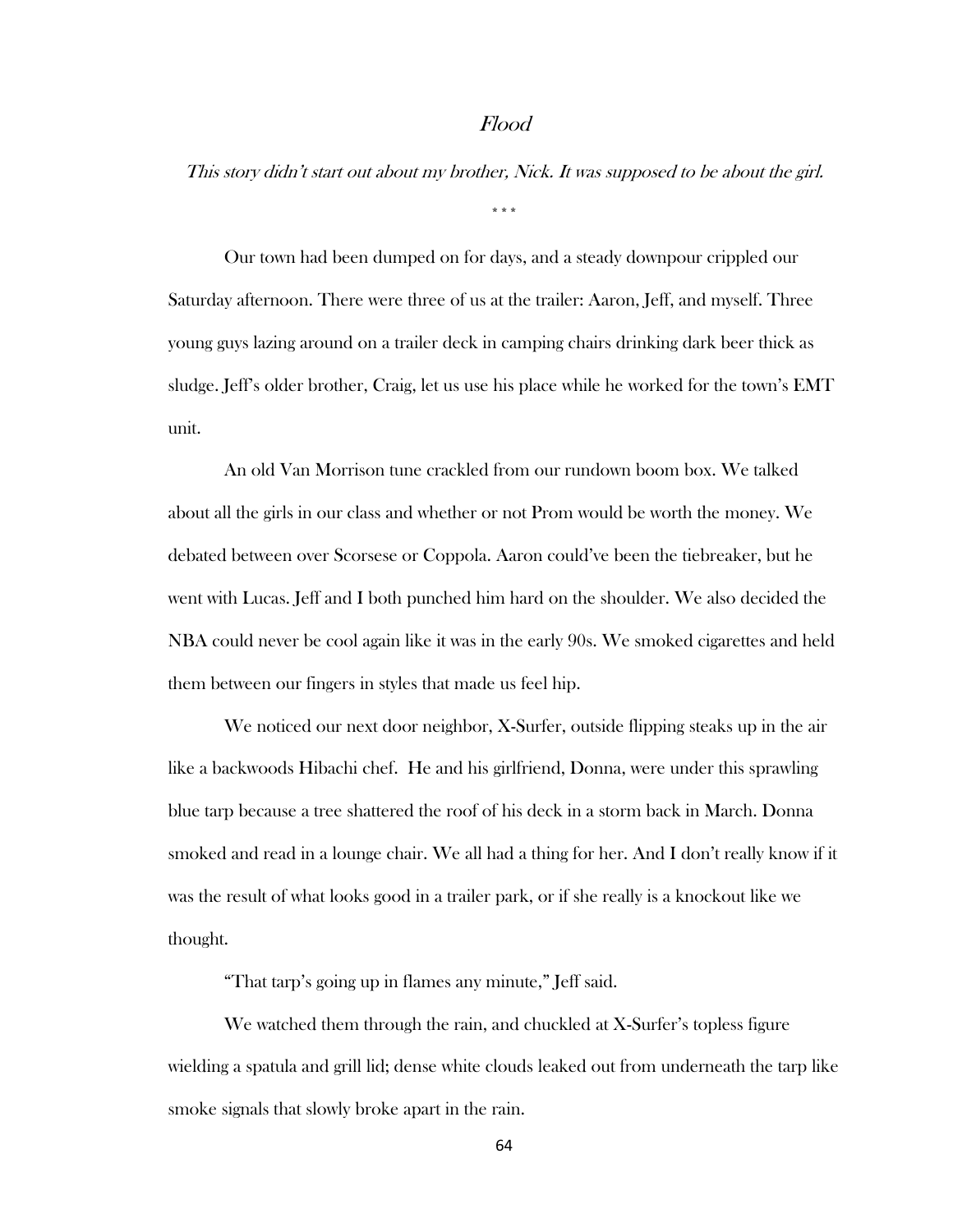## Flood

This story didn't start out about my brother, Nick. It was supposed to be about the girl. \*\*\*

Our town had been dumped on for days, and a steady downpour crippled our Saturday afternoon. There were three of us at the trailer: Aaron, Jeff, and myself. Three young guys lazing around on a trailer deck in camping chairs drinking dark beer thick as sludge. Jeff's older brother, Craig, let us use his place while he worked for the town's EMT unit.

An old Van Morrison tune crackled from our rundown boom box. We talked about all the girls in our class and whether or not Prom would be worth the money. We debated between over Scorsese or Coppola. Aaron could've been the tiebreaker, but he went with Lucas. Jeff and I both punched him hard on the shoulder. We also decided the NBA could never be cool again like it was in the early 90s. We smoked cigarettes and held them between our fingers in styles that made us feel hip.

We noticed our next door neighbor, X-Surfer, outside flipping steaks up in the air like a backwoods Hibachi chef. He and his girlfriend, Donna, were under this sprawling blue tarp because a tree shattered the roof of his deck in a storm back in March. Donna smoked and read in a lounge chair. We all had a thing for her. And I don't really know if it was the result of what looks good in a trailer park, or if she really is a knockout like we thought.

"That tarp's going up in flames any minute," Jeff said.

We watched them through the rain, and chuckled at X-Surfer's topless figure wielding a spatula and grill lid; dense white clouds leaked out from underneath the tarp like smoke signals that slowly broke apart in the rain.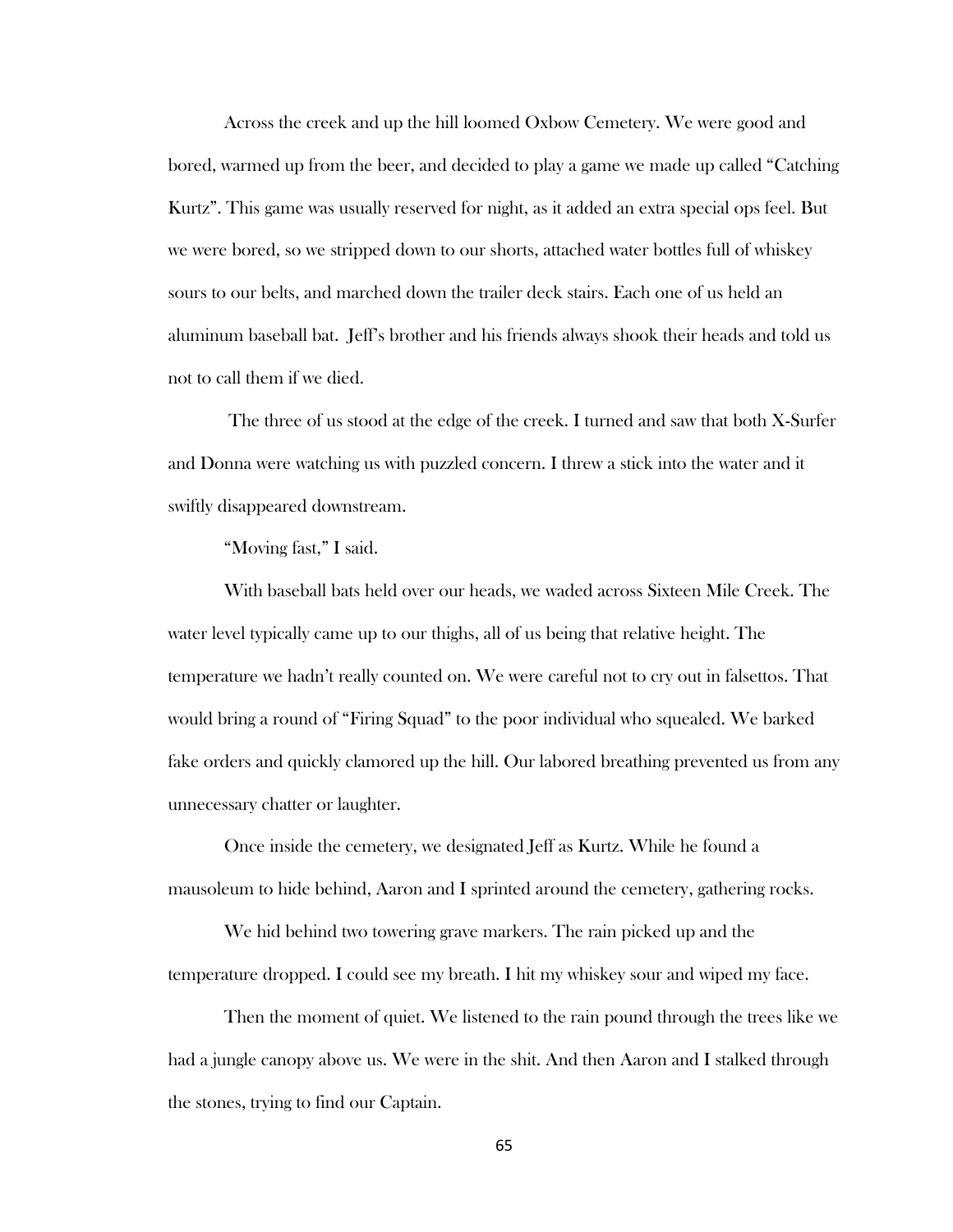Across the creek and up the hill loomed Oxbow Cemetery. We were good and bored, warmed up from the beer, and decided to play a game we made up called "Catching Kurtz". This game was usually reserved for night, as it added an extra special ops feel. But we were bored, so we stripped down to our shorts, attached water bottles full of whiskey sours to our belts, and marched down the trailer deck stairs. Each one of us held an aluminum baseball bat. Jeff's brother and his friends always shook their heads and told us not to call them if we died.

The three of us stood at the edge of the creek. I turned and saw that both X-Surfer and Donna were watching us with puzzled concern. I threw a stick into the water and it swiftly disappeared downstream.

"Moving fast," I said.

With baseball bats held over our heads, we waded across Sixteen Mile Creek. The water level typically came up to our thighs, all of us being that relative height. The temperature we hadn't really counted on. We were careful not to cry out in falsettos. That would bring a round of "Firing Squad" to the poor individual who squealed. We barked fake orders and quickly clamored up the hill. Our labored breathing prevented us from any unnecessary chatter or laughter.

Once inside the cemetery, we designated Jeff as Kurtz. While he found a mausoleum to hide behind, Aaron and I sprinted around the cemetery, gathering rocks.

We hid behind two towering grave markers. The rain picked up and the temperature dropped. I could see my breath. I hit my whiskey sour and wiped my face.

Then the moment of quiet. We listened to the rain pound through the trees like we had a jungle canopy above us. We were in the shit. And then Aaron and I stalked through the stones, trying to find our Captain.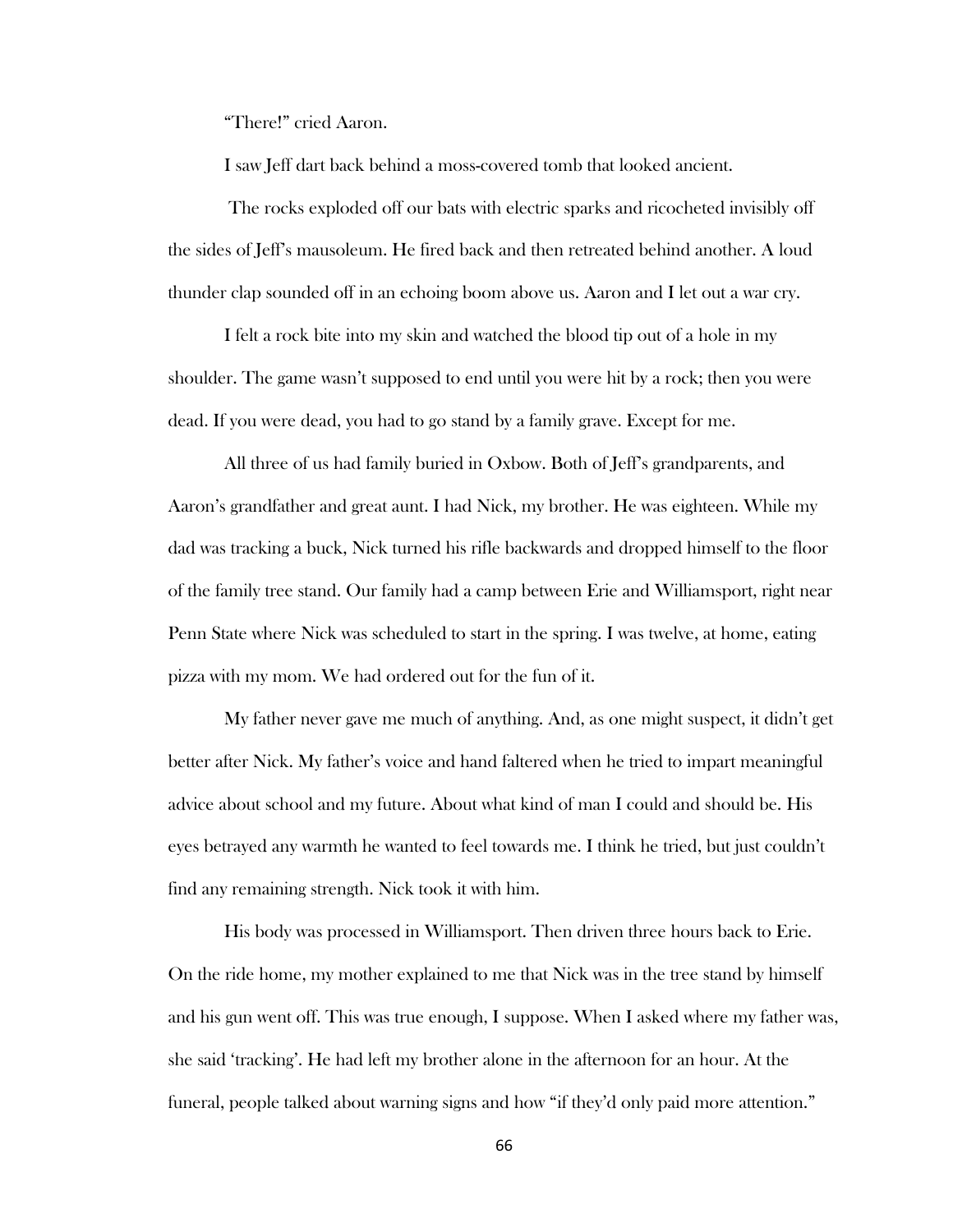"There!" cried Aaron.

I saw Jeff dart back behind a moss-covered tomb that looked ancient.

The rocks exploded off our bats with electric sparks and ricocheted invisibly off the sides of Jeff's mausoleum. He fired back and then retreated behind another. A loud thunder clap sounded off in an echoing boom above us. Aaron and I let out a war cry.

I felt a rock bite into my skin and watched the blood tip out of a hole in my shoulder. The game wasn't supposed to end until you were hit by a rock; then you were dead. If you were dead, you had to go stand by a family grave. Except for me.

All three of us had family buried in Oxbow. Both of Jeff's grandparents, and Aaron's grandfather and great aunt. I had Nick, my brother. He was eighteen. While my dad was tracking a buck, Nick turned his rifle backwards and dropped himself to the floor of the family tree stand. Our family had a camp between Erie and Williamsport, right near Penn State where Nick was scheduled to start in the spring. I was twelve, at home, eating pizza with my mom. We had ordered out for the fun of it.

My father never gave me much of anything. And, as one might suspect, it didn't get better after Nick. My father's voice and hand faltered when he tried to impart meaningful advice about school and my future. About what kind of man I could and should be. His eyes betrayed any warmth he wanted to feel towards me. I think he tried, but just couldn't find any remaining strength. Nick took it with him.

His body was processed in Williamsport. Then driven three hours back to Erie. On the ride home, my mother explained to me that Nick was in the tree stand by himself and his gun went off. This was true enough, I suppose. When I asked where my father was, she said 'tracking'. He had left my brother alone in the afternoon for an hour. At the funeral, people talked about warning signs and how "if they'd only paid more attention."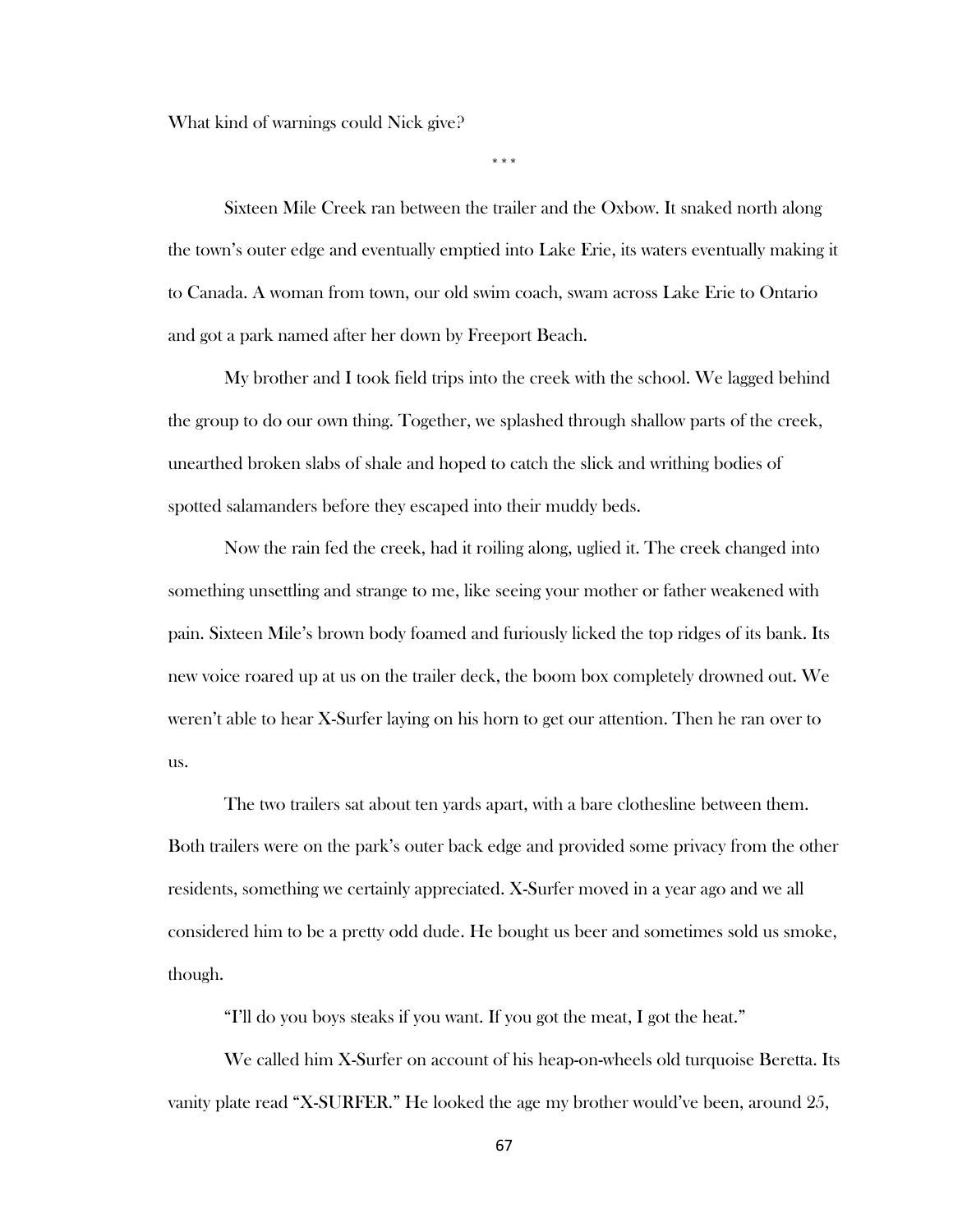What kind of warnings could Nick give?

\*\*\*

Sixteen Mile Creek ran between the trailer and the Oxbow. It snaked north along the town's outer edge and eventually emptied into Lake Erie, its waters eventually making it to Canada. A woman from town, our old swim coach, swam across Lake Erie to Ontario and got a park named after her down by Freeport Beach.

My brother and I took field trips into the creek with the school. We lagged behind the group to do our own thing. Together, we splashed through shallow parts of the creek, unearthed broken slabs of shale and hoped to catch the slick and writhing bodies of spotted salamanders before they escaped into their muddy beds.

Now the rain fed the creek, had it roiling along, uglied it. The creek changed into something unsettling and strange to me, like seeing your mother or father weakened with pain. Sixteen Mile's brown body foamed and furiously licked the top ridges of its bank. Its new voice roared up at us on the trailer deck, the boom box completely drowned out. We weren't able to hear X-Surfer laying on his horn to get our attention. Then he ran over to us.

The two trailers sat about ten yards apart, with a bare clothesline between them. Both trailers were on the park's outer back edge and provided some privacy from the other residents, something we certainly appreciated. X-Surfer moved in a year ago and we all considered him to be a pretty odd dude. He bought us beer and sometimes sold us smoke, though.

"I'll do you boys steaks if you want. If you got the meat, I got the heat."

We called him X-Surfer on account of his heap-on-wheels old turquoise Beretta. Its vanity plate read "X-SURFER." He looked the age my brother would've been, around 25,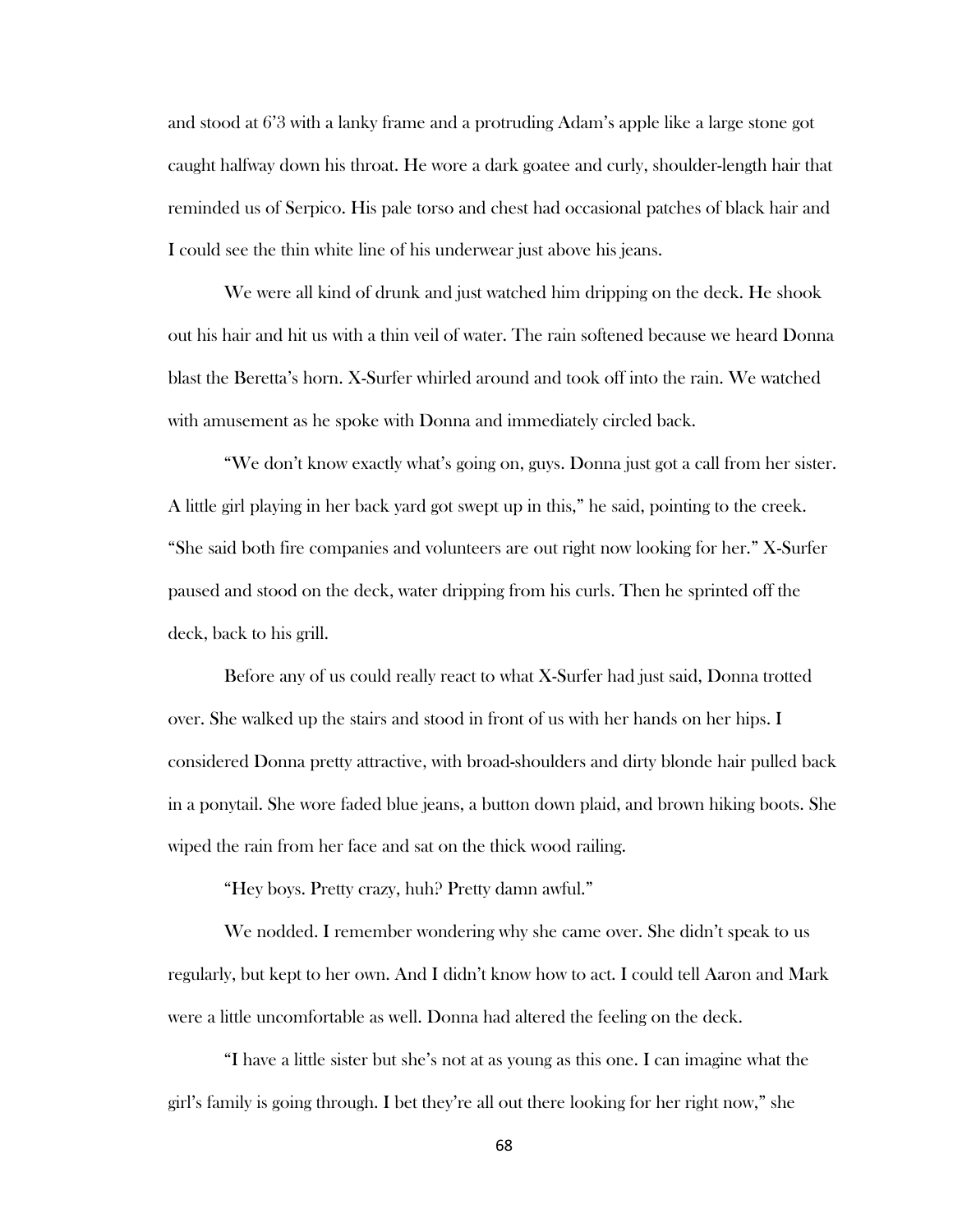and stood at 6'3 with a lanky frame and a protruding Adam's apple like a large stone got caught halfway down his throat. He wore a dark goatee and curly, shoulder-length hair that reminded us of Serpico. His pale torso and chest had occasional patches of black hair and I could see the thin white line of his underwear just above his jeans.

We were all kind of drunk and just watched him dripping on the deck. He shook out his hair and hit us with a thin veil of water. The rain softened because we heard Donna blast the Beretta's horn. X-Surfer whirled around and took off into the rain. We watched with amusement as he spoke with Donna and immediately circled back.

"We don't know exactly what's going on, guys. Donna just got a call from her sister. A little girl playing in her back yard got swept up in this," he said, pointing to the creek. "She said both fire companies and volunteers are out right now looking for her." X-Surfer paused and stood on the deck, water dripping from his curls. Then he sprinted off the deck, back to his grill.

Before any of us could really react to what X-Surfer had just said, Donna trotted over. She walked up the stairs and stood in front of us with her hands on her hips. I considered Donna pretty attractive, with broad-shoulders and dirty blonde hair pulled back in a ponytail. She wore faded blue jeans, a button down plaid, and brown hiking boots. She wiped the rain from her face and sat on the thick wood railing.

"Hey boys. Pretty crazy, huh? Pretty damn awful."

We nodded. I remember wondering why she came over. She didn't speak to us regularly, but kept to her own. And I didn't know how to act. I could tell Aaron and Mark were a little uncomfortable as well. Donna had altered the feeling on the deck.

"I have a little sister but she's not at as young as this one. I can imagine what the girl's family is going through. I bet they're all out there looking for her right now," she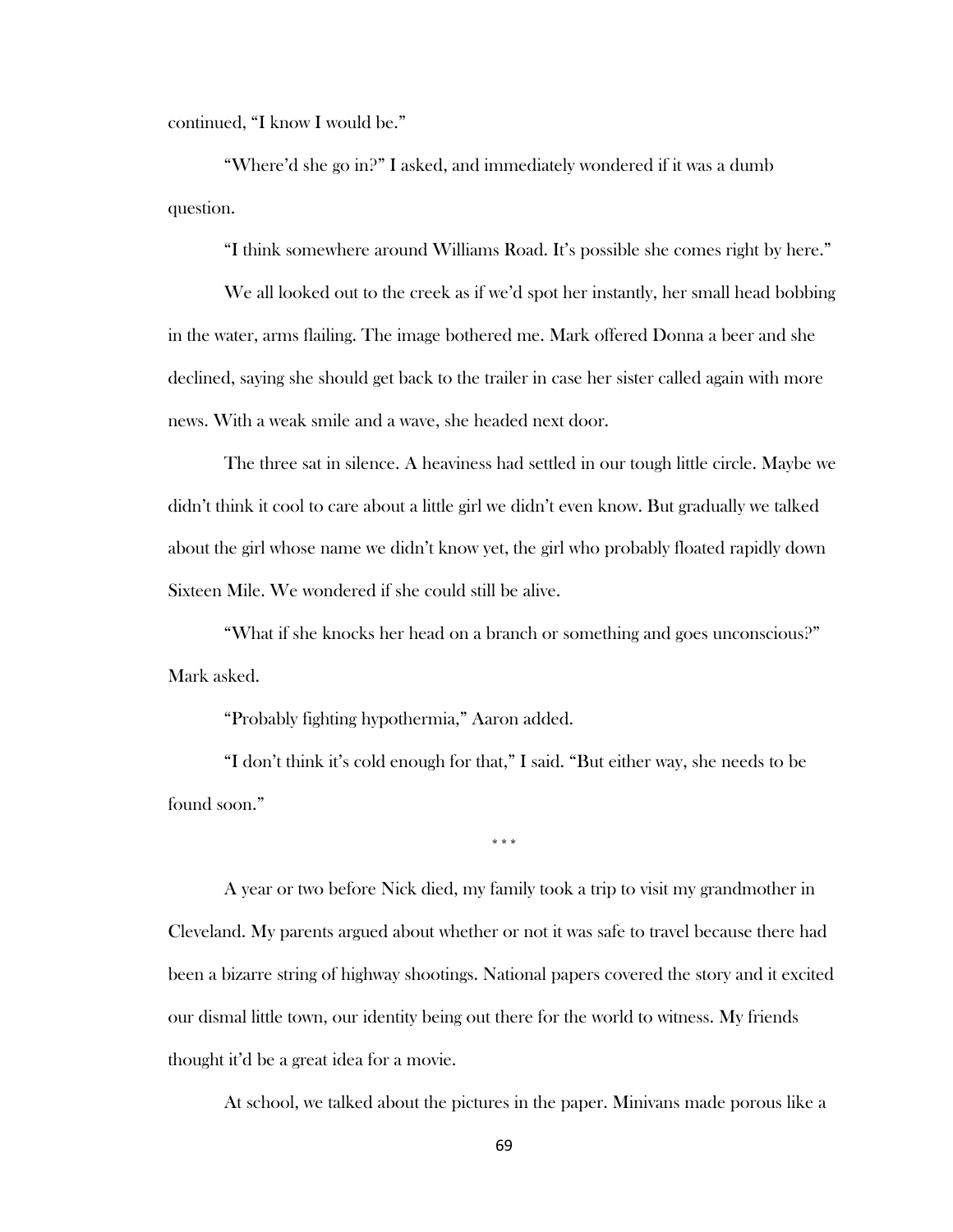continued, "I know I would be."

"Where'd she go in?" I asked, and immediately wondered if it was a dumb question.

"I think somewhere around Williams Road. It's possible she comes right by here."

We all looked out to the creek as if we'd spot her instantly, her small head bobbing in the water, arms flailing. The image bothered me. Mark offered Donna a beer and she declined, saying she should get back to the trailer in case her sister called again with more news. With a weak smile and a wave, she headed next door.

The three sat in silence. A heaviness had settled in our tough little circle. Maybe we didn't think it cool to care about a little girl we didn't even know. But gradually we talked about the girl whose name we didn't know yet, the girl who probably floated rapidly down Sixteen Mile. We wondered if she could still be alive.

"What if she knocks her head on a branch or something and goes unconscious?" Mark asked.

"Probably fighting hypothermia," Aaron added.

"I don't think it's cold enough for that," I said. "But either way, she needs to be found soon."

\*\*\*

A year or two before Nick died, my family took a trip to visit my grandmother in Cleveland. My parents argued about whether or not it was safe to travel because there had been a bizarre string of highway shootings. National papers covered the story and it excited our dismal little town, our identity being out there for the world to witness. My friends thought it'd be a great idea for a movie.

At school, we talked about the pictures in the paper. Minivans made porous like a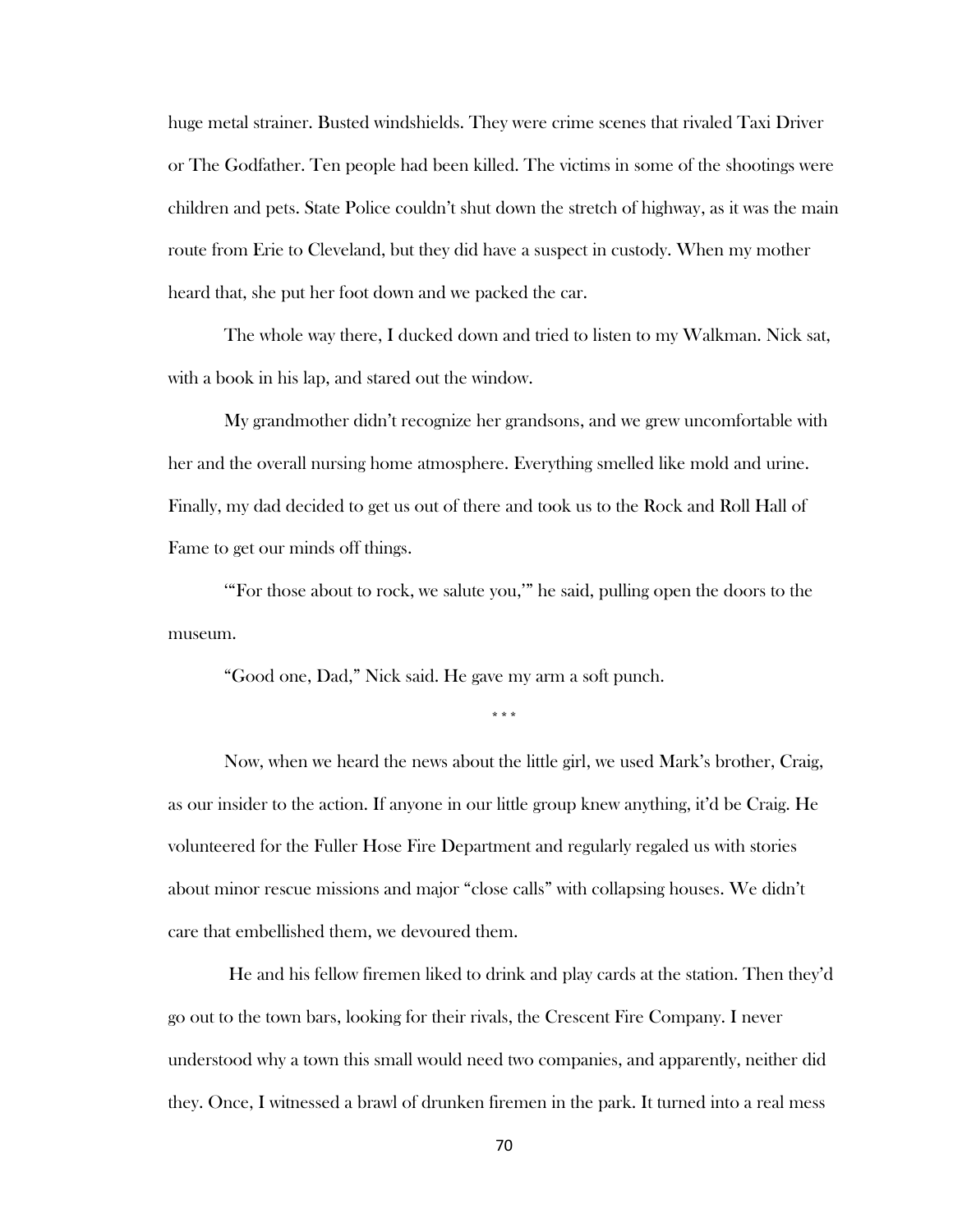huge metal strainer. Busted windshields. They were crime scenes that rivaled Taxi Driver or The Godfather. Ten people had been killed. The victims in some of the shootings were children and pets. State Police couldn't shut down the stretch of highway, as it was the main route from Erie to Cleveland, but they did have a suspect in custody. When my mother heard that, she put her foot down and we packed the car.

The whole way there, I ducked down and tried to listen to my Walkman. Nick sat, with a book in his lap, and stared out the window.

My grandmother didn't recognize her grandsons, and we grew uncomfortable with her and the overall nursing home atmosphere. Everything smelled like mold and urine. Finally, my dad decided to get us out of there and took us to the Rock and Roll Hall of Fame to get our minds off things.

'"For those about to rock, we salute you,'" he said, pulling open the doors to the museum.

"Good one, Dad," Nick said. He gave my arm a soft punch.

\*\*\*

Now, when we heard the news about the little girl, we used Mark's brother, Craig, as our insider to the action. If anyone in our little group knew anything, it'd be Craig. He volunteered for the Fuller Hose Fire Department and regularly regaled us with stories about minor rescue missions and major "close calls" with collapsing houses. We didn't care that embellished them, we devoured them.

He and his fellow firemen liked to drink and play cards at the station. Then they'd go out to the town bars, looking for their rivals, the Crescent Fire Company. I never understood why a town this small would need two companies, and apparently, neither did they. Once, I witnessed a brawl of drunken firemen in the park. It turned into a real mess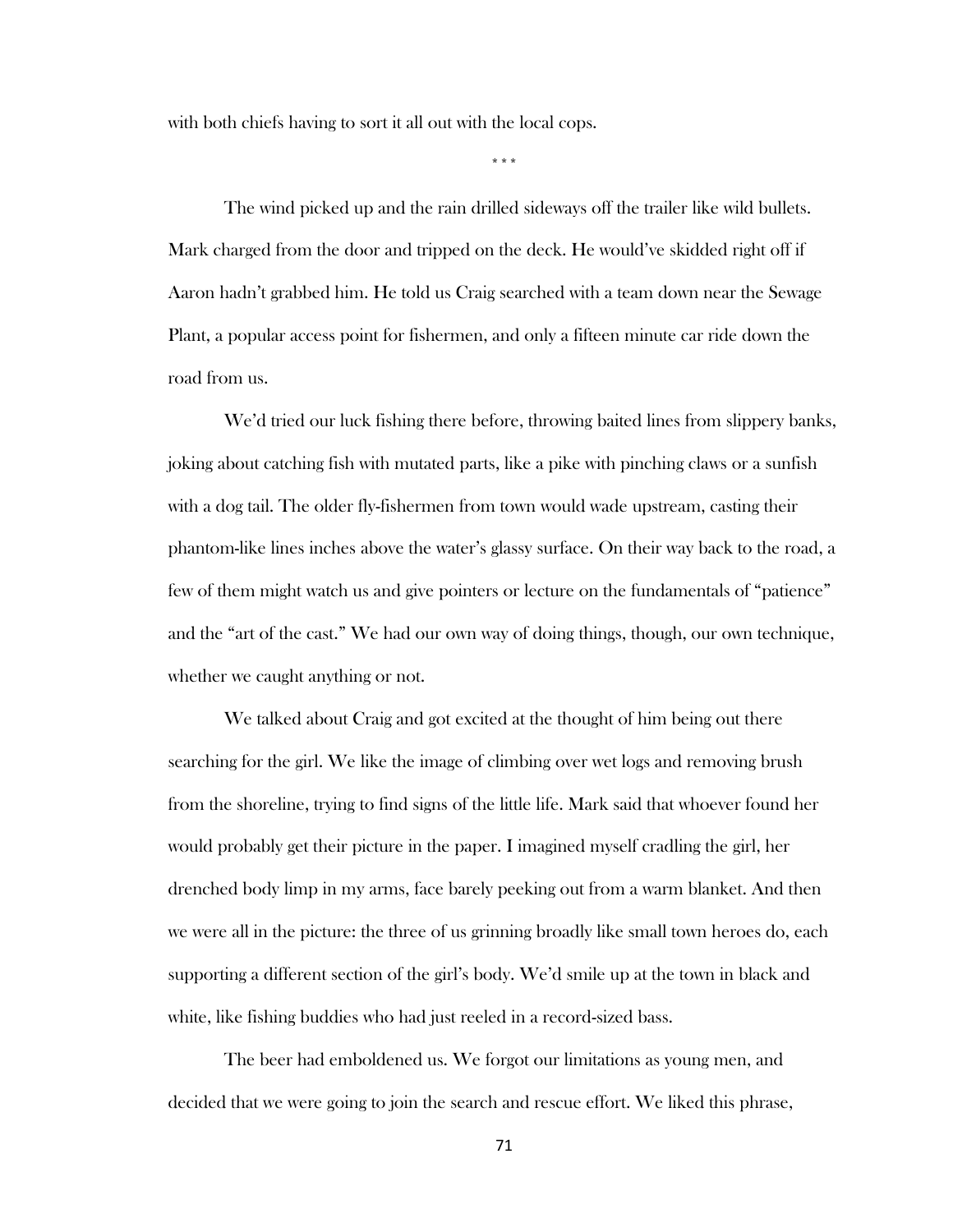with both chiefs having to sort it all out with the local cops.

\*\*\*

The wind picked up and the rain drilled sideways off the trailer like wild bullets. Mark charged from the door and tripped on the deck. He would've skidded right off if Aaron hadn't grabbed him. He told us Craig searched with a team down near the Sewage Plant, a popular access point for fishermen, and only a fifteen minute car ride down the road from us.

We'd tried our luck fishing there before, throwing baited lines from slippery banks, joking about catching fish with mutated parts, like a pike with pinching claws or a sunfish with a dog tail. The older fly-fishermen from town would wade upstream, casting their phantom-like lines inches above the water's glassy surface. On their way back to the road, a few of them might watch us and give pointers or lecture on the fundamentals of "patience" and the "art of the cast." We had our own way of doing things, though, our own technique, whether we caught anything or not.

We talked about Craig and got excited at the thought of him being out there searching for the girl. We like the image of climbing over wet logs and removing brush from the shoreline, trying to find signs of the little life. Mark said that whoever found her would probably get their picture in the paper. I imagined myself cradling the girl, her drenched body limp in my arms, face barely peeking out from a warm blanket. And then we were all in the picture: the three of us grinning broadly like small town heroes do, each supporting a different section of the girl's body. We'd smile up at the town in black and white, like fishing buddies who had just reeled in a record-sized bass.

The beer had emboldened us. We forgot our limitations as young men, and decided that we were going to join the search and rescue effort. We liked this phrase,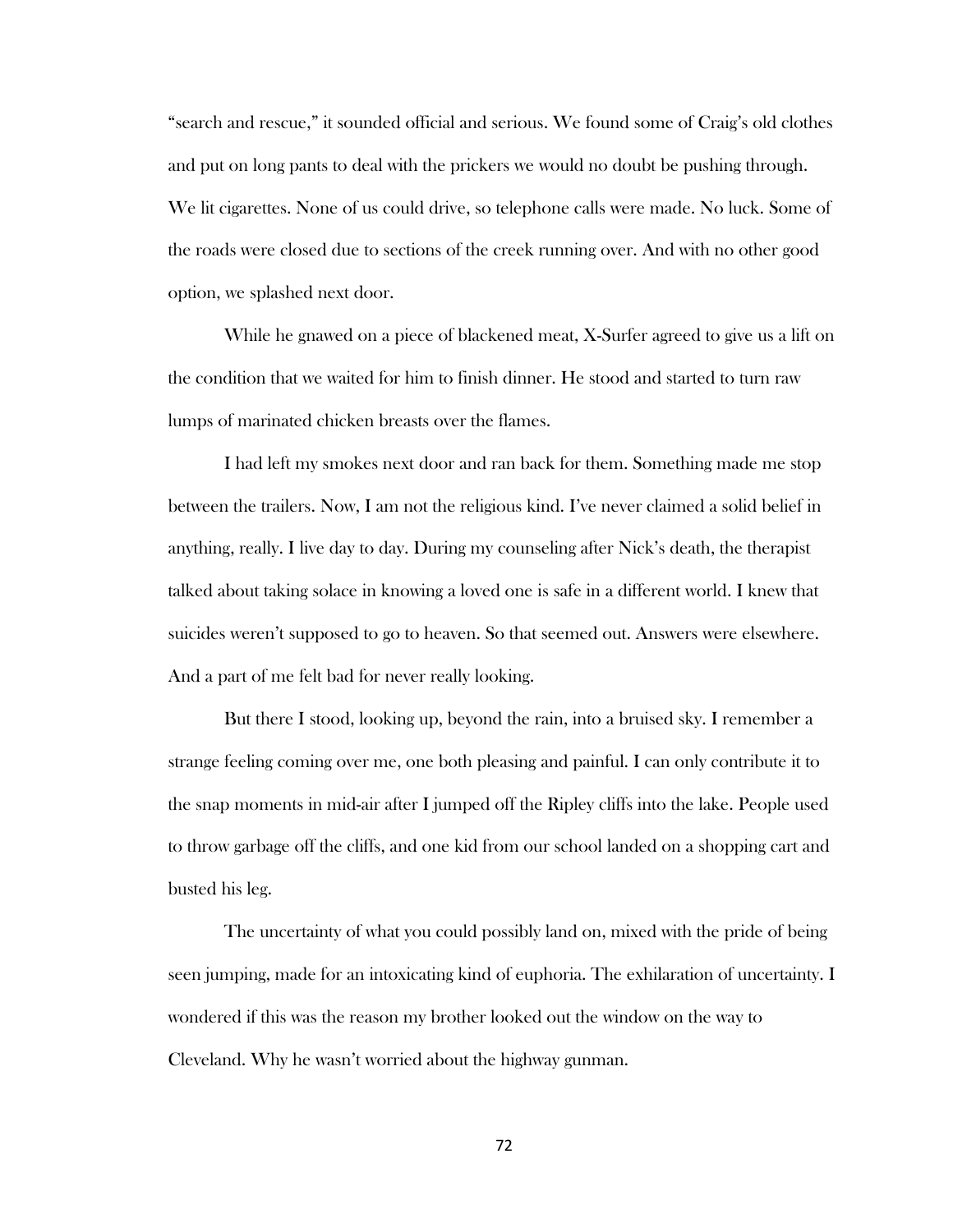"search and rescue," it sounded official and serious. We found some of Craig's old clothes and put on long pants to deal with the prickers we would no doubt be pushing through. We lit cigarettes. None of us could drive, so telephone calls were made. No luck. Some of the roads were closed due to sections of the creek running over. And with no other good option, we splashed next door.

While he gnawed on a piece of blackened meat, X-Surfer agreed to give us a lift on the condition that we waited for him to finish dinner. He stood and started to turn raw lumps of marinated chicken breasts over the flames.

I had left my smokes next door and ran back for them. Something made me stop between the trailers. Now, I am not the religious kind. I've never claimed a solid belief in anything, really. I live day to day. During my counseling after Nick's death, the therapist talked about taking solace in knowing a loved one is safe in a different world. I knew that suicides weren't supposed to go to heaven. So that seemed out. Answers were elsewhere. And a part of me felt bad for never really looking.

But there I stood, looking up, beyond the rain, into a bruised sky. I remember a strange feeling coming over me, one both pleasing and painful. I can only contribute it to the snap moments in mid-air after I jumped off the Ripley cliffs into the lake. People used to throw garbage off the cliffs, and one kid from our school landed on a shopping cart and busted his leg.

The uncertainty of what you could possibly land on, mixed with the pride of being seen jumping, made for an intoxicating kind of euphoria. The exhilaration of uncertainty. I wondered if this was the reason my brother looked out the window on the way to Cleveland. Why he wasn't worried about the highway gunman.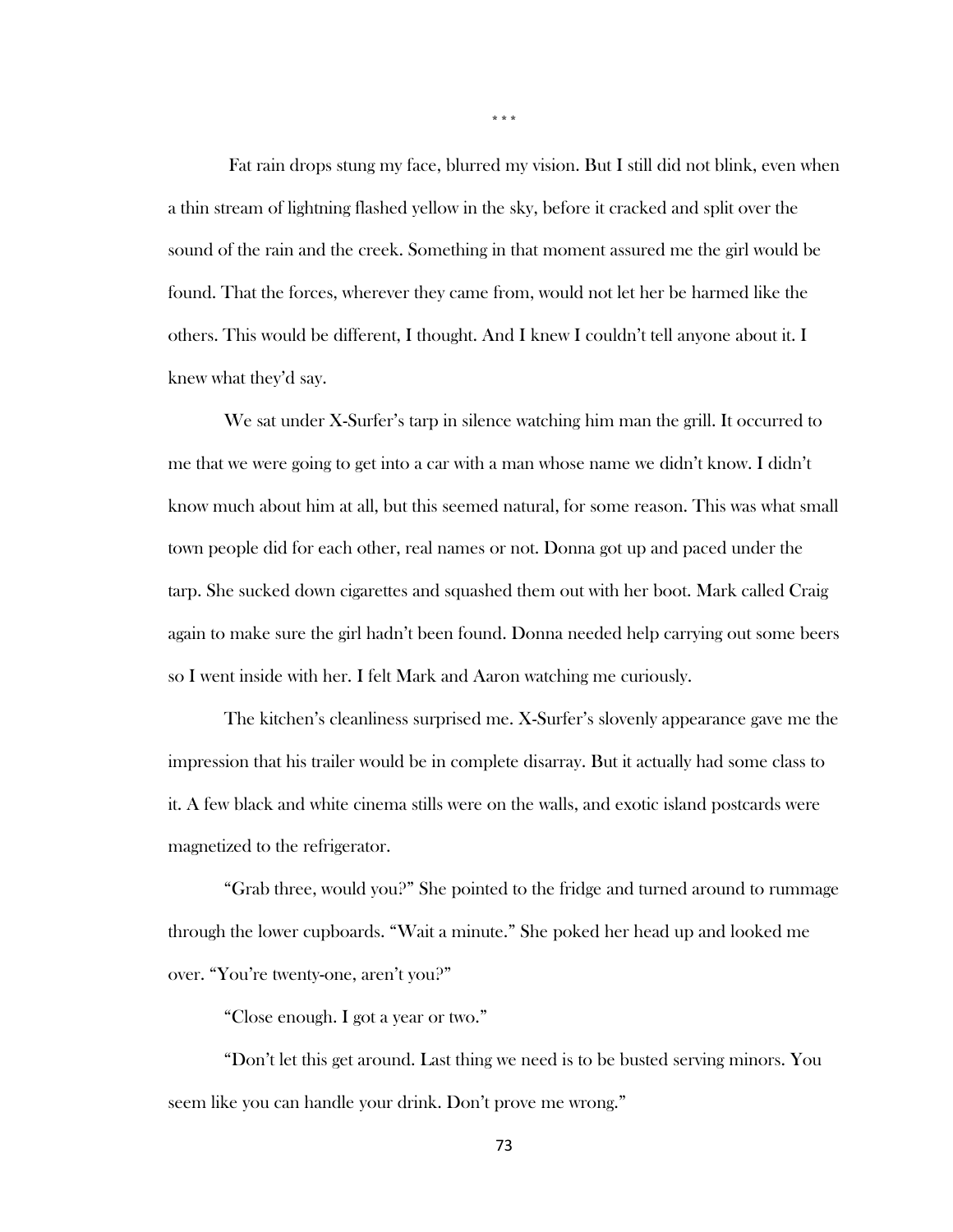Fat rain drops stung my face, blurred my vision. But I still did not blink, even when a thin stream of lightning flashed yellow in the sky, before it cracked and split over the sound of the rain and the creek. Something in that moment assured me the girl would be found. That the forces, wherever they came from, would not let her be harmed like the others. This would be different, I thought. And I knew I couldn't tell anyone about it. I knew what they'd say.

We sat under X-Surfer's tarp in silence watching him man the grill. It occurred to me that we were going to get into a car with a man whose name we didn't know. I didn't know much about him at all, but this seemed natural, for some reason. This was what small town people did for each other, real names or not. Donna got up and paced under the tarp. She sucked down cigarettes and squashed them out with her boot. Mark called Craig again to make sure the girl hadn't been found. Donna needed help carrying out some beers so I went inside with her. I felt Mark and Aaron watching me curiously.

The kitchen's cleanliness surprised me. X-Surfer's slovenly appearance gave me the impression that his trailer would be in complete disarray. But it actually had some class to it. A few black and white cinema stills were on the walls, and exotic island postcards were magnetized to the refrigerator.

"Grab three, would you?" She pointed to the fridge and turned around to rummage through the lower cupboards. "Wait a minute." She poked her head up and looked me over. "You're twenty-one, aren't you?"

"Close enough. I got a year or two."

"Don't let this get around. Last thing we need is to be busted serving minors. You seem like you can handle your drink. Don't prove me wrong."

\*\*\*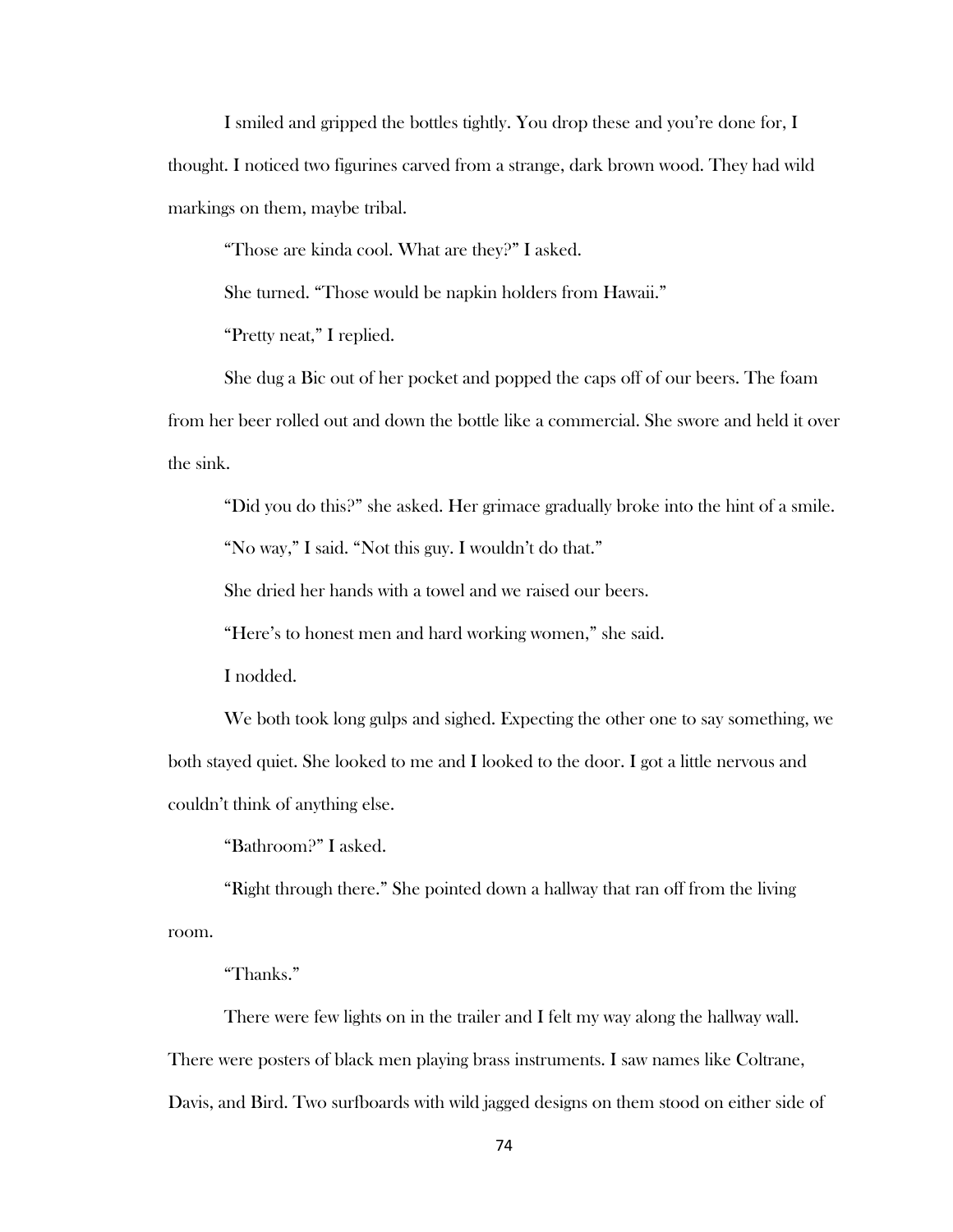I smiled and gripped the bottles tightly. You drop these and you're done for, I thought. I noticed two figurines carved from a strange, dark brown wood. They had wild markings on them, maybe tribal.

"Those are kinda cool. What are they?" I asked.

She turned. "Those would be napkin holders from Hawaii."

"Pretty neat," I replied.

She dug a Bic out of her pocket and popped the caps off of our beers. The foam from her beer rolled out and down the bottle like a commercial. She swore and held it over the sink.

"Did you do this?" she asked. Her grimace gradually broke into the hint of a smile.

"No way," I said. "Not this guy. I wouldn't do that."

She dried her hands with a towel and we raised our beers.

"Here's to honest men and hard working women," she said.

I nodded.

We both took long gulps and sighed. Expecting the other one to say something, we both stayed quiet. She looked to me and I looked to the door. I got a little nervous and couldn't think of anything else.

"Bathroom?" I asked.

"Right through there." She pointed down a hallway that ran off from the living room.

"Thanks."

There were few lights on in the trailer and I felt my way along the hallway wall. There were posters of black men playing brass instruments. I saw names like Coltrane, Davis, and Bird. Two surfboards with wild jagged designs on them stood on either side of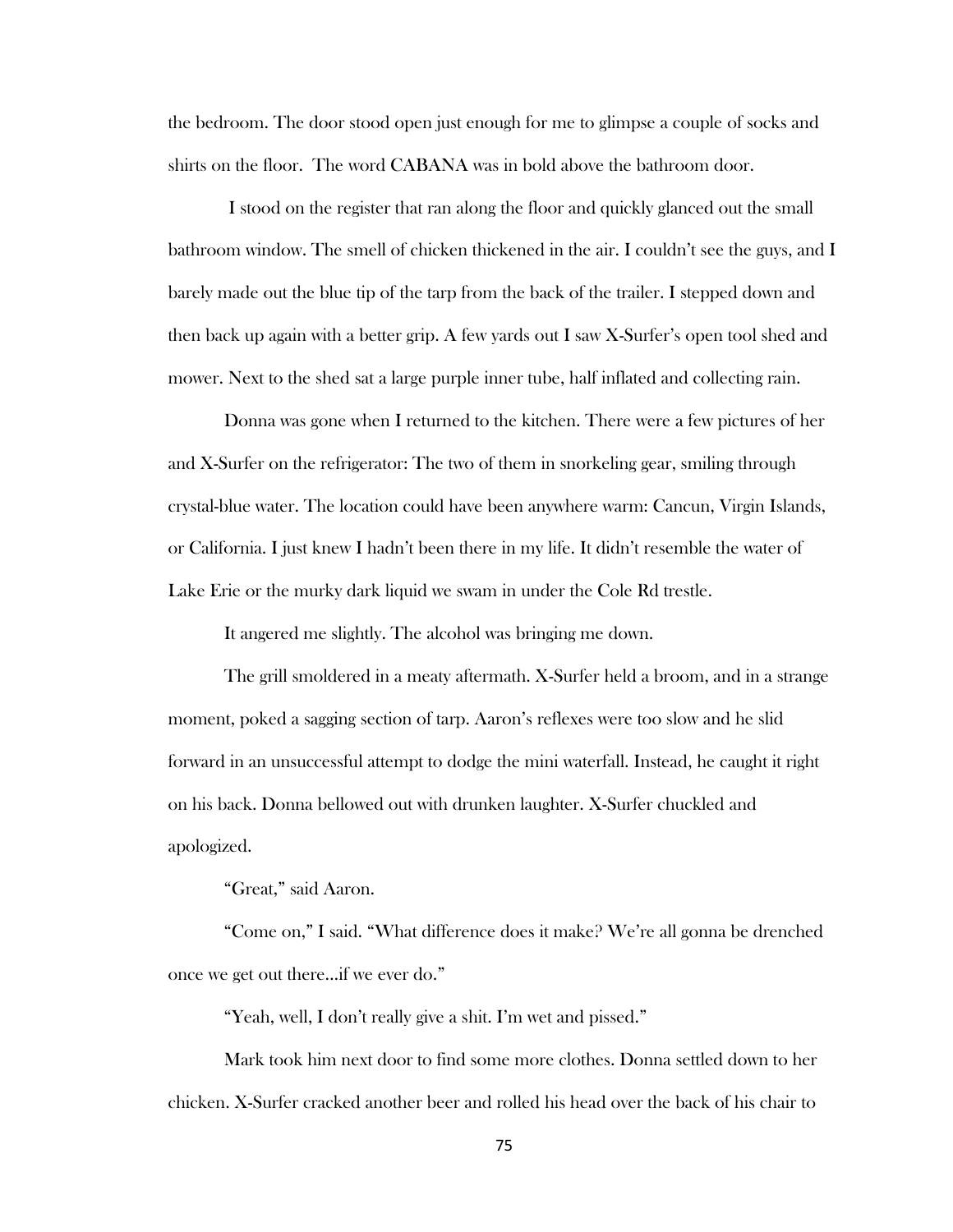the bedroom. The door stood open just enough for me to glimpse a couple of socks and shirts on the floor. The word CABANA was in bold above the bathroom door.

I stood on the register that ran along the floor and quickly glanced out the small bathroom window. The smell of chicken thickened in the air. I couldn't see the guys, and I barely made out the blue tip of the tarp from the back of the trailer. I stepped down and then back up again with a better grip. A few yards out I saw X-Surfer's open tool shed and mower. Next to the shed sat a large purple inner tube, half inflated and collecting rain.

Donna was gone when I returned to the kitchen. There were a few pictures of her and X-Surfer on the refrigerator: The two of them in snorkeling gear, smiling through crystal-blue water. The location could have been anywhere warm: Cancun, Virgin Islands, or California. I just knew I hadn't been there in my life. It didn't resemble the water of Lake Erie or the murky dark liquid we swam in under the Cole Rd trestle.

It angered me slightly. The alcohol was bringing me down.

The grill smoldered in a meaty aftermath. X-Surfer held a broom, and in a strange moment, poked a sagging section of tarp. Aaron's reflexes were too slow and he slid forward in an unsuccessful attempt to dodge the mini waterfall. Instead, he caught it right on his back. Donna bellowed out with drunken laughter. X-Surfer chuckled and apologized.

"Great," said Aaron.

"Come on," I said. "What difference does it make? We're all gonna be drenched once we get out there…if we ever do."

"Yeah, well, I don't really give a shit. I'm wet and pissed."

Mark took him next door to find some more clothes. Donna settled down to her chicken. X-Surfer cracked another beer and rolled his head over the back of his chair to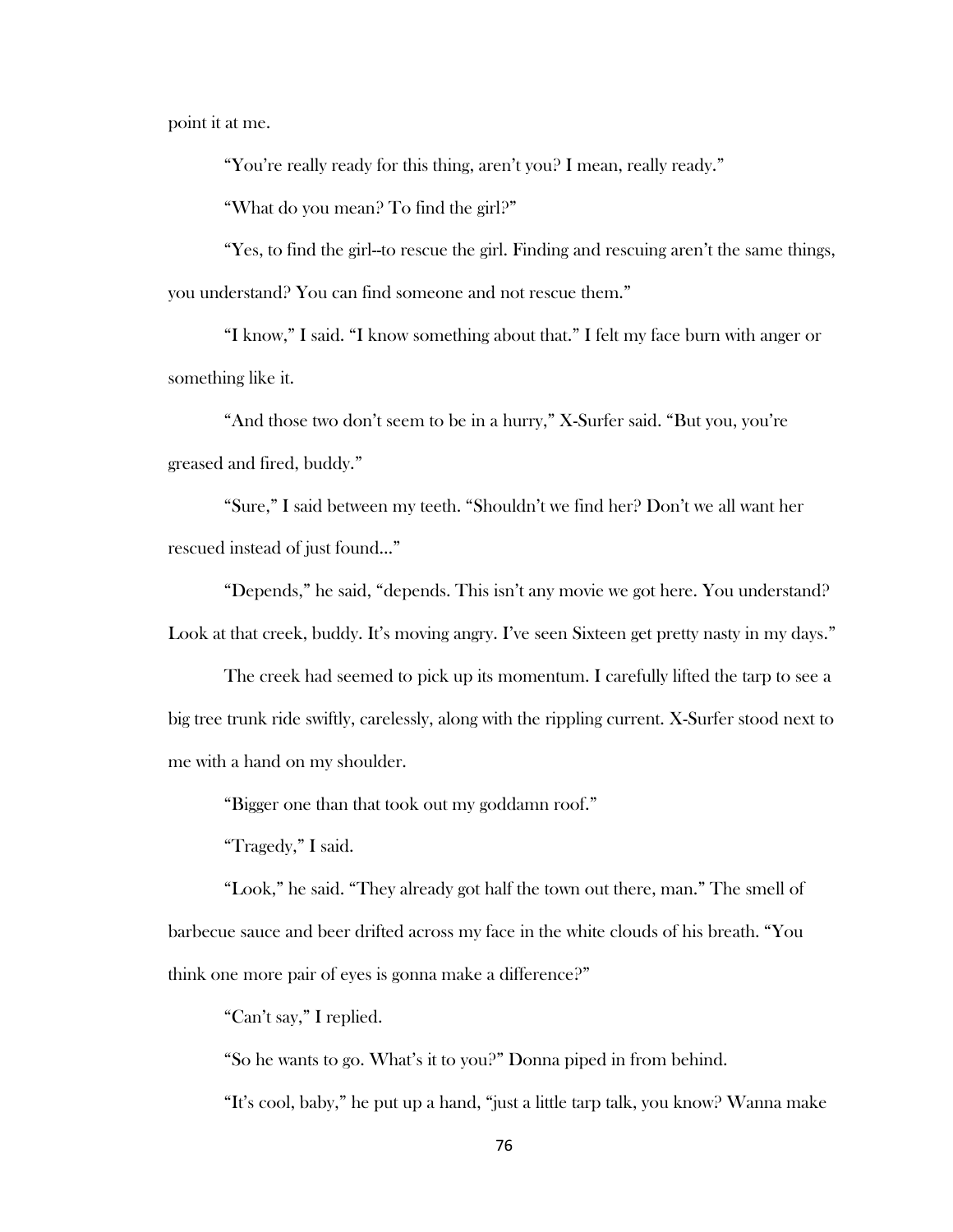point it at me.

"You're really ready for this thing, aren't you? I mean, really ready."

"What do you mean? To find the girl?"

"Yes, to find the girl--to rescue the girl. Finding and rescuing aren't the same things, you understand? You can find someone and not rescue them."

"I know," I said. "I know something about that." I felt my face burn with anger or something like it.

"And those two don't seem to be in a hurry," X-Surfer said. "But you, you're greased and fired, buddy."

"Sure," I said between my teeth. "Shouldn't we find her? Don't we all want her rescued instead of just found…"

"Depends," he said, "depends. This isn't any movie we got here. You understand? Look at that creek, buddy. It's moving angry. I've seen Sixteen get pretty nasty in my days."

The creek had seemed to pick up its momentum. I carefully lifted the tarp to see a big tree trunk ride swiftly, carelessly, along with the rippling current. X-Surfer stood next to me with a hand on my shoulder.

"Bigger one than that took out my goddamn roof."

"Tragedy," I said.

"Look," he said. "They already got half the town out there, man." The smell of barbecue sauce and beer drifted across my face in the white clouds of his breath. "You think one more pair of eyes is gonna make a difference?"

"Can't say," I replied.

"So he wants to go. What's it to you?" Donna piped in from behind.

"It's cool, baby," he put up a hand, "just a little tarp talk, you know? Wanna make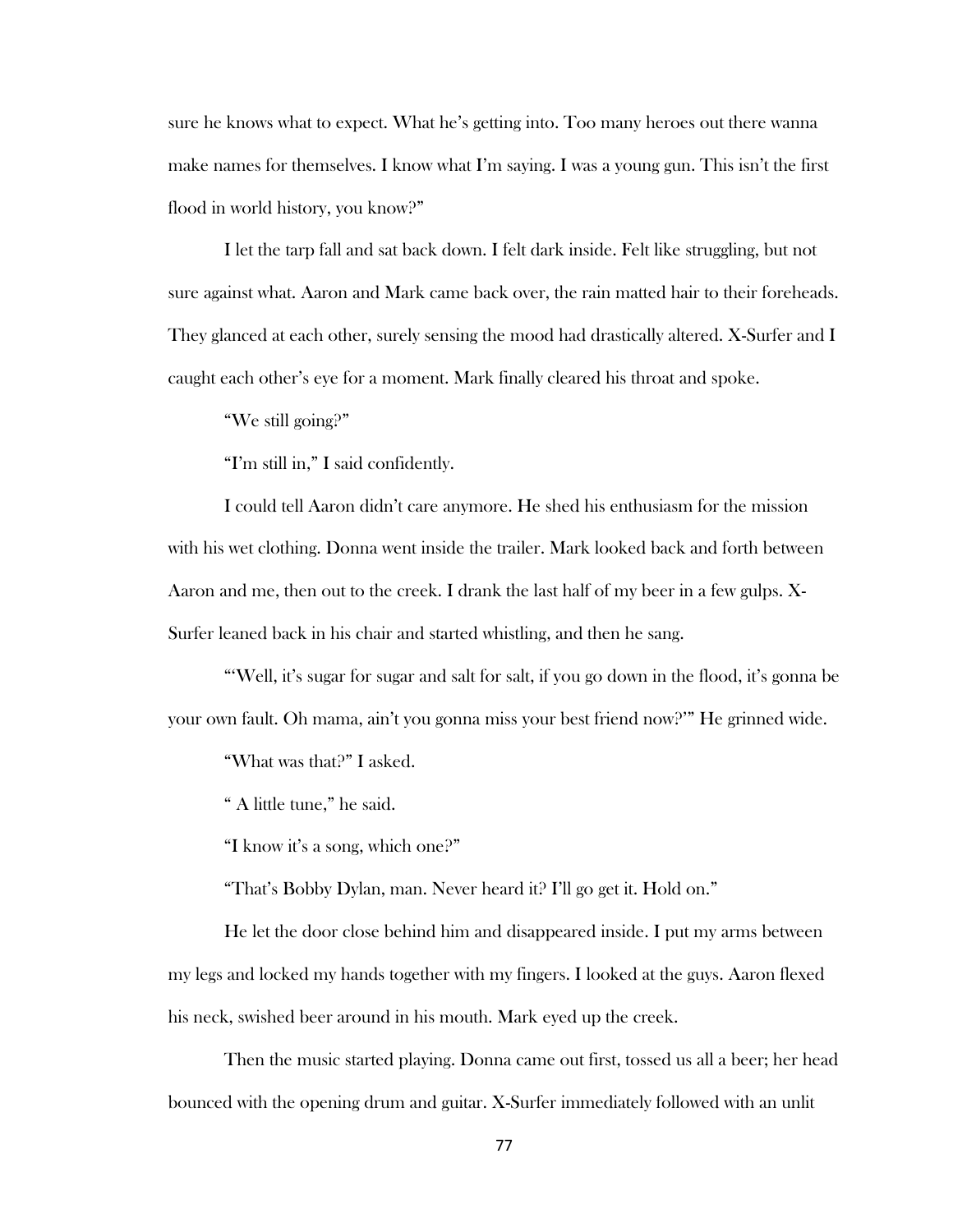sure he knows what to expect. What he's getting into. Too many heroes out there wanna make names for themselves. I know what I'm saying. I was a young gun. This isn't the first flood in world history, you know?"

I let the tarp fall and sat back down. I felt dark inside. Felt like struggling, but not sure against what. Aaron and Mark came back over, the rain matted hair to their foreheads. They glanced at each other, surely sensing the mood had drastically altered. X-Surfer and I caught each other's eye for a moment. Mark finally cleared his throat and spoke.

"We still going?"

"I'm still in," I said confidently.

I could tell Aaron didn't care anymore. He shed his enthusiasm for the mission with his wet clothing. Donna went inside the trailer. Mark looked back and forth between Aaron and me, then out to the creek. I drank the last half of my beer in a few gulps. X-Surfer leaned back in his chair and started whistling, and then he sang.

"'Well, it's sugar for sugar and salt for salt, if you go down in the flood, it's gonna be your own fault. Oh mama, ain't you gonna miss your best friend now?'" He grinned wide.

"What was that?" I asked.

" A little tune," he said.

"I know it's a song, which one?"

"That's Bobby Dylan, man. Never heard it? I'll go get it. Hold on."

He let the door close behind him and disappeared inside. I put my arms between my legs and locked my hands together with my fingers. I looked at the guys. Aaron flexed his neck, swished beer around in his mouth. Mark eyed up the creek.

Then the music started playing. Donna came out first, tossed us all a beer; her head bounced with the opening drum and guitar. X-Surfer immediately followed with an unlit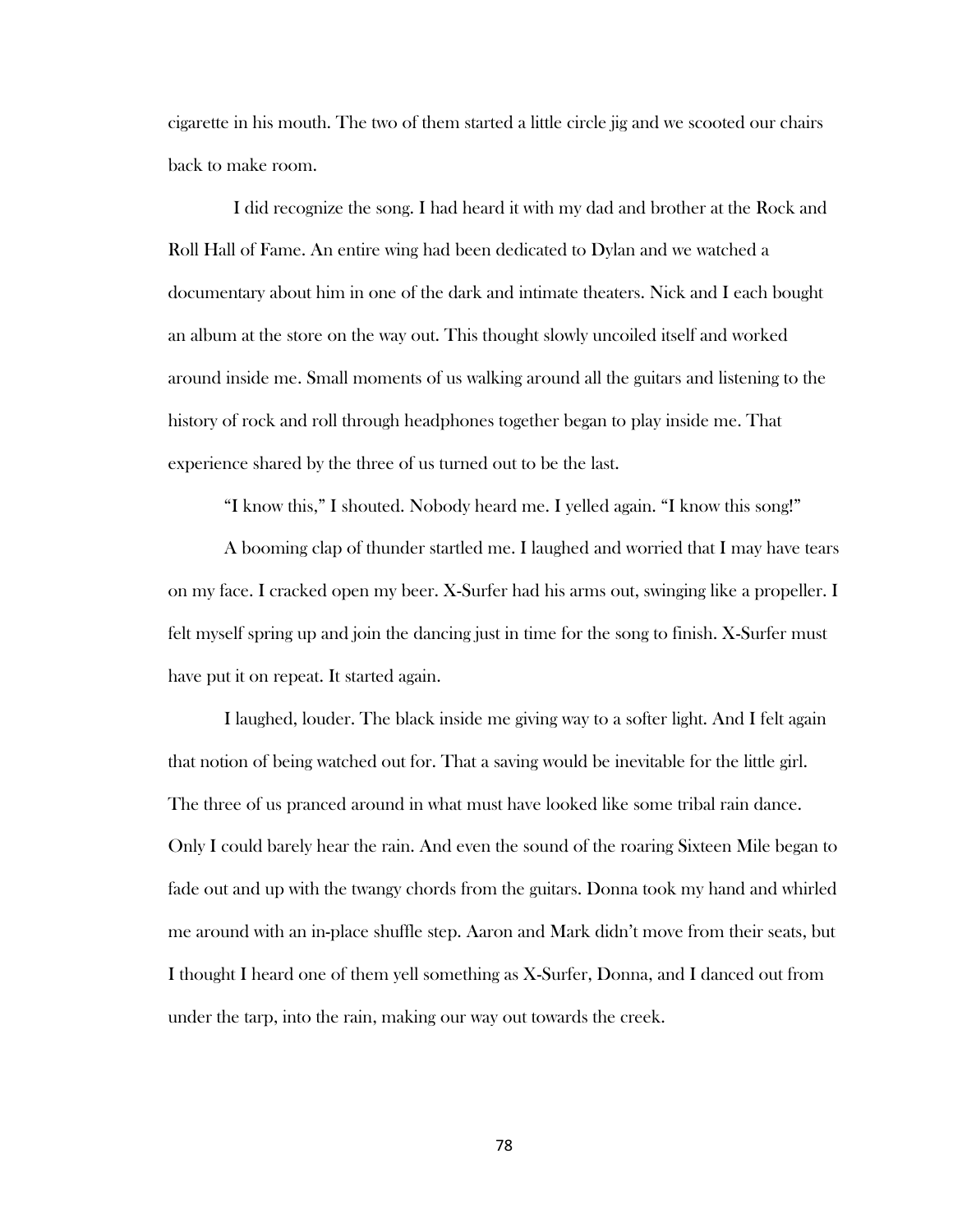cigarette in his mouth. The two of them started a little circle jig and we scooted our chairs back to make room.

 I did recognize the song. I had heard it with my dad and brother at the Rock and Roll Hall of Fame. An entire wing had been dedicated to Dylan and we watched a documentary about him in one of the dark and intimate theaters. Nick and I each bought an album at the store on the way out. This thought slowly uncoiled itself and worked around inside me. Small moments of us walking around all the guitars and listening to the history of rock and roll through headphones together began to play inside me. That experience shared by the three of us turned out to be the last.

"I know this," I shouted. Nobody heard me. I yelled again. "I know this song!"

A booming clap of thunder startled me. I laughed and worried that I may have tears on my face. I cracked open my beer. X-Surfer had his arms out, swinging like a propeller. I felt myself spring up and join the dancing just in time for the song to finish. X-Surfer must have put it on repeat. It started again.

I laughed, louder. The black inside me giving way to a softer light. And I felt again that notion of being watched out for. That a saving would be inevitable for the little girl. The three of us pranced around in what must have looked like some tribal rain dance. Only I could barely hear the rain. And even the sound of the roaring Sixteen Mile began to fade out and up with the twangy chords from the guitars. Donna took my hand and whirled me around with an in-place shuffle step. Aaron and Mark didn't move from their seats, but I thought I heard one of them yell something as X-Surfer, Donna, and I danced out from under the tarp, into the rain, making our way out towards the creek.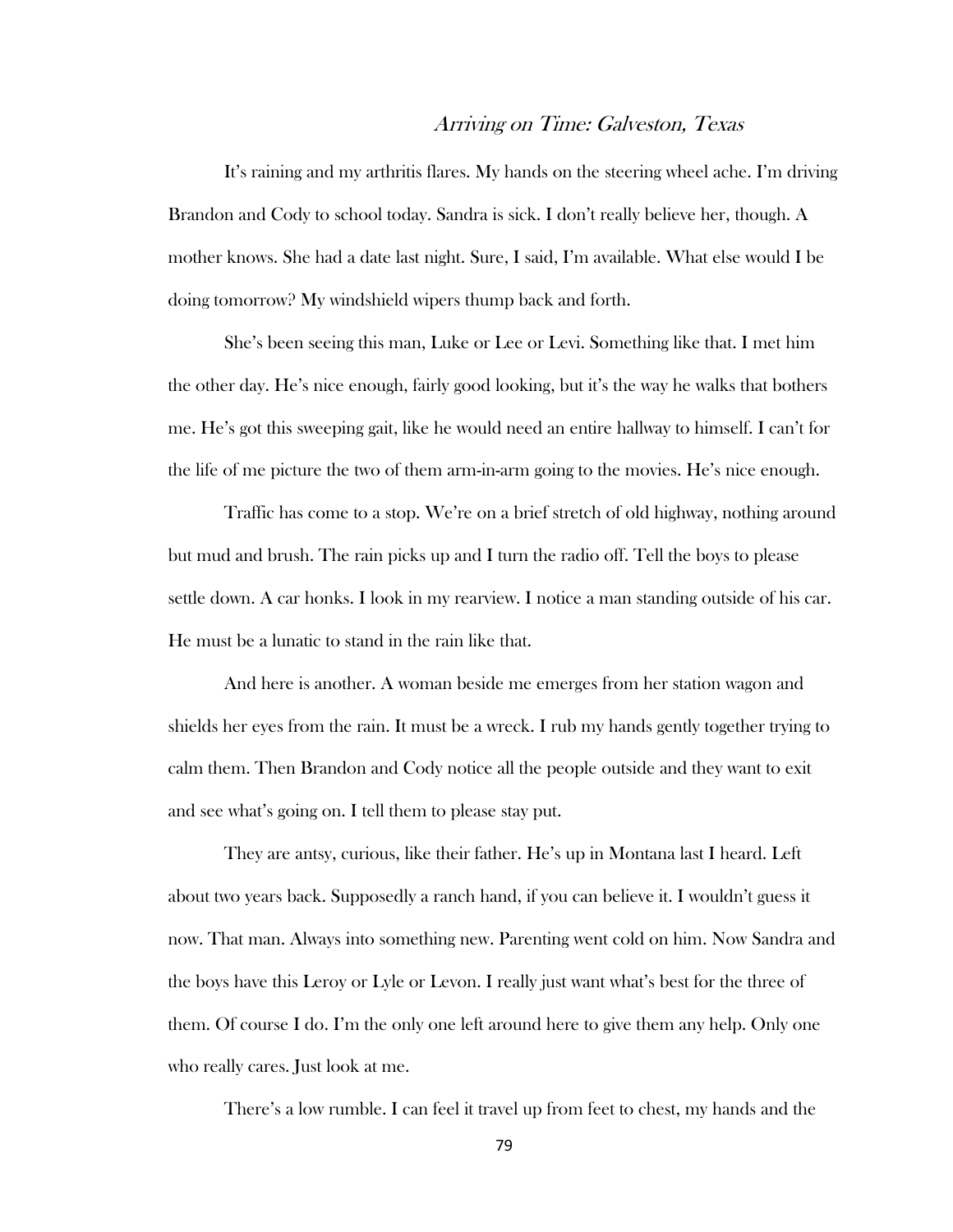### Arriving on Time: Galveston, Texas

It's raining and my arthritis flares. My hands on the steering wheel ache. I'm driving Brandon and Cody to school today. Sandra is sick. I don't really believe her, though. A mother knows. She had a date last night. Sure, I said, I'm available. What else would I be doing tomorrow? My windshield wipers thump back and forth.

She's been seeing this man, Luke or Lee or Levi. Something like that. I met him the other day. He's nice enough, fairly good looking, but it's the way he walks that bothers me. He's got this sweeping gait, like he would need an entire hallway to himself. I can't for the life of me picture the two of them arm-in-arm going to the movies. He's nice enough.

Traffic has come to a stop. We're on a brief stretch of old highway, nothing around but mud and brush. The rain picks up and I turn the radio off. Tell the boys to please settle down. A car honks. I look in my rearview. I notice a man standing outside of his car. He must be a lunatic to stand in the rain like that.

And here is another. A woman beside me emerges from her station wagon and shields her eyes from the rain. It must be a wreck. I rub my hands gently together trying to calm them. Then Brandon and Cody notice all the people outside and they want to exit and see what's going on. I tell them to please stay put.

They are antsy, curious, like their father. He's up in Montana last I heard. Left about two years back. Supposedly a ranch hand, if you can believe it. I wouldn't guess it now. That man. Always into something new. Parenting went cold on him. Now Sandra and the boys have this Leroy or Lyle or Levon. I really just want what's best for the three of them. Of course I do. I'm the only one left around here to give them any help. Only one who really cares. Just look at me.

There's a low rumble. I can feel it travel up from feet to chest, my hands and the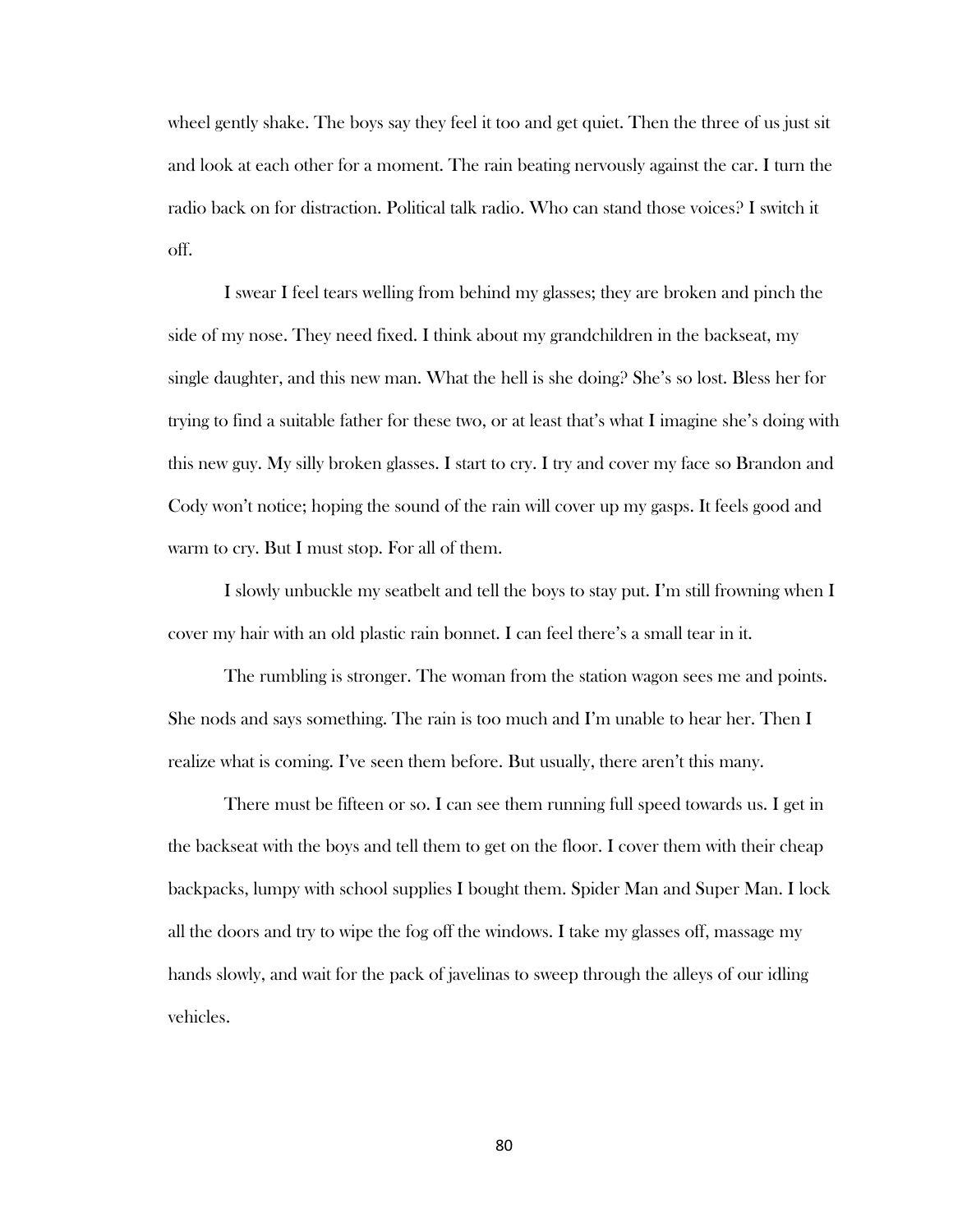wheel gently shake. The boys say they feel it too and get quiet. Then the three of us just sit and look at each other for a moment. The rain beating nervously against the car. I turn the radio back on for distraction. Political talk radio. Who can stand those voices? I switch it off.

I swear I feel tears welling from behind my glasses; they are broken and pinch the side of my nose. They need fixed. I think about my grandchildren in the backseat, my single daughter, and this new man. What the hell is she doing? She's so lost. Bless her for trying to find a suitable father for these two, or at least that's what I imagine she's doing with this new guy. My silly broken glasses. I start to cry. I try and cover my face so Brandon and Cody won't notice; hoping the sound of the rain will cover up my gasps. It feels good and warm to cry. But I must stop. For all of them.

I slowly unbuckle my seatbelt and tell the boys to stay put. I'm still frowning when I cover my hair with an old plastic rain bonnet. I can feel there's a small tear in it.

The rumbling is stronger. The woman from the station wagon sees me and points. She nods and says something. The rain is too much and I'm unable to hear her. Then I realize what is coming. I've seen them before. But usually, there aren't this many.

There must be fifteen or so. I can see them running full speed towards us. I get in the backseat with the boys and tell them to get on the floor. I cover them with their cheap backpacks, lumpy with school supplies I bought them. Spider Man and Super Man. I lock all the doors and try to wipe the fog off the windows. I take my glasses off, massage my hands slowly, and wait for the pack of javelinas to sweep through the alleys of our idling vehicles.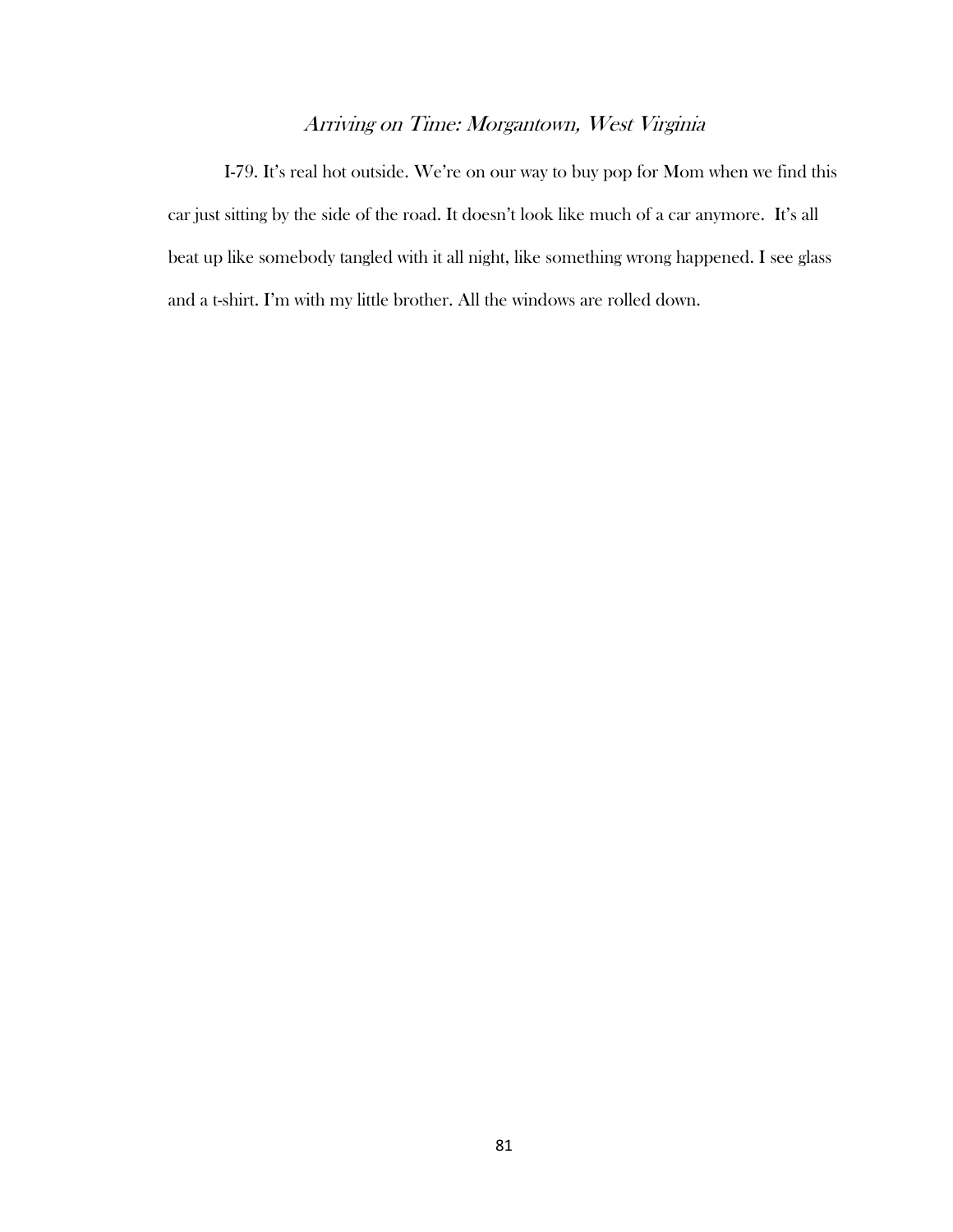# Arriving on Time: Morgantown, West Virginia

I-79. It's real hot outside. We're on our way to buy pop for Mom when we find this car just sitting by the side of the road. It doesn't look like much of a car anymore. It's all beat up like somebody tangled with it all night, like something wrong happened. I see glass and a t-shirt. I'm with my little brother. All the windows are rolled down.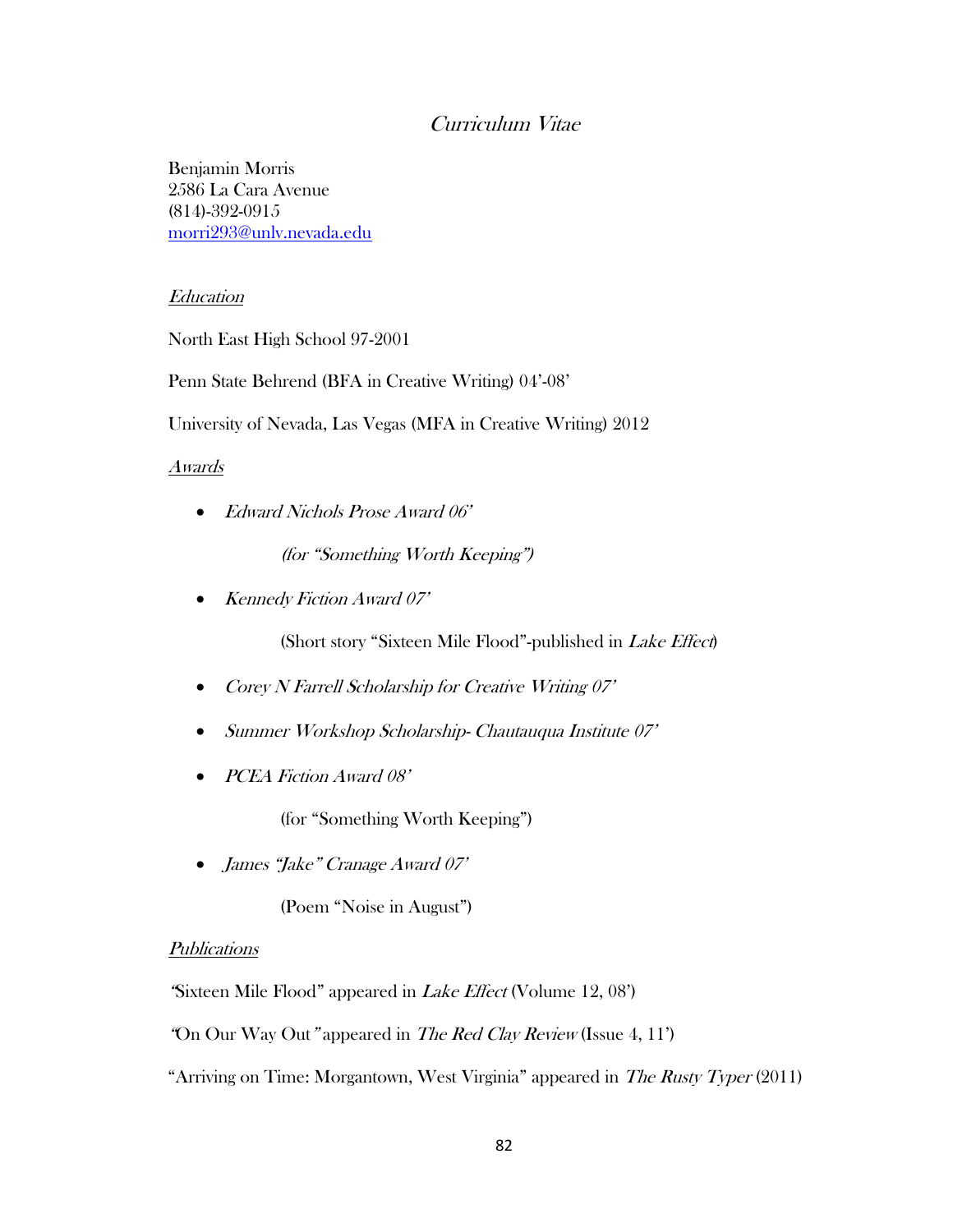### Curriculum Vitae

Benjamin Morris 2586 La Cara Avenue (814)-392-0915 [morri293@unlv.nevada.edu](mailto:morri293@unlv.nevada.edu)

### **Education**

North East High School 97-2001

Penn State Behrend (BFA in Creative Writing) 04'-08'

University of Nevada, Las Vegas (MFA in Creative Writing) 2012

#### Awards

• Edward Nichols Prose Award 06'

(for "Something Worth Keeping")

• Kennedy Fiction Award 07'

(Short story "Sixteen Mile Flood"-published in Lake Effect)

- Corey N Farrell Scholarship for Creative Writing 07'
- Summer Workshop Scholarship- Chautauqua Institute 07'
- PCEA Fiction Award 08'

(for "Something Worth Keeping")

James "Jake" Cranage Award 07'

(Poem "Noise in August")

#### **Publications**

"Sixteen Mile Flood" appeared in *Lake Effect* (Volume 12, 08')

"On Our Way Out" appeared in *The Red Clay Review* (Issue 4, 11')

"Arriving on Time: Morgantown, West Virginia" appeared in The Rusty Typer (2011)